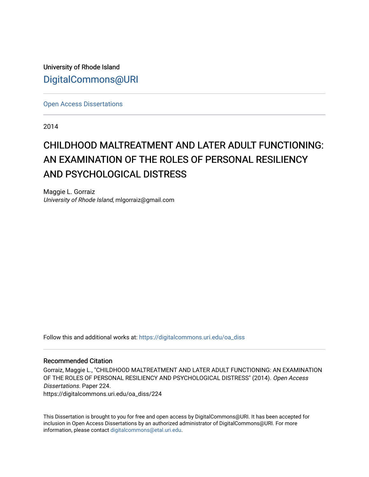University of Rhode Island [DigitalCommons@URI](https://digitalcommons.uri.edu/) 

[Open Access Dissertations](https://digitalcommons.uri.edu/oa_diss) 

2014

# CHILDHOOD MALTREATMENT AND LATER ADULT FUNCTIONING: AN EXAMINATION OF THE ROLES OF PERSONAL RESILIENCY AND PSYCHOLOGICAL DISTRESS

Maggie L. Gorraiz University of Rhode Island, mlgorraiz@gmail.com

Follow this and additional works at: [https://digitalcommons.uri.edu/oa\\_diss](https://digitalcommons.uri.edu/oa_diss?utm_source=digitalcommons.uri.edu%2Foa_diss%2F224&utm_medium=PDF&utm_campaign=PDFCoverPages) 

## Recommended Citation

Gorraiz, Maggie L., "CHILDHOOD MALTREATMENT AND LATER ADULT FUNCTIONING: AN EXAMINATION OF THE ROLES OF PERSONAL RESILIENCY AND PSYCHOLOGICAL DISTRESS" (2014). Open Access Dissertations. Paper 224. https://digitalcommons.uri.edu/oa\_diss/224

This Dissertation is brought to you for free and open access by DigitalCommons@URI. It has been accepted for inclusion in Open Access Dissertations by an authorized administrator of DigitalCommons@URI. For more information, please contact [digitalcommons@etal.uri.edu.](mailto:digitalcommons@etal.uri.edu)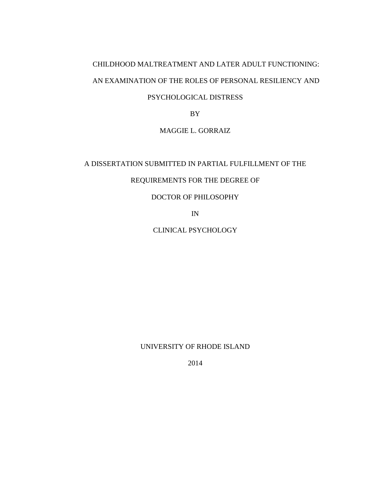# CHILDHOOD MALTREATMENT AND LATER ADULT FUNCTIONING: AN EXAMINATION OF THE ROLES OF PERSONAL RESILIENCY AND

# PSYCHOLOGICAL DISTRESS

BY

# MAGGIE L. GORRAIZ

# A DISSERTATION SUBMITTED IN PARTIAL FULFILLMENT OF THE

# REQUIREMENTS FOR THE DEGREE OF

# DOCTOR OF PHILOSOPHY

IN

CLINICAL PSYCHOLOGY

UNIVERSITY OF RHODE ISLAND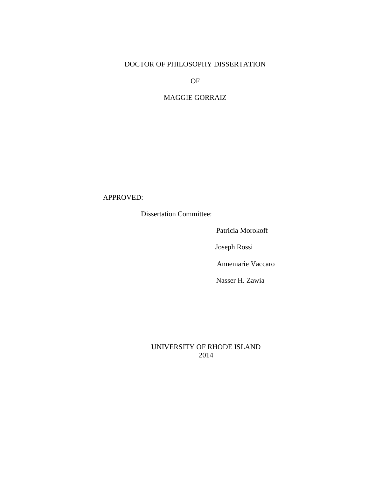# DOCTOR OF PHILOSOPHY DISSERTATION

OF

# MAGGIE GORRAIZ

# APPROVED:

Dissertation Committee:

Patricia Morokoff

Joseph Rossi

Annemarie Vaccaro

Nasser H. Zawia

# UNIVERSITY OF RHODE ISLAND 2014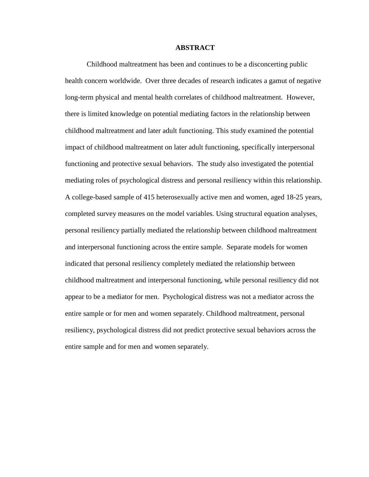#### **ABSTRACT**

Childhood maltreatment has been and continues to be a disconcerting public health concern worldwide. Over three decades of research indicates a gamut of negative long-term physical and mental health correlates of childhood maltreatment. However, there is limited knowledge on potential mediating factors in the relationship between childhood maltreatment and later adult functioning. This study examined the potential impact of childhood maltreatment on later adult functioning, specifically interpersonal functioning and protective sexual behaviors. The study also investigated the potential mediating roles of psychological distress and personal resiliency within this relationship. A college-based sample of 415 heterosexually active men and women, aged 18-25 years, completed survey measures on the model variables. Using structural equation analyses, personal resiliency partially mediated the relationship between childhood maltreatment and interpersonal functioning across the entire sample. Separate models for women indicated that personal resiliency completely mediated the relationship between childhood maltreatment and interpersonal functioning, while personal resiliency did not appear to be a mediator for men. Psychological distress was not a mediator across the entire sample or for men and women separately. Childhood maltreatment, personal resiliency, psychological distress did not predict protective sexual behaviors across the entire sample and for men and women separately.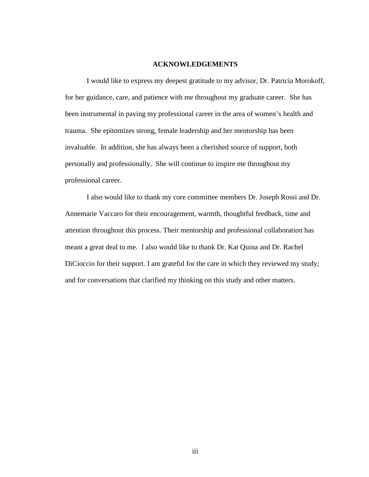#### **ACKNOWLEDGEMENTS**

I would like to express my deepest gratitude to my advisor, Dr. Patricia Morokoff, for her guidance, care, and patience with me throughout my graduate career. She has been instrumental in paving my professional career in the area of women's health and trauma. She epitomizes strong, female leadership and her mentorship has been invaluable. In addition, she has always been a cherished source of support, both personally and professionally. She will continue to inspire me throughout my professional career.

I also would like to thank my core committee members Dr. Joseph Rossi and Dr. Annemarie Vaccaro for their encouragement, warmth, thoughtful feedback, time and attention throughout this process. Their mentorship and professional collaboration has meant a great deal to me. I also would like to thank Dr. Kat Quina and Dr. Rachel DiCioccio for their support. I am grateful for the care in which they reviewed my study; and for conversations that clarified my thinking on this study and other matters.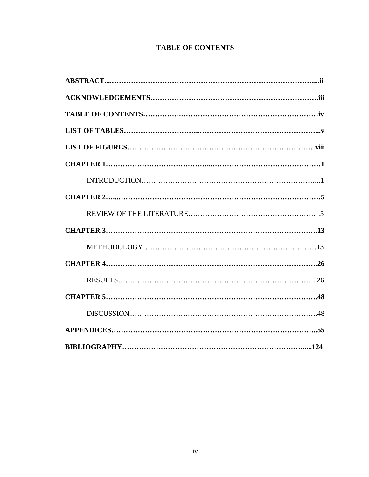# **TABLE OF CONTENTS**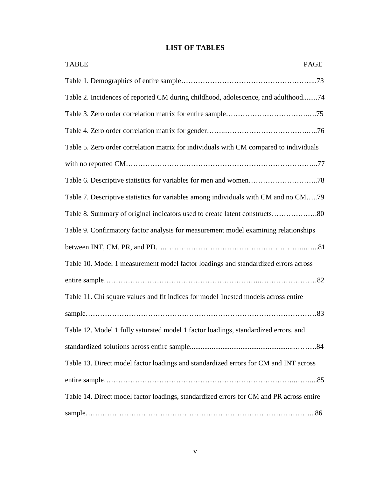# **LIST OF TABLES**

| <b>TABLE</b><br><b>PAGE</b>                                                             |
|-----------------------------------------------------------------------------------------|
|                                                                                         |
| Table 2. Incidences of reported CM during childhood, adolescence, and adulthood74       |
|                                                                                         |
|                                                                                         |
| Table 5. Zero order correlation matrix for individuals with CM compared to individuals  |
|                                                                                         |
|                                                                                         |
| Table 7. Descriptive statistics for variables among individuals with CM and no CM79     |
| Table 8. Summary of original indicators used to create latent constructs80              |
| Table 9. Confirmatory factor analysis for measurement model examining relationships     |
|                                                                                         |
| Table 10. Model 1 measurement model factor loadings and standardized errors across      |
|                                                                                         |
| Table 11. Chi square values and fit indices for model 1 nested models across entire     |
|                                                                                         |
| Table 12. Model 1 fully saturated model 1 factor loadings, standardized errors, and     |
|                                                                                         |
| Table 13. Direct model factor loadings and standardized errors for CM and INT across    |
|                                                                                         |
| Table 14. Direct model factor loadings, standardized errors for CM and PR across entire |
|                                                                                         |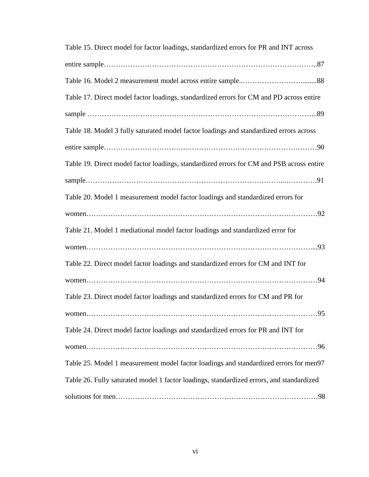| Table 15. Direct model for factor loadings, standardized errors for PR and INT across    |
|------------------------------------------------------------------------------------------|
|                                                                                          |
|                                                                                          |
| Table 17. Direct model factor loadings, standardized errors for CM and PD across entire  |
|                                                                                          |
| Table 18. Model 3 fully saturated model factor loadings and standardized errors across   |
|                                                                                          |
| Table 19. Direct model factor loadings, standardized errors for CM and PSB across entire |
|                                                                                          |
| Table 20. Model 1 measurement model factor loadings and standardized errors for          |
|                                                                                          |
| Table 21. Model 1 mediational model factor loadings and standardized error for           |
|                                                                                          |
| Table 22. Direct model factor loadings and standardized errors for CM and INT for        |
|                                                                                          |
| Table 23. Direct model factor loadings and standardized errors for CM and PR for         |
| $\ldots .95$<br>women                                                                    |
| Table 24. Direct model factor loadings and standardized errors for PR and INT for        |
|                                                                                          |
| Table 25. Model 1 measurement model factor loadings and standardized errors for men97    |
| Table 26. Fully saturated model 1 factor loadings, standardized errors, and standardized |
|                                                                                          |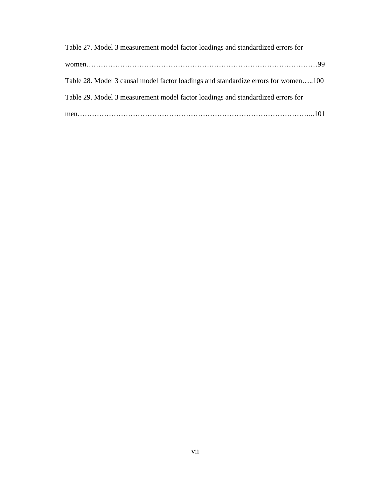| Table 27. Model 3 measurement model factor loadings and standardized errors for    |
|------------------------------------------------------------------------------------|
|                                                                                    |
| Table 28. Model 3 causal model factor loadings and standardize errors for women100 |
| Table 29. Model 3 measurement model factor loadings and standardized errors for    |
|                                                                                    |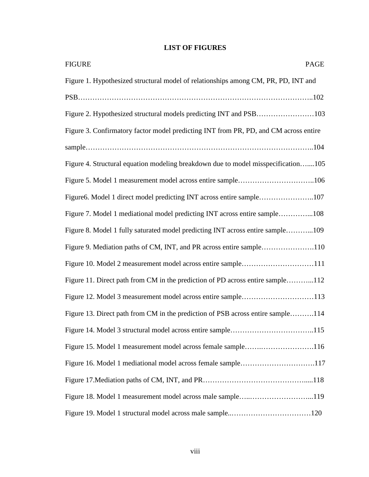# **LIST OF FIGURES**

| <b>FIGURE</b><br>PAGE                                                                |
|--------------------------------------------------------------------------------------|
| Figure 1. Hypothesized structural model of relationships among CM, PR, PD, INT and   |
|                                                                                      |
| Figure 2. Hypothesized structural models predicting INT and PSB103                   |
| Figure 3. Confirmatory factor model predicting INT from PR, PD, and CM across entire |
|                                                                                      |
| Figure 4. Structural equation modeling breakdown due to model misspecification105    |
| Figure 5. Model 1 measurement model across entire sample106                          |
| Figure6. Model 1 direct model predicting INT across entire sample107                 |
| Figure 7. Model 1 mediational model predicting INT across entire sample108           |
| Figure 8. Model 1 fully saturated model predicting INT across entire sample109       |
| Figure 9. Mediation paths of CM, INT, and PR across entire sample110                 |
| Figure 10. Model 2 measurement model across entire sample111                         |
| Figure 11. Direct path from CM in the prediction of PD across entire sample112       |
| Figure 12. Model 3 measurement model across entire sample113                         |
| Figure 13. Direct path from CM in the prediction of PSB across entire sample114      |
| Figure 14. Model 3 structural model across entire sample115                          |
| Figure 15. Model 1 measurement model across female sample116                         |
| Figure 16. Model 1 mediational model across female sample117                         |
|                                                                                      |
| Figure 18. Model 1 measurement model across male sample119                           |
| Figure 19. Model 1 structural model across male sample120                            |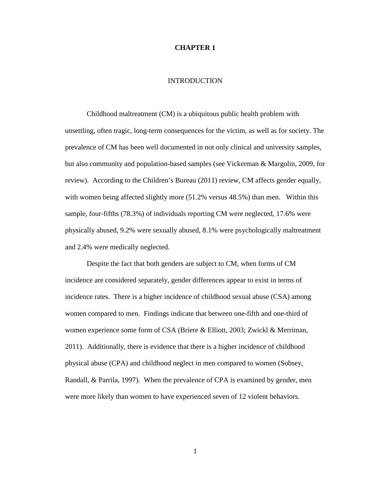### **CHAPTER 1**

# INTRODUCTION

Childhood maltreatment (CM) is a ubiquitous public health problem with unsettling, often tragic, long-term consequences for the victim, as well as for society. The prevalence of CM has been well documented in not only clinical and university samples, but also community and population-based samples (see Vickerman & Margolin, 2009, for review). According to the Children's Bureau (2011) review, CM affects gender equally, with women being affected slightly more  $(51.2%$  versus 48.5%) than men. Within this sample, four-fifths (78.3%) of individuals reporting CM were neglected, 17.6% were physically abused, 9.2% were sexually abused, 8.1% were psychologically maltreatment and 2.4% were medically neglected.

Despite the fact that both genders are subject to CM, when forms of CM incidence are considered separately, gender differences appear to exist in terms of incidence rates. There is a higher incidence of childhood sexual abuse (CSA) among women compared to men. Findings indicate that between one-fifth and one-third of women experience some form of CSA (Briere & Elliott, 2003; Zwickl & Merriman, 2011). Additionally, there is evidence that there is a higher incidence of childhood physical abuse (CPA) and childhood neglect in men compared to women (Sobsey, Randall, & Parrila, 1997). When the prevalence of CPA is examined by gender, men were more likely than women to have experienced seven of 12 violent behaviors.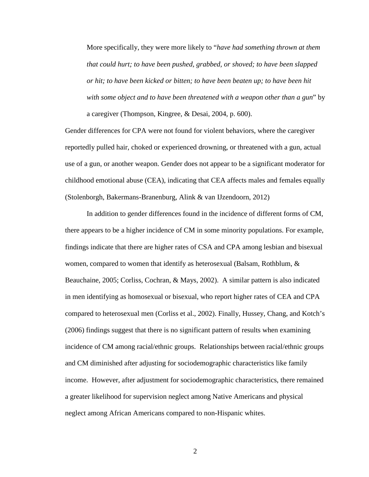More specifically, they were more likely to "*have had something thrown at them that could hurt; to have been pushed, grabbed, or shoved; to have been slapped or hit; to have been kicked or bitten; to have been beaten up; to have been hit with some object and to have been threatened with a weapon other than a gun*" by a caregiver (Thompson, Kingree, & Desai, 2004, p. 600).

Gender differences for CPA were not found for violent behaviors, where the caregiver reportedly pulled hair, choked or experienced drowning, or threatened with a gun, actual use of a gun, or another weapon. Gender does not appear to be a significant moderator for childhood emotional abuse (CEA), indicating that CEA affects males and females equally (Stolenborgh, Bakermans-Branenburg, Alink & van IJzendoorn, 2012)

In addition to gender differences found in the incidence of different forms of CM, there appears to be a higher incidence of CM in some minority populations. For example, findings indicate that there are higher rates of CSA and CPA among lesbian and bisexual women, compared to women that identify as heterosexual (Balsam, Rothblum, & Beauchaine, 2005; Corliss, Cochran, & Mays, 2002). A similar pattern is also indicated in men identifying as homosexual or bisexual, who report higher rates of CEA and CPA compared to heterosexual men (Corliss et al., 2002). Finally, Hussey, Chang, and Kotch's (2006) findings suggest that there is no significant pattern of results when examining incidence of CM among racial/ethnic groups. Relationships between racial/ethnic groups and CM diminished after adjusting for sociodemographic characteristics like family income. However, after adjustment for sociodemographic characteristics, there remained a greater likelihood for supervision neglect among Native Americans and physical neglect among African Americans compared to non-Hispanic whites.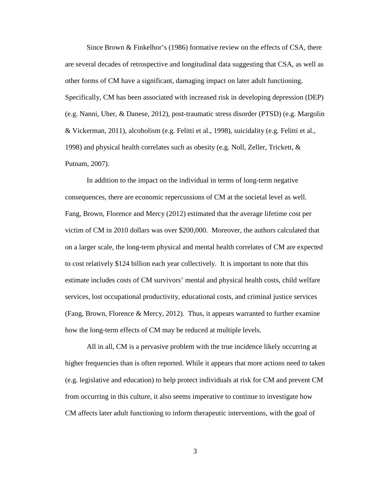Since Brown & Finkelhor's (1986) formative review on the effects of CSA, there are several decades of retrospective and longitudinal data suggesting that CSA, as well as other forms of CM have a significant, damaging impact on later adult functioning. Specifically, CM has been associated with increased risk in developing depression (DEP) (e.g. Nanni, Uher, & Danese, 2012), post-traumatic stress disorder (PTSD) (e.g. Margolin & Vickerman, 2011), alcoholism (e.g. Felitti et al., 1998), suicidality (e.g. Felitti et al., 1998) and physical health correlates such as obesity (e.g. Noll, Zeller, Trickett, & Putnam, 2007).

In addition to the impact on the individual in terms of long-term negative consequences, there are economic repercussions of CM at the societal level as well. Fang, Brown, Florence and Mercy (2012) estimated that the average lifetime cost per victim of CM in 2010 dollars was over \$200,000. Moreover, the authors calculated that on a larger scale, the long-term physical and mental health correlates of CM are expected to cost relatively \$124 billion each year collectively. It is important to note that this estimate includes costs of CM survivors' mental and physical health costs, child welfare services, lost occupational productivity, educational costs, and criminal justice services (Fang, Brown, Florence & Mercy, 2012). Thus, it appears warranted to further examine how the long-term effects of CM may be reduced at multiple levels.

All in all, CM is a pervasive problem with the true incidence likely occurring at higher frequencies than is often reported. While it appears that more actions need to taken (e.g. legislative and education) to help protect individuals at risk for CM and prevent CM from occurring in this culture, it also seems imperative to continue to investigate how CM affects later adult functioning to inform therapeutic interventions, with the goal of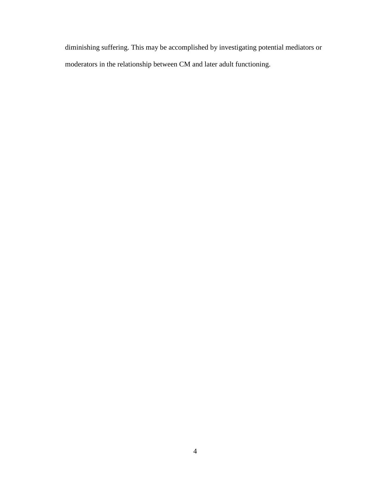diminishing suffering. This may be accomplished by investigating potential mediators or moderators in the relationship between CM and later adult functioning.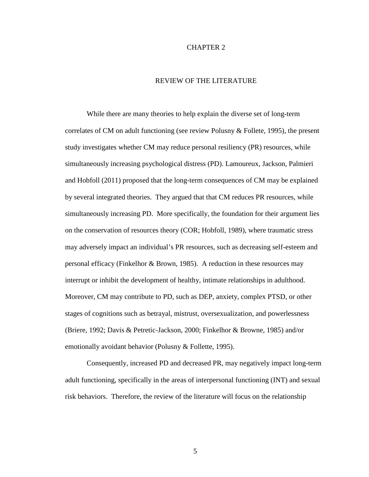# CHAPTER 2

# REVIEW OF THE LITERATURE

While there are many theories to help explain the diverse set of long-term correlates of CM on adult functioning (see review Polusny & Follete, 1995), the present study investigates whether CM may reduce personal resiliency (PR) resources, while simultaneously increasing psychological distress (PD). Lamoureux, Jackson, Palmieri and Hobfoll (2011) proposed that the long-term consequences of CM may be explained by several integrated theories. They argued that that CM reduces PR resources, while simultaneously increasing PD. More specifically, the foundation for their argument lies on the conservation of resources theory (COR; Hobfoll, 1989), where traumatic stress may adversely impact an individual's PR resources, such as decreasing self-esteem and personal efficacy (Finkelhor & Brown, 1985). A reduction in these resources may interrupt or inhibit the development of healthy, intimate relationships in adulthood. Moreover, CM may contribute to PD, such as DEP, anxiety, complex PTSD, or other stages of cognitions such as betrayal, mistrust, oversexualization, and powerlessness (Briere, 1992; Davis & Petretic-Jackson, 2000; Finkelhor & Browne, 1985) and/or emotionally avoidant behavior (Polusny & Follette, 1995).

Consequently, increased PD and decreased PR, may negatively impact long-term adult functioning, specifically in the areas of interpersonal functioning (INT) and sexual risk behaviors. Therefore, the review of the literature will focus on the relationship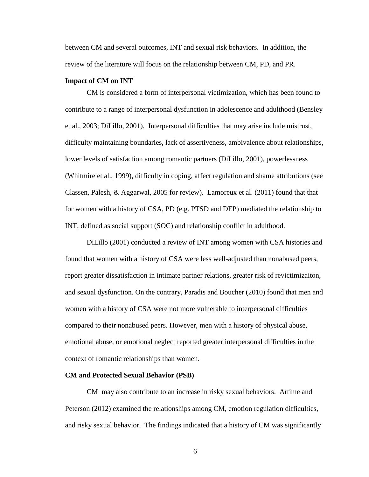between CM and several outcomes, INT and sexual risk behaviors. In addition, the review of the literature will focus on the relationship between CM, PD, and PR.

#### **Impact of CM on INT**

CM is considered a form of interpersonal victimization, which has been found to contribute to a range of interpersonal dysfunction in adolescence and adulthood (Bensley et al., 2003; DiLillo, 2001). Interpersonal difficulties that may arise include mistrust, difficulty maintaining boundaries, lack of assertiveness, ambivalence about relationships, lower levels of satisfaction among romantic partners (DiLillo, 2001), powerlessness (Whitmire et al., 1999), difficulty in coping, affect regulation and shame attributions (see Classen, Palesh, & Aggarwal, 2005 for review). Lamoreux et al. (2011) found that that for women with a history of CSA, PD (e.g. PTSD and DEP) mediated the relationship to INT, defined as social support (SOC) and relationship conflict in adulthood.

DiLillo (2001) conducted a review of INT among women with CSA histories and found that women with a history of CSA were less well-adjusted than nonabused peers, report greater dissatisfaction in intimate partner relations, greater risk of revictimizaiton, and sexual dysfunction. On the contrary, Paradis and Boucher (2010) found that men and women with a history of CSA were not more vulnerable to interpersonal difficulties compared to their nonabused peers. However, men with a history of physical abuse, emotional abuse, or emotional neglect reported greater interpersonal difficulties in the context of romantic relationships than women.

## **CM and Protected Sexual Behavior (PSB)**

CM may also contribute to an increase in risky sexual behaviors. Artime and Peterson (2012) examined the relationships among CM, emotion regulation difficulties, and risky sexual behavior. The findings indicated that a history of CM was significantly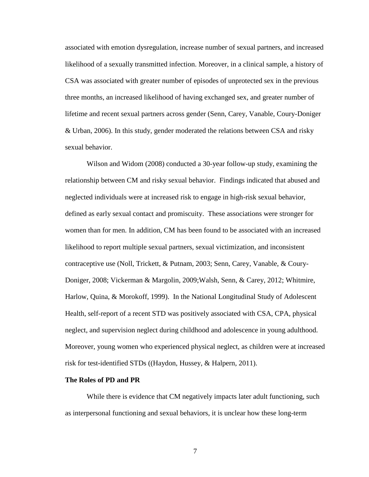associated with emotion dysregulation, increase number of sexual partners, and increased likelihood of a sexually transmitted infection. Moreover, in a clinical sample, a history of CSA was associated with greater number of episodes of unprotected sex in the previous three months, an increased likelihood of having exchanged sex, and greater number of lifetime and recent sexual partners across gender (Senn, Carey, Vanable, Coury-Doniger & Urban, 2006). In this study, gender moderated the relations between CSA and risky sexual behavior.

Wilson and Widom (2008) conducted a 30-year follow-up study, examining the relationship between CM and risky sexual behavior. Findings indicated that abused and neglected individuals were at increased risk to engage in high-risk sexual behavior, defined as early sexual contact and promiscuity. These associations were stronger for women than for men. In addition, CM has been found to be associated with an increased likelihood to report multiple sexual partners, sexual victimization, and inconsistent contraceptive use (Noll, Trickett, & Putnam, 2003; Senn, Carey, Vanable, & Coury-Doniger, 2008; Vickerman & Margolin, 2009;Walsh, Senn, & Carey, 2012; Whitmire, Harlow, Quina, & Morokoff, 1999). In the National Longitudinal Study of Adolescent Health, self-report of a recent STD was positively associated with CSA, CPA, physical neglect, and supervision neglect during childhood and adolescence in young adulthood. Moreover, young women who experienced physical neglect, as children were at increased risk for test-identified STDs ((Haydon, Hussey, & Halpern, 2011).

#### **The Roles of PD and PR**

While there is evidence that CM negatively impacts later adult functioning, such as interpersonal functioning and sexual behaviors, it is unclear how these long-term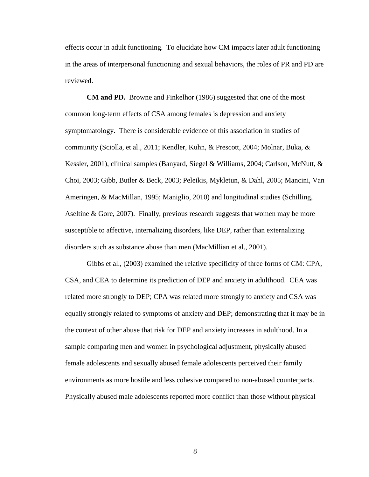effects occur in adult functioning. To elucidate how CM impacts later adult functioning in the areas of interpersonal functioning and sexual behaviors, the roles of PR and PD are reviewed.

**CM and PD.** Browne and Finkelhor (1986) suggested that one of the most common long-term effects of CSA among females is depression and anxiety symptomatology. There is considerable evidence of this association in studies of community (Sciolla, et al., 2011; Kendler, Kuhn, & Prescott, 2004; Molnar, Buka, & Kessler, 2001), clinical samples (Banyard, Siegel & Williams, 2004; Carlson, McNutt, & Choi, 2003; Gibb, Butler & Beck, 2003; Peleikis, Mykletun, & Dahl, 2005; Mancini, Van Ameringen, & MacMillan, 1995; Maniglio, 2010) and longitudinal studies (Schilling, Aseltine & Gore, 2007). Finally, previous research suggests that women may be more susceptible to affective, internalizing disorders, like DEP, rather than externalizing disorders such as substance abuse than men (MacMillian et al., 2001).

Gibbs et al., (2003) examined the relative specificity of three forms of CM: CPA, CSA, and CEA to determine its prediction of DEP and anxiety in adulthood. CEA was related more strongly to DEP; CPA was related more strongly to anxiety and CSA was equally strongly related to symptoms of anxiety and DEP; demonstrating that it may be in the context of other abuse that risk for DEP and anxiety increases in adulthood. In a sample comparing men and women in psychological adjustment, physically abused female adolescents and sexually abused female adolescents perceived their family environments as more hostile and less cohesive compared to non-abused counterparts. Physically abused male adolescents reported more conflict than those without physical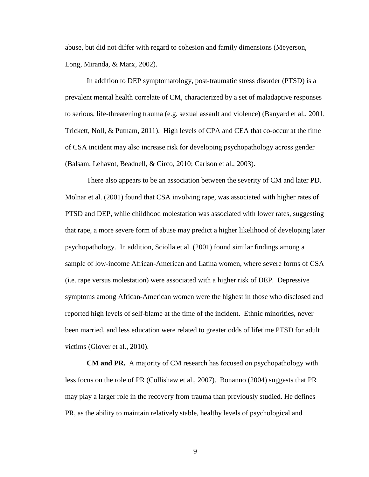abuse, but did not differ with regard to cohesion and family dimensions (Meyerson, Long, Miranda, & Marx, 2002).

In addition to DEP symptomatology, post-traumatic stress disorder (PTSD) is a prevalent mental health correlate of CM, characterized by a set of maladaptive responses to serious, life-threatening trauma (e.g. sexual assault and violence) (Banyard et al., 2001, Trickett, Noll, & Putnam, 2011). High levels of CPA and CEA that co-occur at the time of CSA incident may also increase risk for developing psychopathology across gender (Balsam, Lehavot, Beadnell, & Circo, 2010; Carlson et al., 2003).

There also appears to be an association between the severity of CM and later PD. Molnar et al. (2001) found that CSA involving rape, was associated with higher rates of PTSD and DEP, while childhood molestation was associated with lower rates, suggesting that rape, a more severe form of abuse may predict a higher likelihood of developing later psychopathology. In addition, Sciolla et al. (2001) found similar findings among a sample of low-income African-American and Latina women, where severe forms of CSA (i.e. rape versus molestation) were associated with a higher risk of DEP. Depressive symptoms among African-American women were the highest in those who disclosed and reported high levels of self-blame at the time of the incident. Ethnic minorities, never been married, and less education were related to greater odds of lifetime PTSD for adult victims (Glover et al., 2010).

**CM and PR.** A majority of CM research has focused on psychopathology with less focus on the role of PR (Collishaw et al., 2007). Bonanno (2004) suggests that PR may play a larger role in the recovery from trauma than previously studied. He defines PR, as the ability to maintain relatively stable, healthy levels of psychological and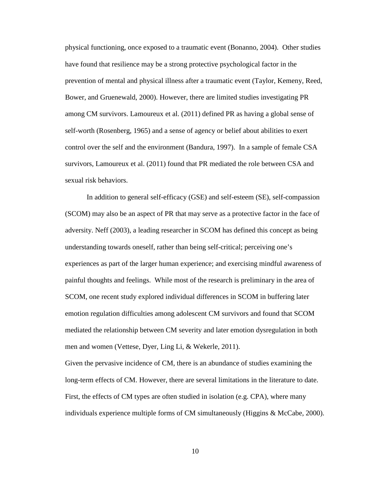physical functioning, once exposed to a traumatic event (Bonanno, 2004). Other studies have found that resilience may be a strong protective psychological factor in the prevention of mental and physical illness after a traumatic event (Taylor, Kemeny, Reed, Bower, and Gruenewald, 2000). However, there are limited studies investigating PR among CM survivors. Lamoureux et al. (2011) defined PR as having a global sense of self-worth (Rosenberg, 1965) and a sense of agency or belief about abilities to exert control over the self and the environment (Bandura, 1997). In a sample of female CSA survivors, Lamoureux et al. (2011) found that PR mediated the role between CSA and sexual risk behaviors.

In addition to general self-efficacy (GSE) and self-esteem (SE), self-compassion (SCOM) may also be an aspect of PR that may serve as a protective factor in the face of adversity. Neff (2003), a leading researcher in SCOM has defined this concept as being understanding towards oneself, rather than being self-critical; perceiving one's experiences as part of the larger human experience; and exercising mindful awareness of painful thoughts and feelings. While most of the research is preliminary in the area of SCOM, one recent study explored individual differences in SCOM in buffering later emotion regulation difficulties among adolescent CM survivors and found that SCOM mediated the relationship between CM severity and later emotion dysregulation in both men and women (Vettese, Dyer, Ling Li, & Wekerle, 2011).

Given the pervasive incidence of CM, there is an abundance of studies examining the long-term effects of CM. However, there are several limitations in the literature to date. First, the effects of CM types are often studied in isolation (e.g. CPA), where many individuals experience multiple forms of CM simultaneously (Higgins & McCabe, 2000).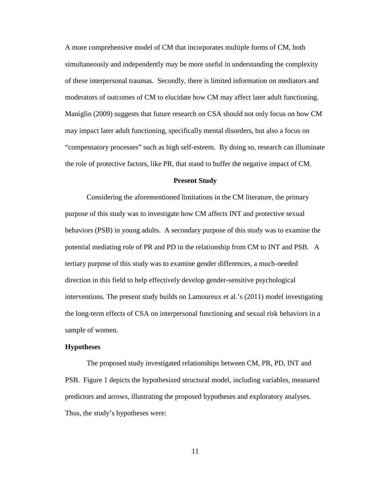A more comprehensive model of CM that incorporates multiple forms of CM, both simultaneously and independently may be more useful in understanding the complexity of these interpersonal traumas. Secondly, there is limited information on mediators and moderators of outcomes of CM to elucidate how CM may affect later adult functioning. Maniglio (2009) suggests that future research on CSA should not only focus on how CM may impact later adult functioning, specifically mental disorders, but also a focus on "compensatory processes" such as high self-esteem. By doing so, research can illuminate the role of protective factors, like PR, that stand to buffer the negative impact of CM.

## **Present Study**

Considering the aforementioned limitations in the CM literature, the primary purpose of this study was to investigate how CM affects INT and protective sexual behaviors (PSB) in young adults. A secondary purpose of this study was to examine the potential mediating role of PR and PD in the relationship from CM to INT and PSB. A tertiary purpose of this study was to examine gender differences, a much-needed direction in this field to help effectively develop gender-sensitive psychological interventions. The present study builds on Lamoureux et al.'s (2011) model investigating the long-term effects of CSA on interpersonal functioning and sexual risk behaviors in a sample of women.

#### **Hypotheses**

The proposed study investigated relationships between CM, PR, PD, INT and PSB. Figure 1 depicts the hypothesized structural model, including variables, measured predictors and arrows, illustrating the proposed hypotheses and exploratory analyses. Thus, the study's hypotheses were: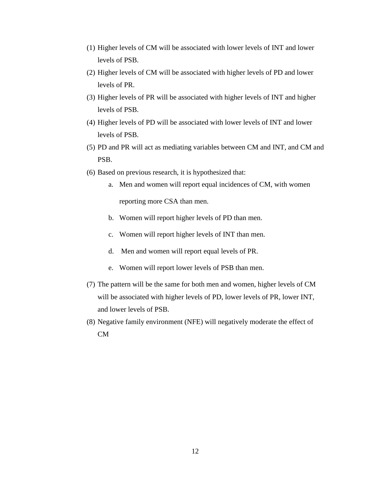- (1) Higher levels of CM will be associated with lower levels of INT and lower levels of PSB.
- (2) Higher levels of CM will be associated with higher levels of PD and lower levels of PR.
- (3) Higher levels of PR will be associated with higher levels of INT and higher levels of PSB.
- (4) Higher levels of PD will be associated with lower levels of INT and lower levels of PSB.
- (5) PD and PR will act as mediating variables between CM and INT, and CM and PSB.
- (6) Based on previous research, it is hypothesized that:
	- a. Men and women will report equal incidences of CM, with women reporting more CSA than men.
	- b. Women will report higher levels of PD than men.
	- c. Women will report higher levels of INT than men.
	- d. Men and women will report equal levels of PR.
	- e. Women will report lower levels of PSB than men.
- (7) The pattern will be the same for both men and women, higher levels of CM will be associated with higher levels of PD, lower levels of PR, lower INT, and lower levels of PSB.
- (8) Negative family environment (NFE) will negatively moderate the effect of CM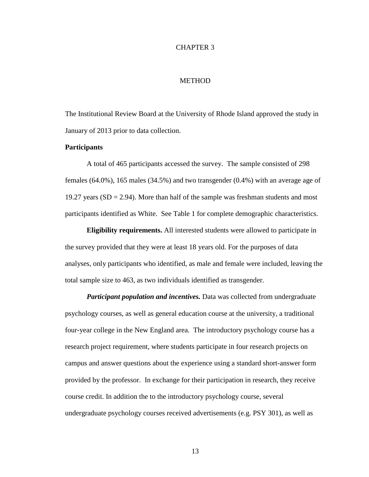## CHAPTER 3

# **METHOD**

The Institutional Review Board at the University of Rhode Island approved the study in January of 2013 prior to data collection.

### **Participants**

A total of 465 participants accessed the survey. The sample consisted of 298 females (64.0%), 165 males (34.5%) and two transgender (0.4%) with an average age of 19.27 years  $(SD = 2.94)$ . More than half of the sample was freshman students and most participants identified as White. See Table 1 for complete demographic characteristics.

**Eligibility requirements.** All interested students were allowed to participate in the survey provided that they were at least 18 years old. For the purposes of data analyses, only participants who identified, as male and female were included, leaving the total sample size to 463, as two individuals identified as transgender.

*Participant population and incentives.* Data was collected from undergraduate psychology courses, as well as general education course at the university, a traditional four-year college in the New England area. The introductory psychology course has a research project requirement, where students participate in four research projects on campus and answer questions about the experience using a standard short-answer form provided by the professor. In exchange for their participation in research, they receive course credit. In addition the to the introductory psychology course, several undergraduate psychology courses received advertisements (e.g. PSY 301), as well as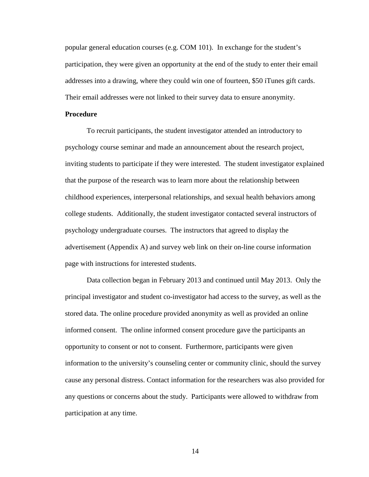popular general education courses (e.g. COM 101). In exchange for the student's participation, they were given an opportunity at the end of the study to enter their email addresses into a drawing, where they could win one of fourteen, \$50 iTunes gift cards. Their email addresses were not linked to their survey data to ensure anonymity.

### **Procedure**

To recruit participants, the student investigator attended an introductory to psychology course seminar and made an announcement about the research project, inviting students to participate if they were interested. The student investigator explained that the purpose of the research was to learn more about the relationship between childhood experiences, interpersonal relationships, and sexual health behaviors among college students. Additionally, the student investigator contacted several instructors of psychology undergraduate courses. The instructors that agreed to display the advertisement (Appendix A) and survey web link on their on-line course information page with instructions for interested students.

Data collection began in February 2013 and continued until May 2013. Only the principal investigator and student co-investigator had access to the survey, as well as the stored data. The online procedure provided anonymity as well as provided an online informed consent. The online informed consent procedure gave the participants an opportunity to consent or not to consent. Furthermore, participants were given information to the university's counseling center or community clinic, should the survey cause any personal distress. Contact information for the researchers was also provided for any questions or concerns about the study. Participants were allowed to withdraw from participation at any time.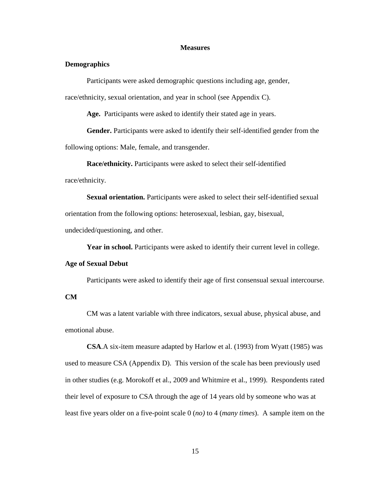### **Measures**

# **Demographics**

Participants were asked demographic questions including age, gender,

race/ethnicity, sexual orientation, and year in school (see Appendix C).

**Age.** Participants were asked to identify their stated age in years.

**Gender.** Participants were asked to identify their self-identified gender from the following options: Male, female, and transgender.

**Race/ethnicity.** Participants were asked to select their self-identified race/ethnicity.

**Sexual orientation.** Participants were asked to select their self-identified sexual orientation from the following options: heterosexual, lesbian, gay, bisexual, undecided/questioning, and other.

**Year in school.** Participants were asked to identify their current level in college.

# **Age of Sexual Debut**

Participants were asked to identify their age of first consensual sexual intercourse.

# **CM**

CM was a latent variable with three indicators, sexual abuse, physical abuse, and emotional abuse.

**CSA**.A six-item measure adapted by Harlow et al. (1993) from Wyatt (1985) was used to measure CSA (Appendix D). This version of the scale has been previously used in other studies (e.g. Morokoff et al., 2009 and Whitmire et al., 1999). Respondents rated their level of exposure to CSA through the age of 14 years old by someone who was at least five years older on a five-point scale 0 (*no)* to 4 (*many times*). A sample item on the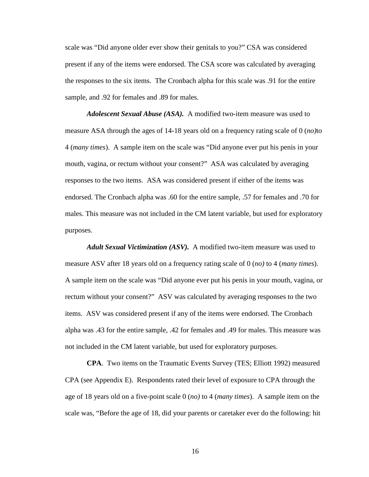scale was "Did anyone older ever show their genitals to you?" CSA was considered present if any of the items were endorsed. The CSA score was calculated by averaging the responses to the six items. The Cronbach alpha for this scale was .91 for the entire sample, and .92 for females and .89 for males.

*Adolescent Sexual Abuse (ASA).* A modified two-item measure was used to measure ASA through the ages of 14-18 years old on a frequency rating scale of 0 (*no)*to 4 (*many times*). A sample item on the scale was "Did anyone ever put his penis in your mouth, vagina, or rectum without your consent?" ASA was calculated by averaging responses to the two items. ASA was considered present if either of the items was endorsed. The Cronbach alpha was .60 for the entire sample, .57 for females and .70 for males. This measure was not included in the CM latent variable, but used for exploratory purposes.

*Adult Sexual Victimization (ASV).* A modified two-item measure was used to measure ASV after 18 years old on a frequency rating scale of 0 (*no)* to 4 (*many times*). A sample item on the scale was "Did anyone ever put his penis in your mouth, vagina, or rectum without your consent?" ASV was calculated by averaging responses to the two items. ASV was considered present if any of the items were endorsed. The Cronbach alpha was .43 for the entire sample, .42 for females and .49 for males. This measure was not included in the CM latent variable, but used for exploratory purposes.

**CPA**. Two items on the Traumatic Events Survey (TES; Elliott 1992) measured CPA (see Appendix E). Respondents rated their level of exposure to CPA through the age of 18 years old on a five-point scale 0 (*no)* to 4 (*many times*). A sample item on the scale was, "Before the age of 18, did your parents or caretaker ever do the following: hit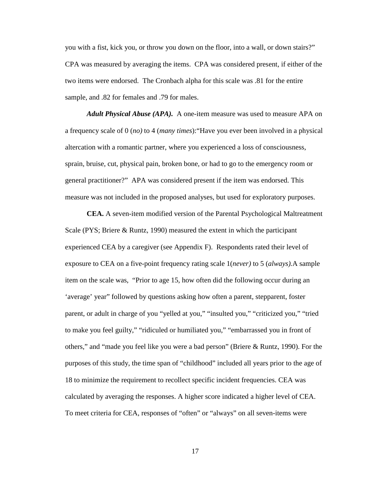you with a fist, kick you, or throw you down on the floor, into a wall, or down stairs?" CPA was measured by averaging the items. CPA was considered present, if either of the two items were endorsed. The Cronbach alpha for this scale was .81 for the entire sample, and .82 for females and .79 for males.

*Adult Physical Abuse (APA).* A one-item measure was used to measure APA on a frequency scale of 0 (*no)* to 4 (*many times*):"Have you ever been involved in a physical altercation with a romantic partner, where you experienced a loss of consciousness, sprain, bruise, cut, physical pain, broken bone, or had to go to the emergency room or general practitioner?" APA was considered present if the item was endorsed. This measure was not included in the proposed analyses, but used for exploratory purposes.

**CEA.** A seven-item modified version of the Parental Psychological Maltreatment Scale (PYS; Briere & Runtz, 1990) measured the extent in which the participant experienced CEA by a caregiver (see Appendix F). Respondents rated their level of exposure to CEA on a five-point frequency rating scale 1(*never)* to 5 (*always).*A sample item on the scale was, "Prior to age 15, how often did the following occur during an 'average' year" followed by questions asking how often a parent, stepparent, foster parent, or adult in charge of you "yelled at you," "insulted you," "criticized you," "tried to make you feel guilty," "ridiculed or humiliated you," "embarrassed you in front of others," and "made you feel like you were a bad person" (Briere & Runtz, 1990). For the purposes of this study, the time span of "childhood" included all years prior to the age of 18 to minimize the requirement to recollect specific incident frequencies. CEA was calculated by averaging the responses. A higher score indicated a higher level of CEA. To meet criteria for CEA, responses of "often" or "always" on all seven-items were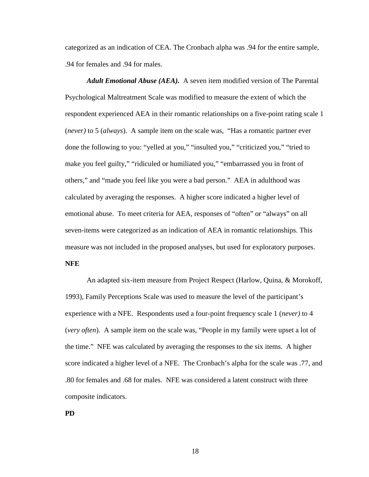categorized as an indication of CEA. The Cronbach alpha was .94 for the entire sample, .94 for females and .94 for males.

*Adult Emotional Abuse (AEA).* A seven item modified version of The Parental Psychological Maltreatment Scale was modified to measure the extent of which the respondent experienced AEA in their romantic relationships on a five-point rating scale 1 (*never)* to 5 (*always*). A sample item on the scale was, "Has a romantic partner ever done the following to you: "yelled at you," "insulted you," "criticized you," "tried to make you feel guilty," "ridiculed or humiliated you," "embarrassed you in front of others," and "made you feel like you were a bad person." AEA in adulthood was calculated by averaging the responses. A higher score indicated a higher level of emotional abuse. To meet criteria for AEA, responses of "often" or "always" on all seven-items were categorized as an indication of AEA in romantic relationships. This measure was not included in the proposed analyses, but used for exploratory purposes. **NFE**

An adapted six-item measure from Project Respect (Harlow, Quina, & Morokoff, 1993), Family Perceptions Scale was used to measure the level of the participant's experience with a NFE. Respondents used a four-point frequency scale 1 (*never)* to 4 (*very often*). A sample item on the scale was, "People in my family were upset a lot of the time." NFE was calculated by averaging the responses to the six items. A higher score indicated a higher level of a NFE. The Cronbach's alpha for the scale was .77, and .80 for females and .68 for males. NFE was considered a latent construct with three composite indicators.

**PD**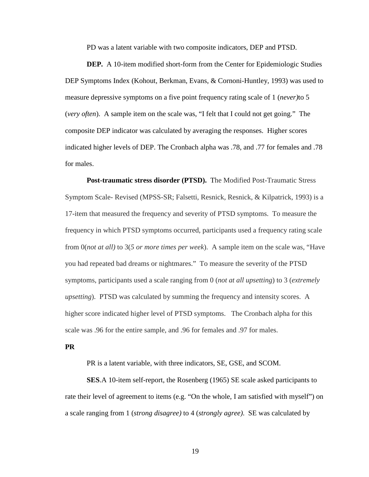PD was a latent variable with two composite indicators, DEP and PTSD.

**DEP.** A 10-item modified short-form from the Center for Epidemiologic Studies DEP Symptoms Index (Kohout, Berkman, Evans, & Cornoni-Huntley, 1993) was used to measure depressive symptoms on a five point frequency rating scale of 1 (*never)*to 5 (*very often*). A sample item on the scale was, "I felt that I could not get going." The composite DEP indicator was calculated by averaging the responses. Higher scores indicated higher levels of DEP. The Cronbach alpha was .78, and .77 for females and .78 for males.

**Post-traumatic stress disorder (PTSD).** The Modified Post-Traumatic Stress Symptom Scale- Revised (MPSS-SR; Falsetti, Resnick, Resnick, & Kilpatrick, 1993) is a 17-item that measured the frequency and severity of PTSD symptoms. To measure the frequency in which PTSD symptoms occurred, participants used a frequency rating scale from 0(*not at all)* to 3(*5 or more times per week*). A sample item on the scale was, "Have you had repeated bad dreams or nightmares." To measure the severity of the PTSD symptoms, participants used a scale ranging from 0 (*not at all upsetting*) to 3 (*extremely upsetting*). PTSD was calculated by summing the frequency and intensity scores. A higher score indicated higher level of PTSD symptoms. The Cronbach alpha for this scale was .96 for the entire sample, and .96 for females and .97 for males.

#### **PR**

PR is a latent variable, with three indicators, SE, GSE, and SCOM.

**SES**.A 10-item self-report, the Rosenberg (1965) SE scale asked participants to rate their level of agreement to items (e.g. "On the whole, I am satisfied with myself") on a scale ranging from 1 (*strong disagree)* to 4 (*strongly agree)*. SE was calculated by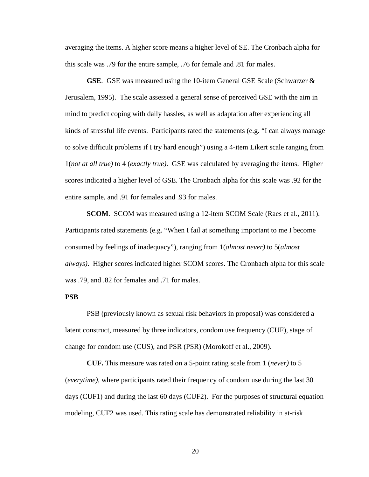averaging the items. A higher score means a higher level of SE. The Cronbach alpha for this scale was .79 for the entire sample, .76 for female and .81 for males.

**GSE**. GSE was measured using the 10-item General GSE Scale (Schwarzer & Jerusalem, 1995). The scale assessed a general sense of perceived GSE with the aim in mind to predict coping with daily hassles, as well as adaptation after experiencing all kinds of stressful life events. Participants rated the statements (e.g. "I can always manage to solve difficult problems if I try hard enough") using a 4-item Likert scale ranging from 1(*not at all true)* to 4 (*exactly true)*. GSE was calculated by averaging the items. Higher scores indicated a higher level of GSE. The Cronbach alpha for this scale was .92 for the entire sample, and .91 for females and .93 for males.

**SCOM**. SCOM was measured using a 12-item SCOM Scale (Raes et al., 2011). Participants rated statements (e.g. "When I fail at something important to me I become consumed by feelings of inadequacy"), ranging from 1(*almost never)* to 5(*almost always)*. Higher scores indicated higher SCOM scores. The Cronbach alpha for this scale was .79, and .82 for females and .71 for males.

# **PSB**

PSB (previously known as sexual risk behaviors in proposal) was considered a latent construct, measured by three indicators, condom use frequency (CUF), stage of change for condom use (CUS), and PSR (PSR) (Morokoff et al., 2009).

**CUF.** This measure was rated on a 5-point rating scale from 1 (*never)* to 5 (*everytime)*, where participants rated their frequency of condom use during the last 30 days (CUF1) and during the last 60 days (CUF2). For the purposes of structural equation modeling, CUF2 was used. This rating scale has demonstrated reliability in at-risk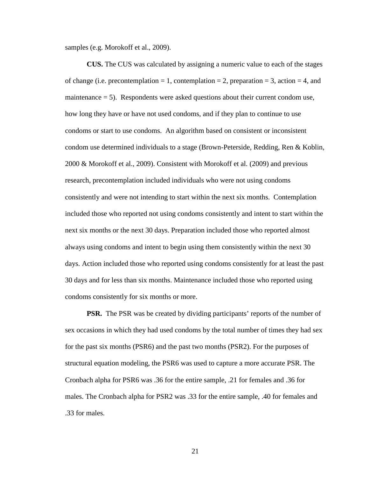samples (e.g. Morokoff et al., 2009).

**CUS.** The CUS was calculated by assigning a numeric value to each of the stages of change (i.e. precontemplation = 1, contemplation = 2, preparation = 3, action = 4, and maintenance  $= 5$ ). Respondents were asked questions about their current condom use, how long they have or have not used condoms, and if they plan to continue to use condoms or start to use condoms. An algorithm based on consistent or inconsistent condom use determined individuals to a stage (Brown-Peterside, Redding, Ren & Koblin, 2000 & Morokoff et al., 2009). Consistent with Morokoff et al. (2009) and previous research, precontemplation included individuals who were not using condoms consistently and were not intending to start within the next six months. Contemplation included those who reported not using condoms consistently and intent to start within the next six months or the next 30 days. Preparation included those who reported almost always using condoms and intent to begin using them consistently within the next 30 days. Action included those who reported using condoms consistently for at least the past 30 days and for less than six months. Maintenance included those who reported using condoms consistently for six months or more.

**PSR.** The PSR was be created by dividing participants' reports of the number of sex occasions in which they had used condoms by the total number of times they had sex for the past six months (PSR6) and the past two months (PSR2). For the purposes of structural equation modeling, the PSR6 was used to capture a more accurate PSR. The Cronbach alpha for PSR6 was .36 for the entire sample, .21 for females and .36 for males. The Cronbach alpha for PSR2 was .33 for the entire sample, .40 for females and .33 for males.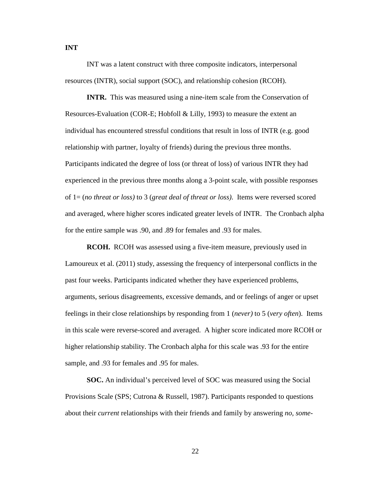INT was a latent construct with three composite indicators, interpersonal resources (INTR), social support (SOC), and relationship cohesion (RCOH).

**INTR.** This was measured using a nine-item scale from the Conservation of Resources-Evaluation (COR-E; Hobfoll & Lilly, 1993) to measure the extent an individual has encountered stressful conditions that result in loss of INTR (e.g. good relationship with partner, loyalty of friends) during the previous three months. Participants indicated the degree of loss (or threat of loss) of various INTR they had experienced in the previous three months along a 3-point scale, with possible responses of 1= (*no threat or loss)* to 3 (*great deal of threat or loss)*. Items were reversed scored and averaged, where higher scores indicated greater levels of INTR. The Cronbach alpha for the entire sample was .90, and .89 for females and .93 for males.

**RCOH.** RCOH was assessed using a five-item measure, previously used in Lamoureux et al. (2011) study, assessing the frequency of interpersonal conflicts in the past four weeks. Participants indicated whether they have experienced problems, arguments, serious disagreements, excessive demands, and or feelings of anger or upset feelings in their close relationships by responding from 1 (*never)* to 5 (*very often*). Items in this scale were reverse-scored and averaged. A higher score indicated more RCOH or higher relationship stability. The Cronbach alpha for this scale was .93 for the entire sample, and .93 for females and .95 for males.

**SOC.** An individual's perceived level of SOC was measured using the Social Provisions Scale (SPS; Cutrona & Russell, 1987). Participants responded to questions about their *current* relationships with their friends and family by answering *no, some-* 

**INT**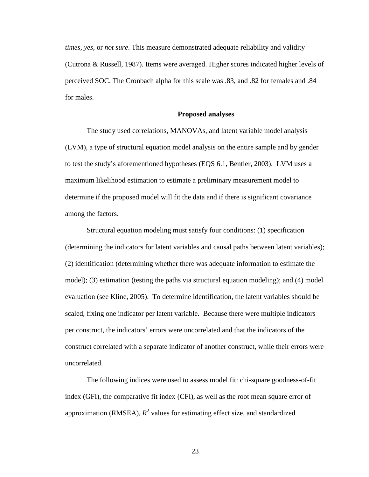*times, yes,* or *not sure*. This measure demonstrated adequate reliability and validity (Cutrona & Russell, 1987). Items were averaged. Higher scores indicated higher levels of perceived SOC. The Cronbach alpha for this scale was .83, and .82 for females and .84 for males.

#### **Proposed analyses**

The study used correlations, MANOVAs, and latent variable model analysis (LVM), a type of structural equation model analysis on the entire sample and by gender to test the study's aforementioned hypotheses (EQS 6.1, Bentler, 2003). LVM uses a maximum likelihood estimation to estimate a preliminary measurement model to determine if the proposed model will fit the data and if there is significant covariance among the factors.

Structural equation modeling must satisfy four conditions: (1) specification (determining the indicators for latent variables and causal paths between latent variables); (2) identification (determining whether there was adequate information to estimate the model); (3) estimation (testing the paths via structural equation modeling); and (4) model evaluation (see Kline, 2005). To determine identification, the latent variables should be scaled, fixing one indicator per latent variable. Because there were multiple indicators per construct, the indicators' errors were uncorrelated and that the indicators of the construct correlated with a separate indicator of another construct, while their errors were uncorrelated.

The following indices were used to assess model fit: chi-square goodness-of-fit index (GFI), the comparative fit index (CFI), as well as the root mean square error of approximation (RMSEA),  $R^2$  values for estimating effect size, and standardized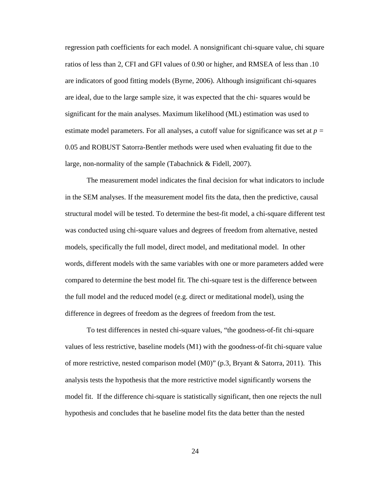regression path coefficients for each model. A nonsignificant chi-square value, chi square ratios of less than 2, CFI and GFI values of 0.90 or higher, and RMSEA of less than .10 are indicators of good fitting models (Byrne, 2006). Although insignificant chi-squares are ideal, due to the large sample size, it was expected that the chi- squares would be significant for the main analyses. Maximum likelihood (ML) estimation was used to estimate model parameters. For all analyses, a cutoff value for significance was set at  $p =$ 0.05 and ROBUST Satorra-Bentler methods were used when evaluating fit due to the large, non-normality of the sample (Tabachnick & Fidell, 2007).

The measurement model indicates the final decision for what indicators to include in the SEM analyses. If the measurement model fits the data, then the predictive, causal structural model will be tested. To determine the best-fit model, a chi-square different test was conducted using chi-square values and degrees of freedom from alternative, nested models, specifically the full model, direct model, and meditational model. In other words, different models with the same variables with one or more parameters added were compared to determine the best model fit. The chi-square test is the difference between the full model and the reduced model (e.g. direct or meditational model), using the difference in degrees of freedom as the degrees of freedom from the test.

To test differences in nested chi-square values, "the goodness-of-fit chi-square values of less restrictive, baseline models (M1) with the goodness-of-fit chi-square value of more restrictive, nested comparison model (M0)" (p.3, Bryant & Satorra, 2011). This analysis tests the hypothesis that the more restrictive model significantly worsens the model fit. If the difference chi-square is statistically significant, then one rejects the null hypothesis and concludes that he baseline model fits the data better than the nested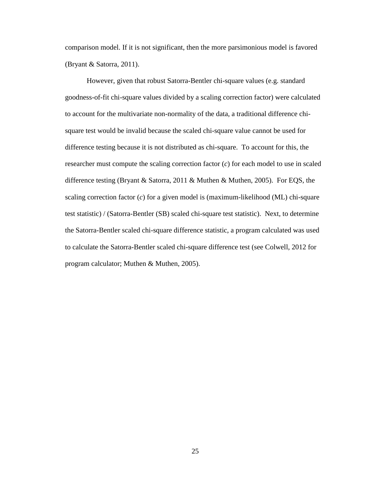comparison model. If it is not significant, then the more parsimonious model is favored (Bryant & Satorra, 2011).

However, given that robust Satorra-Bentler chi-square values (e.g. standard goodness-of-fit chi-square values divided by a scaling correction factor) were calculated to account for the multivariate non-normality of the data, a traditional difference chisquare test would be invalid because the scaled chi-square value cannot be used for difference testing because it is not distributed as chi-square. To account for this, the researcher must compute the scaling correction factor (*c*) for each model to use in scaled difference testing (Bryant & Satorra, 2011 & Muthen & Muthen, 2005). For EQS, the scaling correction factor (*c*) for a given model is (maximum-likelihood (ML) chi-square test statistic) / (Satorra-Bentler (SB) scaled chi-square test statistic). Next, to determine the Satorra-Bentler scaled chi-square difference statistic, a program calculated was used to calculate the Satorra-Bentler scaled chi-square difference test (see Colwell, 2012 for program calculator; Muthen & Muthen, 2005).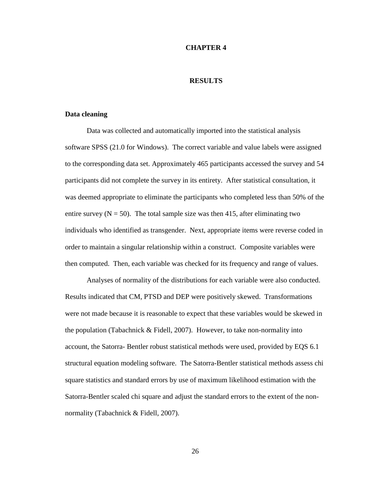#### **CHAPTER 4**

# **RESULTS**

## **Data cleaning**

Data was collected and automatically imported into the statistical analysis software SPSS (21.0 for Windows). The correct variable and value labels were assigned to the corresponding data set. Approximately 465 participants accessed the survey and 54 participants did not complete the survey in its entirety. After statistical consultation, it was deemed appropriate to eliminate the participants who completed less than 50% of the entire survey  $(N = 50)$ . The total sample size was then 415, after eliminating two individuals who identified as transgender. Next, appropriate items were reverse coded in order to maintain a singular relationship within a construct. Composite variables were then computed. Then, each variable was checked for its frequency and range of values.

Analyses of normality of the distributions for each variable were also conducted. Results indicated that CM, PTSD and DEP were positively skewed. Transformations were not made because it is reasonable to expect that these variables would be skewed in the population (Tabachnick & Fidell, 2007). However, to take non-normality into account, the Satorra- Bentler robust statistical methods were used, provided by EQS 6.1 structural equation modeling software. The Satorra-Bentler statistical methods assess chi square statistics and standard errors by use of maximum likelihood estimation with the Satorra-Bentler scaled chi square and adjust the standard errors to the extent of the nonnormality (Tabachnick & Fidell, 2007).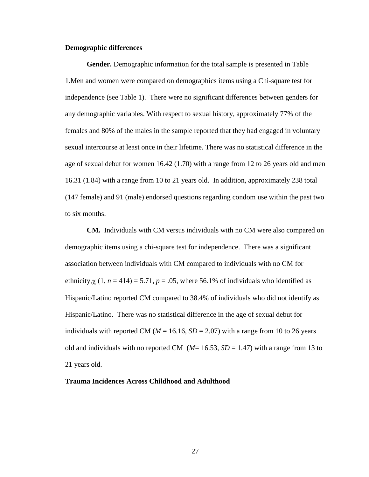## **Demographic differences**

**Gender.** Demographic information for the total sample is presented in Table 1.Men and women were compared on demographics items using a Chi-square test for independence (see Table 1). There were no significant differences between genders for any demographic variables. With respect to sexual history, approximately 77% of the females and 80% of the males in the sample reported that they had engaged in voluntary sexual intercourse at least once in their lifetime. There was no statistical difference in the age of sexual debut for women 16.42 (1.70) with a range from 12 to 26 years old and men 16.31 (1.84) with a range from 10 to 21 years old. In addition, approximately 238 total (147 female) and 91 (male) endorsed questions regarding condom use within the past two to six months.

**CM.** Individuals with CM versus individuals with no CM were also compared on demographic items using a chi-square test for independence. There was a significant association between individuals with CM compared to individuals with no CM for ethnicity,  $\chi$  (1,  $n = 414$ ) = 5.71,  $p = .05$ , where 56.1% of individuals who identified as Hispanic/Latino reported CM compared to 38.4% of individuals who did not identify as Hispanic/Latino. There was no statistical difference in the age of sexual debut for individuals with reported CM ( $M = 16.16$ ,  $SD = 2.07$ ) with a range from 10 to 26 years old and individuals with no reported CM  $(M=16.53, SD=1.47)$  with a range from 13 to 21 years old.

# **Trauma Incidences Across Childhood and Adulthood**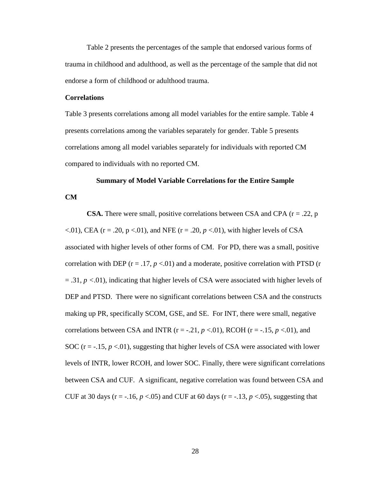Table 2 presents the percentages of the sample that endorsed various forms of trauma in childhood and adulthood, as well as the percentage of the sample that did not endorse a form of childhood or adulthood trauma.

## **Correlations**

**CM** 

Table 3 presents correlations among all model variables for the entire sample. Table 4 presents correlations among the variables separately for gender. Table 5 presents correlations among all model variables separately for individuals with reported CM compared to individuals with no reported CM.

# **Summary of Model Variable Correlations for the Entire Sample**

**CSA.** There were small, positive correlations between CSA and CPA  $(r = .22, p$  $\langle 0.01 \rangle$ , CEA (r = .20, p  $\langle 0.01 \rangle$ , and NFE (r = .20, p  $\langle 0.01 \rangle$ , with higher levels of CSA associated with higher levels of other forms of CM. For PD, there was a small, positive correlation with DEP  $(r = .17, p < .01)$  and a moderate, positive correlation with PTSD  $(r = .17, p < .01)$ = .31, *p <*.01), indicating that higher levels of CSA were associated with higher levels of DEP and PTSD. There were no significant correlations between CSA and the constructs making up PR, specifically SCOM, GSE, and SE. For INT, there were small, negative correlations between CSA and INTR ( $r = -0.21$ ,  $p < 0.01$ ), RCOH ( $r = -0.15$ ,  $p < 0.01$ ), and SOC ( $r = -15$ ,  $p < 01$ ), suggesting that higher levels of CSA were associated with lower levels of INTR, lower RCOH, and lower SOC. Finally, there were significant correlations between CSA and CUF. A significant, negative correlation was found between CSA and CUF at 30 days ( $r = -.16$ ,  $p < .05$ ) and CUF at 60 days ( $r = -.13$ ,  $p < .05$ ), suggesting that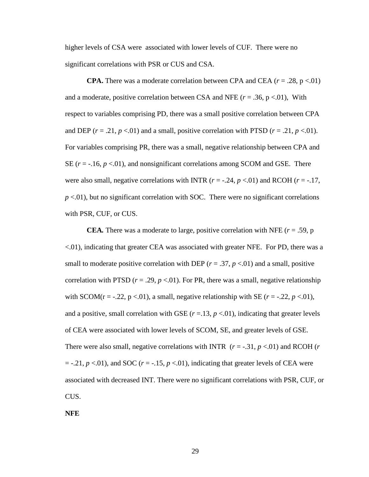higher levels of CSA were associated with lower levels of CUF. There were no significant correlations with PSR or CUS and CSA.

**CPA.** There was a moderate correlation between CPA and CEA  $(r = .28, p < .01)$ and a moderate, positive correlation between CSA and NFE  $(r = .36, p < .01)$ , With respect to variables comprising PD, there was a small positive correlation between CPA and DEP ( $r = .21$ ,  $p < .01$ ) and a small, positive correlation with PTSD ( $r = .21$ ,  $p < .01$ ). For variables comprising PR, there was a small, negative relationship between CPA and SE  $(r = -.16, p < .01)$ , and nonsignificant correlations among SCOM and GSE. There were also small, negative correlations with INTR  $(r = -.24, p < .01)$  and RCOH  $(r = -.17,$  $p$  <.01), but no significant correlation with SOC. There were no significant correlations with PSR, CUF, or CUS.

**CEA**. There was a moderate to large, positive correlation with NFE ( $r = .59$ , p <.01), indicating that greater CEA was associated with greater NFE. For PD, there was a small to moderate positive correlation with DEP  $(r = .37, p < .01)$  and a small, positive correlation with PTSD ( $r = .29$ ,  $p < .01$ ). For PR, there was a small, negative relationship with SCOM( $r = -0.22$ ,  $p < 0.01$ ), a small, negative relationship with SE ( $r = -0.22$ ,  $p < 0.01$ ), and a positive, small correlation with GSE  $(r = 13, p < 01)$ , indicating that greater levels of CEA were associated with lower levels of SCOM, SE, and greater levels of GSE. There were also small, negative correlations with INTR  $(r = -0.31, p < 0.01)$  and RCOH  $(r$  $=$  -.21,  $p < 0.01$ ), and SOC ( $r = -1.15$ ,  $p < 0.01$ ), indicating that greater levels of CEA were associated with decreased INT. There were no significant correlations with PSR, CUF, or CUS.

**NFE**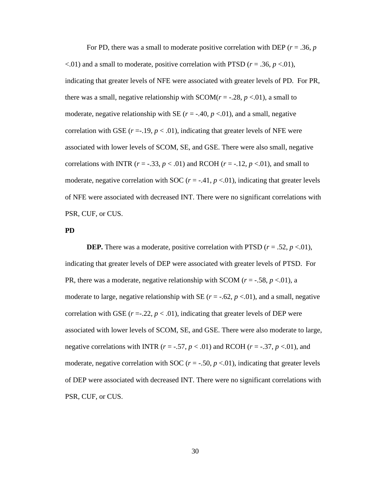For PD, there was a small to moderate positive correlation with DEP (*r* = .36, *p*  $\leq$ .01) and a small to moderate, positive correlation with PTSD ( $r = .36$ ,  $p \leq .01$ ), indicating that greater levels of NFE were associated with greater levels of PD. For PR, there was a small, negative relationship with  $SCOM(r = -0.28, p < 0.01)$ , a small to moderate, negative relationship with SE  $(r = -.40, p < .01)$ , and a small, negative correlation with GSE  $(r = .19, p < .01)$ , indicating that greater levels of NFE were associated with lower levels of SCOM, SE, and GSE. There were also small, negative correlations with INTR ( $r = -.33$ ,  $p < .01$ ) and RCOH ( $r = -.12$ ,  $p < .01$ ), and small to moderate, negative correlation with SOC  $(r = -.41, p < .01)$ , indicating that greater levels of NFE were associated with decreased INT. There were no significant correlations with PSR, CUF, or CUS.

#### **PD**

**DEP.** There was a moderate, positive correlation with PTSD ( $r = .52$ ,  $p < .01$ ), indicating that greater levels of DEP were associated with greater levels of PTSD. For PR, there was a moderate, negative relationship with SCOM  $(r = -.58, p < .01)$ , a moderate to large, negative relationship with SE ( $r = -.62$ ,  $p < .01$ ), and a small, negative correlation with GSE  $(r = 0.22, p < 0.01)$ , indicating that greater levels of DEP were associated with lower levels of SCOM, SE, and GSE. There were also moderate to large, negative correlations with INTR ( $r = -.57$ ,  $p < .01$ ) and RCOH ( $r = -.37$ ,  $p < .01$ ), and moderate, negative correlation with SOC ( $r = -0.50$ ,  $p < 0.01$ ), indicating that greater levels of DEP were associated with decreased INT. There were no significant correlations with PSR, CUF, or CUS.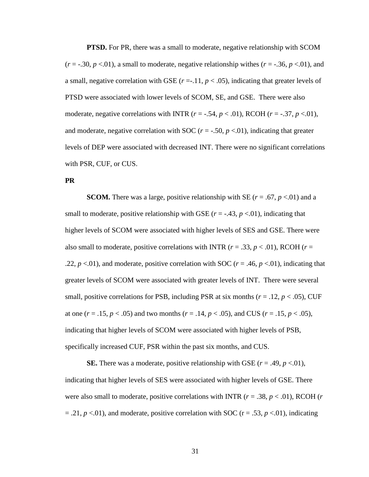**PTSD.** For PR, there was a small to moderate, negative relationship with SCOM  $(r = -.30, p < .01)$ , a small to moderate, negative relationship withes  $(r = -.36, p < .01)$ , and a small, negative correlation with GSE  $(r = .11, p < .05)$ , indicating that greater levels of PTSD were associated with lower levels of SCOM, SE, and GSE. There were also moderate, negative correlations with INTR  $(r = -.54, p < .01)$ , RCOH  $(r = -.37, p < .01)$ , and moderate, negative correlation with SOC ( $r = -.50$ ,  $p < .01$ ), indicating that greater levels of DEP were associated with decreased INT. There were no significant correlations with PSR, CUF, or CUS.

#### **PR**

**SCOM.** There was a large, positive relationship with SE ( $r = .67$ ,  $p < .01$ ) and a small to moderate, positive relationship with GSE ( $r = -0.43$ ,  $p < 0.01$ ), indicating that higher levels of SCOM were associated with higher levels of SES and GSE. There were also small to moderate, positive correlations with INTR ( $r = .33$ ,  $p < .01$ ), RCOH ( $r =$ .22,  $p \lt 0.01$ , and moderate, positive correlation with SOC ( $r = .46$ ,  $p \lt 0.01$ ), indicating that greater levels of SCOM were associated with greater levels of INT. There were several small, positive correlations for PSB, including PSR at six months ( $r = .12$ ,  $p < .05$ ), CUF at one  $(r = .15, p < .05)$  and two months  $(r = .14, p < .05)$ , and CUS  $(r = .15, p < .05)$ , indicating that higher levels of SCOM were associated with higher levels of PSB, specifically increased CUF, PSR within the past six months, and CUS.

**SE.** There was a moderate, positive relationship with GSE ( $r = .49$ ,  $p < .01$ ), indicating that higher levels of SES were associated with higher levels of GSE. There were also small to moderate, positive correlations with INTR (*r* = .38, *p* < .01), RCOH (*r*  $= .21, p < .01$ , and moderate, positive correlation with SOC ( $r = .53, p < .01$ ), indicating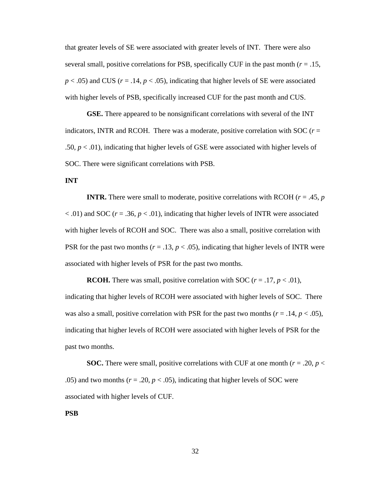that greater levels of SE were associated with greater levels of INT. There were also several small, positive correlations for PSB, specifically CUF in the past month  $(r = .15, )$  $p < .05$ ) and CUS ( $r = .14$ ,  $p < .05$ ), indicating that higher levels of SE were associated with higher levels of PSB, specifically increased CUF for the past month and CUS.

**GSE.** There appeared to be nonsignificant correlations with several of the INT indicators, INTR and RCOH. There was a moderate, positive correlation with SOC  $(r =$ .50,  $p < .01$ ), indicating that higher levels of GSE were associated with higher levels of SOC. There were significant correlations with PSB.

## **INT**

**INTR.** There were small to moderate, positive correlations with RCOH ( $r = .45$ ,  $p = .45$ )  $<$ .01) and SOC ( $r = .36$ ,  $p < .01$ ), indicating that higher levels of INTR were associated with higher levels of RCOH and SOC. There was also a small, positive correlation with PSR for the past two months ( $r = .13$ ,  $p < .05$ ), indicating that higher levels of INTR were associated with higher levels of PSR for the past two months.

**RCOH.** There was small, positive correlation with SOC ( $r = .17$ ,  $p < .01$ ), indicating that higher levels of RCOH were associated with higher levels of SOC. There was also a small, positive correlation with PSR for the past two months  $(r = .14, p < .05)$ , indicating that higher levels of RCOH were associated with higher levels of PSR for the past two months.

**SOC.** There were small, positive correlations with CUF at one month ( $r = .20$ ,  $p <$ .05) and two months ( $r = .20$ ,  $p < .05$ ), indicating that higher levels of SOC were associated with higher levels of CUF.

#### **PSB**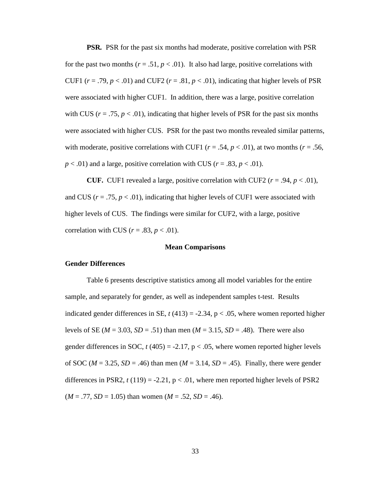**PSR***.* PSR for the past six months had moderate, positive correlation with PSR for the past two months  $(r = .51, p < .01)$ . It also had large, positive correlations with CUF1  $(r = .79, p < .01)$  and CUF2  $(r = .81, p < .01)$ , indicating that higher levels of PSR were associated with higher CUF1. In addition, there was a large, positive correlation with CUS ( $r = .75$ ,  $p < .01$ ), indicating that higher levels of PSR for the past six months were associated with higher CUS. PSR for the past two months revealed similar patterns, with moderate, positive correlations with CUF1 ( $r = .54$ ,  $p < .01$ ), at two months ( $r = .56$ ,  $p < .01$ ) and a large, positive correlation with CUS ( $r = .83$ ,  $p < .01$ ).

**CUF.** CUF1 revealed a large, positive correlation with CUF2 ( $r = .94$ ,  $p < .01$ ), and CUS ( $r = .75$ ,  $p < .01$ ), indicating that higher levels of CUF1 were associated with higher levels of CUS. The findings were similar for CUF2, with a large, positive correlation with CUS ( $r = .83$ ,  $p < .01$ ).

## **Mean Comparisons**

#### **Gender Differences**

Table 6 presents descriptive statistics among all model variables for the entire sample, and separately for gender, as well as independent samples t-test. Results indicated gender differences in SE,  $t$  (413) = -2.34,  $p < .05$ , where women reported higher levels of SE ( $M = 3.03$ ,  $SD = .51$ ) than men ( $M = 3.15$ ,  $SD = .48$ ). There were also gender differences in SOC,  $t(405) = -2.17$ ,  $p < .05$ , where women reported higher levels of SOC ( $M = 3.25$ ,  $SD = .46$ ) than men ( $M = 3.14$ ,  $SD = .45$ ). Finally, there were gender differences in PSR2,  $t(119) = -2.21$ ,  $p < .01$ , where men reported higher levels of PSR2  $(M = .77, SD = 1.05)$  than women  $(M = .52, SD = .46)$ .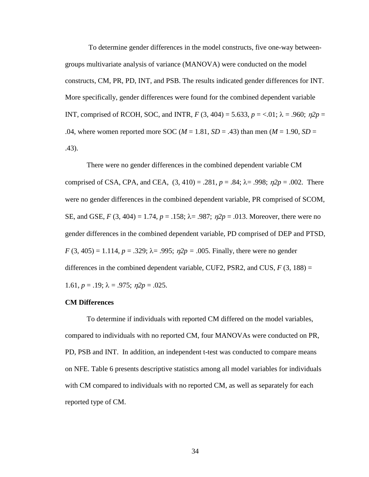To determine gender differences in the model constructs, five one-way betweengroups multivariate analysis of variance (MANOVA) were conducted on the model constructs, CM, PR, PD, INT, and PSB. The results indicated gender differences for INT. More specifically, gender differences were found for the combined dependent variable INT, comprised of RCOH, SOC, and INTR,  $F(3, 404) = 5.633$ ,  $p = <.01$ ;  $\lambda = .960$ ;  $p2p =$ .04, where women reported more SOC ( $M = 1.81$ ,  $SD = .43$ ) than men ( $M = 1.90$ ,  $SD =$ .43).

There were no gender differences in the combined dependent variable CM comprised of CSA, CPA, and CEA,  $(3, 410) = .281$ ,  $p = .84$ ;  $\lambda = .998$ ;  $p2p = .002$ . There were no gender differences in the combined dependent variable, PR comprised of SCOM, SE, and GSE,  $F(3, 404) = 1.74$ ,  $p = .158$ ;  $\lambda = .987$ ;  $p/p = .013$ . Moreover, there were no gender differences in the combined dependent variable, PD comprised of DEP and PTSD, *F* (3, 405) = 1.114, *p* = .329;  $\lambda$ = .995;  $\eta 2p$  = .005. Finally, there were no gender differences in the combined dependent variable, CUF2, PSR2, and CUS,  $F(3, 188) =$ 1.61,  $p = .19$ ;  $\lambda = .975$ ;  $n2p = .025$ .

## **CM Differences**

To determine if individuals with reported CM differed on the model variables, compared to individuals with no reported CM, four MANOVAs were conducted on PR, PD, PSB and INT. In addition, an independent t-test was conducted to compare means on NFE. Table 6 presents descriptive statistics among all model variables for individuals with CM compared to individuals with no reported CM, as well as separately for each reported type of CM.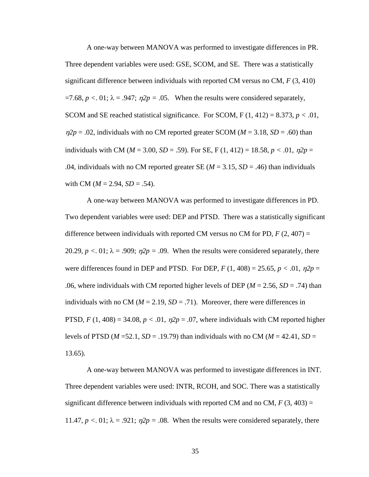A one-way between MANOVA was performed to investigate differences in PR. Three dependent variables were used: GSE, SCOM, and SE. There was a statistically significant difference between individuals with reported CM versus no CM, *F* (3, 410)  $=7.68$ ,  $p < 0.01$ ;  $\lambda = .947$ ;  $\eta2p = .05$ . When the results were considered separately, SCOM and SE reached statistical significance. For SCOM,  $F(1, 412) = 8.373$ ,  $p < .01$ ,  $\eta_2 p = 0.02$ , individuals with no CM reported greater SCOM ( $M = 3.18$ ,  $SD = 0.60$ ) than individuals with CM ( $M = 3.00$ ,  $SD = .59$ ). For SE, F (1, 412) = 18.58,  $p < .01$ ,  $n2p =$ .04, individuals with no CM reported greater SE ( $M = 3.15$ ,  $SD = .46$ ) than individuals with CM ( $M = 2.94$ ,  $SD = .54$ ).

A one-way between MANOVA was performed to investigate differences in PD. Two dependent variables were used: DEP and PTSD. There was a statistically significant difference between individuals with reported CM versus no CM for PD,  $F(2, 407) =$ 20.29,  $p < 0.01$ ;  $\lambda = .909$ ;  $\eta^2 p = .09$ . When the results were considered separately, there were differences found in DEP and PTSD. For DEP,  $F(1, 408) = 25.65$ ,  $p < .01$ ,  $\eta2p =$ .06, where individuals with CM reported higher levels of DEP ( $M = 2.56$ ,  $SD = .74$ ) than individuals with no CM ( $M = 2.19$ ,  $SD = .71$ ). Moreover, there were differences in PTSD,  $F(1, 408) = 34.08$ ,  $p < .01$ ,  $\eta2p = .07$ , where individuals with CM reported higher levels of PTSD ( $M = 52.1$ ,  $SD = .19.79$ ) than individuals with no CM ( $M = 42.41$ ,  $SD =$ 13.65).

A one-way between MANOVA was performed to investigate differences in INT. Three dependent variables were used: INTR, RCOH, and SOC. There was a statistically significant difference between individuals with reported CM and no CM,  $F(3, 403) =$ 11.47,  $p < 0.01$ ;  $\lambda = .921$ ;  $\eta 2p = .08$ . When the results were considered separately, there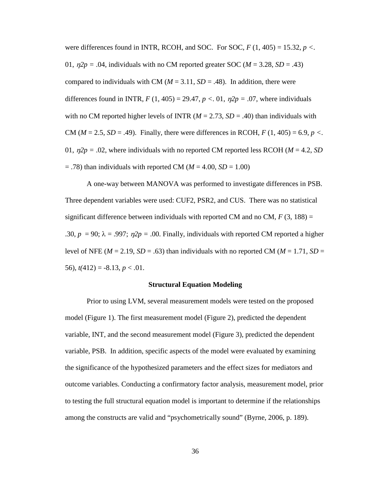were differences found in INTR, RCOH, and SOC. For SOC,  $F(1, 405) = 15.32$ ,  $p <$ . 01,  $\eta$ 2 $p = .04$ , individuals with no CM reported greater SOC ( $M = 3.28$ ,  $SD = .43$ ) compared to individuals with CM ( $M = 3.11$ ,  $SD = .48$ ). In addition, there were differences found in INTR,  $F(1, 405) = 29.47$ ,  $p < 0.01$ ,  $p2p = 0.07$ , where individuals with no CM reported higher levels of INTR ( $M = 2.73$ ,  $SD = .40$ ) than individuals with CM ( $M = 2.5$ ,  $SD = .49$ ). Finally, there were differences in RCOH,  $F(1, 405) = 6.9$ ,  $p <$ . 01,  $\eta$ 2 $p = 0.02$ , where individuals with no reported CM reported less RCOH ( $M = 4.2$ , SD)  $=$  .78) than individuals with reported CM ( $M = 4.00$ ,  $SD = 1.00$ )

A one-way between MANOVA was performed to investigate differences in PSB. Three dependent variables were used: CUF2, PSR2, and CUS. There was no statistical significant difference between individuals with reported CM and no CM,  $F(3, 188) =$ .30,  $p = 90$ ;  $\lambda = .997$ ;  $\eta 2p = .00$ . Finally, individuals with reported CM reported a higher level of NFE ( $M = 2.19$ ,  $SD = .63$ ) than individuals with no reported CM ( $M = 1.71$ ,  $SD =$ 56),  $t(412) = -8.13, p < .01$ .

#### **Structural Equation Modeling**

Prior to using LVM, several measurement models were tested on the proposed model (Figure 1). The first measurement model (Figure 2), predicted the dependent variable, INT, and the second measurement model (Figure 3), predicted the dependent variable, PSB. In addition, specific aspects of the model were evaluated by examining the significance of the hypothesized parameters and the effect sizes for mediators and outcome variables. Conducting a confirmatory factor analysis, measurement model, prior to testing the full structural equation model is important to determine if the relationships among the constructs are valid and "psychometrically sound" (Byrne, 2006, p. 189).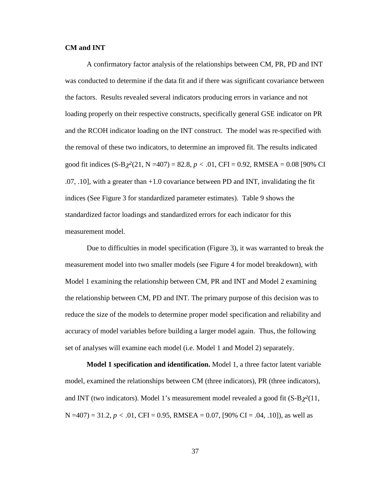## **CM and INT**

A confirmatory factor analysis of the relationships between CM, PR, PD and INT was conducted to determine if the data fit and if there was significant covariance between the factors. Results revealed several indicators producing errors in variance and not loading properly on their respective constructs, specifically general GSE indicator on PR and the RCOH indicator loading on the INT construct. The model was re-specified with the removal of these two indicators, to determine an improved fit. The results indicated good fit indices (S-Bχ*<sup>2</sup>*(21, N =407) = 82.8, *p <* .01, CFI = 0.92, RMSEA = 0.08 [90% CI .07, .10], with a greater than +1.0 covariance between PD and INT, invalidating the fit indices (See Figure 3 for standardized parameter estimates). Table 9 shows the standardized factor loadings and standardized errors for each indicator for this measurement model.

Due to difficulties in model specification (Figure 3), it was warranted to break the measurement model into two smaller models (see Figure 4 for model breakdown), with Model 1 examining the relationship between CM, PR and INT and Model 2 examining the relationship between CM, PD and INT. The primary purpose of this decision was to reduce the size of the models to determine proper model specification and reliability and accuracy of model variables before building a larger model again. Thus, the following set of analyses will examine each model (i.e. Model 1 and Model 2) separately.

**Model 1 specification and identification.** Model 1, a three factor latent variable model, examined the relationships between CM (three indicators), PR (three indicators), and INT (two indicators). Model 1's measurement model revealed a good fit  $(S-B\chi^2(11,$ N =407) = 31.2, *p <* .01, CFI = 0.95, RMSEA = 0.07, [90% CI = .04, .10]), as well as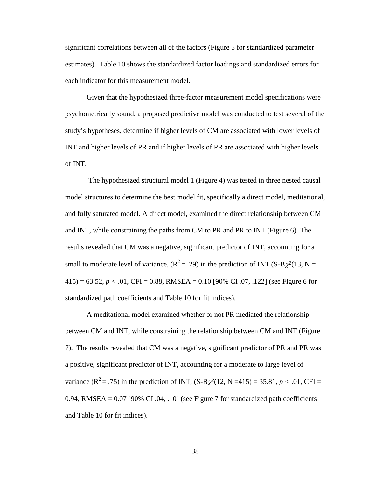significant correlations between all of the factors (Figure 5 for standardized parameter estimates). Table 10 shows the standardized factor loadings and standardized errors for each indicator for this measurement model.

Given that the hypothesized three-factor measurement model specifications were psychometrically sound, a proposed predictive model was conducted to test several of the study's hypotheses, determine if higher levels of CM are associated with lower levels of INT and higher levels of PR and if higher levels of PR are associated with higher levels of INT.

 The hypothesized structural model 1 (Figure 4) was tested in three nested causal model structures to determine the best model fit, specifically a direct model, meditational, and fully saturated model. A direct model, examined the direct relationship between CM and INT, while constraining the paths from CM to PR and PR to INT (Figure 6). The results revealed that CM was a negative, significant predictor of INT, accounting for a small to moderate level of variance,  $(R^2 = .29)$  in the prediction of INT (S-B $\chi^2(13, N = )$  $415$ ) = 63.52,  $p < .01$ , CFI = 0.88, RMSEA = 0.10 [90% CI .07, .122] (see Figure 6 for standardized path coefficients and Table 10 for fit indices).

A meditational model examined whether or not PR mediated the relationship between CM and INT, while constraining the relationship between CM and INT (Figure 7). The results revealed that CM was a negative, significant predictor of PR and PR was a positive, significant predictor of INT, accounting for a moderate to large level of variance ( $R^2 = .75$ ) in the prediction of INT, ( $S-B\chi^2(12, N=415) = 35.81, p < .01$ , CFI = 0.94, RMSEA =  $0.07$  [90% CI .04, .10] (see Figure 7 for standardized path coefficients and Table 10 for fit indices).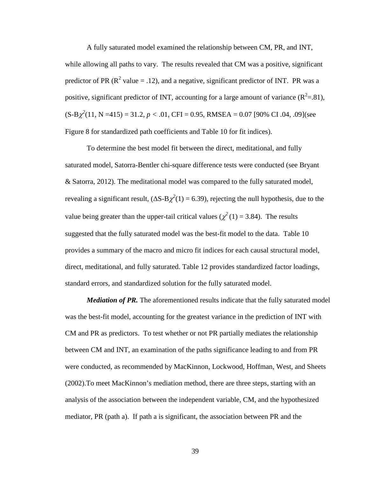A fully saturated model examined the relationship between CM, PR, and INT, while allowing all paths to vary. The results revealed that CM was a positive, significant predictor of PR ( $\mathbb{R}^2$  value = .12), and a negative, significant predictor of INT. PR was a positive, significant predictor of INT, accounting for a large amount of variance  $(R^2=81)$ ,  $(S-B\chi^2(11, N=415) = 31.2, p < .01, CFI = 0.95, RMSEA = 0.07 [90\% CI.04, .09](see$ Figure 8 for standardized path coefficients and Table 10 for fit indices).

To determine the best model fit between the direct, meditational, and fully saturated model, Satorra-Bentler chi-square difference tests were conducted (see Bryant & Satorra, 2012). The meditational model was compared to the fully saturated model, revealing a significant result,  $(\Delta S - B\chi^2(1) = 6.39)$ , rejecting the null hypothesis, due to the value being greater than the upper-tail critical values ( $\chi^2(1) = 3.84$ ). The results suggested that the fully saturated model was the best-fit model to the data. Table 10 provides a summary of the macro and micro fit indices for each causal structural model, direct, meditational, and fully saturated. Table 12 provides standardized factor loadings, standard errors, and standardized solution for the fully saturated model.

*Mediation of PR.* The aforementioned results indicate that the fully saturated model was the best-fit model, accounting for the greatest variance in the prediction of INT with CM and PR as predictors. To test whether or not PR partially mediates the relationship between CM and INT, an examination of the paths significance leading to and from PR were conducted, as recommended by MacKinnon, Lockwood, Hoffman, West, and Sheets (2002).To meet MacKinnon's mediation method, there are three steps, starting with an analysis of the association between the independent variable, CM, and the hypothesized mediator, PR (path a). If path a is significant, the association between PR and the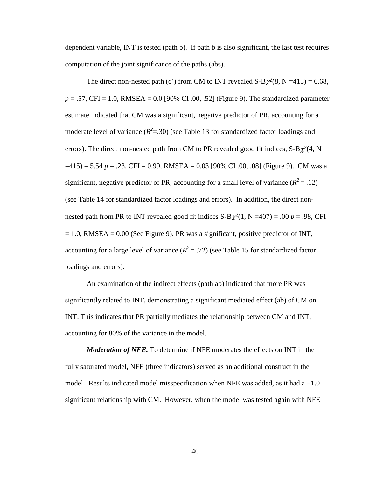dependent variable, INT is tested (path b). If path b is also significant, the last test requires computation of the joint significance of the paths (abs).

The direct non-nested path (c') from CM to INT revealed  $S-B\chi^2(8, N=415) = 6.68$ ,  $p = .57$ , CFI = 1.0, RMSEA = 0.0 [90% CI .00, .52] (Figure 9). The standardized parameter estimate indicated that CM was a significant, negative predictor of PR, accounting for a moderate level of variance  $(R^2 = 0.30)$  (see Table 13 for standardized factor loadings and errors). The direct non-nested path from CM to PR revealed good fit indices,  $S-B\chi^2(4, N)$  $=415$ ) = 5.54 *p* = .23, CFI = 0.99, RMSEA = 0.03 [90% CI .00, .08] (Figure 9). CM was a significant, negative predictor of PR, accounting for a small level of variance  $(R^2 = .12)$ (see Table 14 for standardized factor loadings and errors). In addition, the direct nonnested path from PR to INT revealed good fit indices  $S-B\chi^2(1, N=407) = .00 p = .98$ , CFI  $= 1.0$ , RMSEA  $= 0.00$  (See Figure 9). PR was a significant, positive predictor of INT, accounting for a large level of variance  $(R^2 = .72)$  (see Table 15 for standardized factor loadings and errors).

An examination of the indirect effects (path ab) indicated that more PR was significantly related to INT, demonstrating a significant mediated effect (ab) of CM on INT. This indicates that PR partially mediates the relationship between CM and INT, accounting for 80% of the variance in the model.

*Moderation of NFE.* To determine if NFE moderates the effects on INT in the fully saturated model, NFE (three indicators) served as an additional construct in the model. Results indicated model misspecification when NFE was added, as it had  $a + 1.0$ significant relationship with CM. However, when the model was tested again with NFE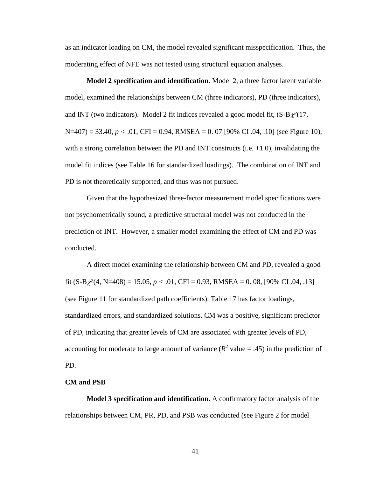as an indicator loading on CM, the model revealed significant misspecification. Thus, the moderating effect of NFE was not tested using structural equation analyses.

**Model 2 specification and identification.** Model 2, a three factor latent variable model, examined the relationships between CM (three indicators), PD (three indicators), and INT (two indicators). Model 2 fit indices revealed a good model fit,  $(S-B\chi^2(17,$ N=407) = 33.40, *p <* .01, CFI = 0.94, RMSEA = 0. 07 [90% CI .04, .10] (see Figure 10), with a strong correlation between the PD and INT constructs (i.e.  $+1.0$ ), invalidating the model fit indices (see Table 16 for standardized loadings). The combination of INT and PD is not theoretically supported, and thus was not pursued.

Given that the hypothesized three-factor measurement model specifications were not psychometrically sound, a predictive structural model was not conducted in the prediction of INT. However, a smaller model examining the effect of CM and PD was conducted.

A direct model examining the relationship between CM and PD, revealed a good fit  $(S-B\chi^2(4, N=408) = 15.05, p < .01, CFI = 0.93, RMSEA = 0.08, [90% CI.04, .13]$ (see Figure 11 for standardized path coefficients). Table 17 has factor loadings, standardized errors, and standardized solutions. CM was a positive, significant predictor of PD, indicating that greater levels of CM are associated with greater levels of PD, accounting for moderate to large amount of variance  $(R^2 \text{ value} = .45)$  in the prediction of PD.

## **CM and PSB**

**Model 3 specification and identification.** A confirmatory factor analysis of the relationships between CM, PR, PD, and PSB was conducted (see Figure 2 for model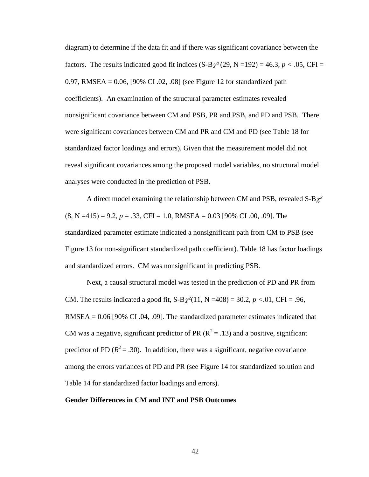diagram) to determine if the data fit and if there was significant covariance between the factors. The results indicated good fit indices  $(S-B\chi^2(29, N=192) = 46.3, p < .05, CFI =$ 0.97, RMSEA = 0.06, [90% CI .02, .08] (see Figure 12 for standardized path coefficients). An examination of the structural parameter estimates revealed nonsignificant covariance between CM and PSB, PR and PSB, and PD and PSB. There were significant covariances between CM and PR and CM and PD (see Table 18 for standardized factor loadings and errors). Given that the measurement model did not reveal significant covariances among the proposed model variables, no structural model analyses were conducted in the prediction of PSB.

A direct model examining the relationship between CM and PSB, revealed S-Bχ*<sup>2</sup>*  $(8, N = 415) = 9.2, p = .33, CFI = 1.0, RMSEA = 0.03$  [90% CI .00, .09]. The standardized parameter estimate indicated a nonsignificant path from CM to PSB (see Figure 13 for non-significant standardized path coefficient). Table 18 has factor loadings and standardized errors. CM was nonsignificant in predicting PSB.

Next, a causal structural model was tested in the prediction of PD and PR from CM. The results indicated a good fit, S-Bχ*<sup>2</sup>*(11, N =408) = 30.2, *p <*.01, CFI = .96, RMSEA = 0.06 [90% CI .04, .09]. The standardized parameter estimates indicated that CM was a negative, significant predictor of PR ( $R^2 = .13$ ) and a positive, significant predictor of PD  $(R^2 = .30)$ . In addition, there was a significant, negative covariance among the errors variances of PD and PR (see Figure 14 for standardized solution and Table 14 for standardized factor loadings and errors).

#### **Gender Differences in CM and INT and PSB Outcomes**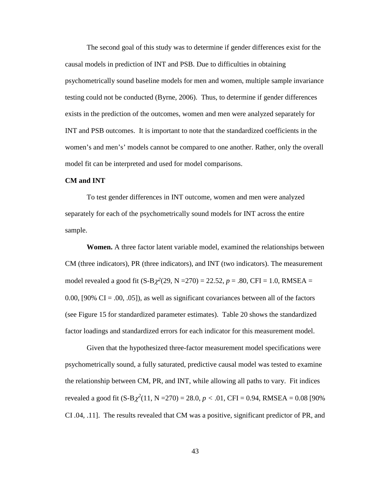The second goal of this study was to determine if gender differences exist for the causal models in prediction of INT and PSB. Due to difficulties in obtaining psychometrically sound baseline models for men and women, multiple sample invariance testing could not be conducted (Byrne, 2006). Thus, to determine if gender differences exists in the prediction of the outcomes, women and men were analyzed separately for INT and PSB outcomes. It is important to note that the standardized coefficients in the women's and men's' models cannot be compared to one another. Rather, only the overall model fit can be interpreted and used for model comparisons.

## **CM and INT**

To test gender differences in INT outcome, women and men were analyzed separately for each of the psychometrically sound models for INT across the entire sample.

**Women.** A three factor latent variable model, examined the relationships between CM (three indicators), PR (three indicators), and INT (two indicators). The measurement model revealed a good fit  $(S-B\chi^2(29, N=270) = 22.52, p = .80, CFI = 1.0, RMSEA =$ 0.00, [90%  $CI = .00, .05$ ]), as well as significant covariances between all of the factors (see Figure 15 for standardized parameter estimates). Table 20 shows the standardized factor loadings and standardized errors for each indicator for this measurement model.

Given that the hypothesized three-factor measurement model specifications were psychometrically sound, a fully saturated, predictive causal model was tested to examine the relationship between CM, PR, and INT, while allowing all paths to vary. Fit indices revealed a good fit (S-B $\chi^2(11, N=270) = 28.0, p < .01, CFI = 0.94, RMSEA = 0.08$  [90% CI .04, .11]. The results revealed that CM was a positive, significant predictor of PR, and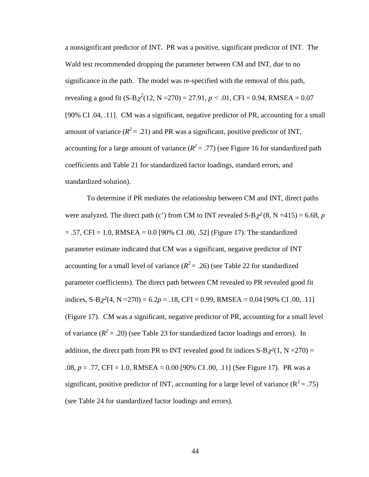a nonsignificant predictor of INT. PR was a positive, significant predictor of INT. The Wald test recommended dropping the parameter between CM and INT, due to no significance in the path. The model was re-specified with the removal of this path, revealing a good fit  $(S-B\chi^2(12, N=270) = 27.91, p < .01, CFI = 0.94, RMSEA = 0.07$ [90% CI .04, .11]. CM was a significant, negative predictor of PR, accounting for a small amount of variance  $(R^2 = .21)$  and PR was a significant, positive predictor of INT, accounting for a large amount of variance  $(R^2 = .77)$  (see Figure 16 for standardized path coefficients and Table 21 for standardized factor loadings, standard errors, and standardized solution).

To determine if PR mediates the relationship between CM and INT, direct paths were analyzed. The direct path (c') from CM to INT revealed  $S-B\chi^2(8, N=415) = 6.68$ , *p*  $= .57$ , CFI = 1.0, RMSEA = 0.0 [90% CI .00, .52] (Figure 17). The standardized parameter estimate indicated that CM was a significant, negative predictor of INT accounting for a small level of variance  $(R^2 = .26)$  (see Table 22 for standardized parameter coefficients). The direct path between CM revealed to PR revealed good fit indices,  $S-B\chi^2(4, N=270) = 6.2p = .18$ , CFI = 0.99, RMSEA = 0.04 [90% CI .00, .11] (Figure 17). CM was a significant, negative predictor of PR, accounting for a small level of variance  $(R^2 = .20)$  (see Table 23 for standardized factor loadings and errors). In addition, the direct path from PR to INT revealed good fit indices  $S-B\chi^2(1, N=270) =$ .08, *p* = .77, CFI = 1.0, RMSEA = 0.00 [90% CI .00, .11] (See Figure 17). PR was a significant, positive predictor of INT, accounting for a large level of variance ( $R^2 = .75$ ) (see Table 24 for standardized factor loadings and errors).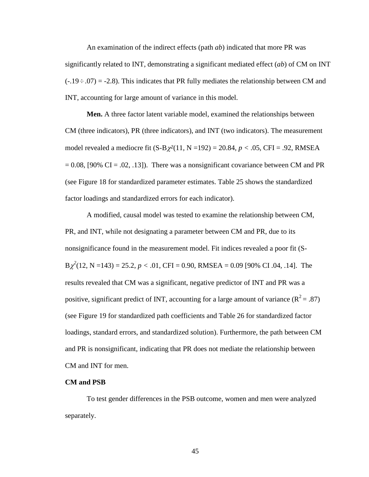An examination of the indirect effects (path *ab*) indicated that more PR was significantly related to INT, demonstrating a significant mediated effect (*ab*) of CM on INT  $(-.19 \div .07) = -2.8$ ). This indicates that PR fully mediates the relationship between CM and INT, accounting for large amount of variance in this model.

**Men.** A three factor latent variable model, examined the relationships between CM (three indicators), PR (three indicators), and INT (two indicators). The measurement model revealed a mediocre fit (S-Bχ*<sup>2</sup>*(11, N =192) = 20.84, *p <* .05, CFI = .92, RMSEA  $= 0.08$ , [90% CI = .02, .13]). There was a nonsignificant covariance between CM and PR (see Figure 18 for standardized parameter estimates. Table 25 shows the standardized factor loadings and standardized errors for each indicator).

A modified, causal model was tested to examine the relationship between CM, PR, and INT, while not designating a parameter between CM and PR, due to its nonsignificance found in the measurement model. Fit indices revealed a poor fit (S- $B\chi^2(12, N=143) = 25.2, p < .01, CFI = 0.90, RMSEA = 0.09$  [90% CI .04, .14]. The results revealed that CM was a significant, negative predictor of INT and PR was a positive, significant predict of INT, accounting for a large amount of variance  $(R^2 = .87)$ (see Figure 19 for standardized path coefficients and Table 26 for standardized factor loadings, standard errors, and standardized solution). Furthermore, the path between CM and PR is nonsignificant, indicating that PR does not mediate the relationship between CM and INT for men.

## **CM and PSB**

To test gender differences in the PSB outcome, women and men were analyzed separately.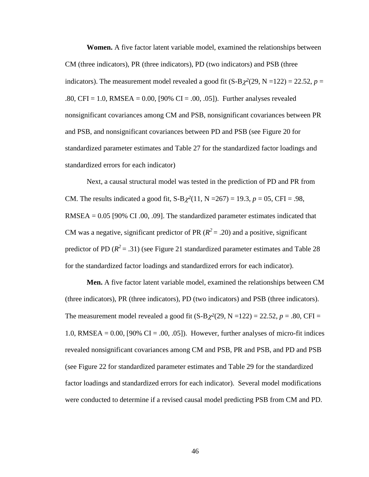**Women.** A five factor latent variable model, examined the relationships between CM (three indicators), PR (three indicators), PD (two indicators) and PSB (three indicators). The measurement model revealed a good fit  $(S-B\chi^2(29, N=122) = 22.52, p =$ .80, CFI = 1.0, RMSEA = 0.00, [90% CI = .00, .05]). Further analyses revealed nonsignificant covariances among CM and PSB, nonsignificant covariances between PR and PSB, and nonsignificant covariances between PD and PSB (see Figure 20 for standardized parameter estimates and Table 27 for the standardized factor loadings and standardized errors for each indicator)

Next, a causal structural model was tested in the prediction of PD and PR from CM. The results indicated a good fit,  $S-B\chi^2(11, N = 267) = 19.3$ ,  $p = 05$ , CFI = .98,  $RMSEA = 0.05$  [90% CI .00, .09]. The standardized parameter estimates indicated that CM was a negative, significant predictor of PR ( $R^2 = .20$ ) and a positive, significant predictor of PD  $(R^2 = .31)$  (see Figure 21 standardized parameter estimates and Table 28 for the standardized factor loadings and standardized errors for each indicator).

**Men.** A five factor latent variable model, examined the relationships between CM (three indicators), PR (three indicators), PD (two indicators) and PSB (three indicators). The measurement model revealed a good fit  $(S-B\chi^2(29, N=122) = 22.52, p = .80, CFI =$ 1.0, RMSEA =  $0.00$ , [90% CI =  $.00$ ,  $.05$ ]). However, further analyses of micro-fit indices revealed nonsignificant covariances among CM and PSB, PR and PSB, and PD and PSB (see Figure 22 for standardized parameter estimates and Table 29 for the standardized factor loadings and standardized errors for each indicator). Several model modifications were conducted to determine if a revised causal model predicting PSB from CM and PD.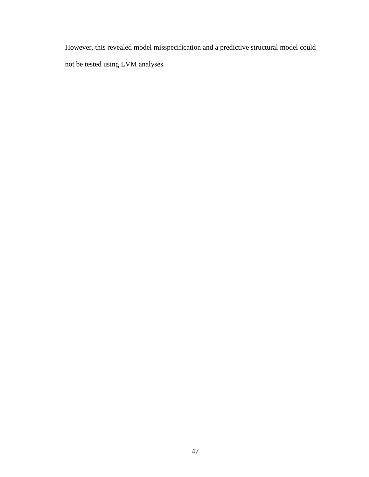However, this revealed model misspecification and a predictive structural model could not be tested using LVM analyses.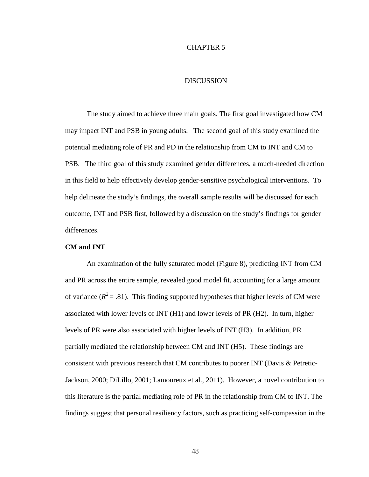## CHAPTER 5

# DISCUSSION

The study aimed to achieve three main goals. The first goal investigated how CM may impact INT and PSB in young adults. The second goal of this study examined the potential mediating role of PR and PD in the relationship from CM to INT and CM to PSB. The third goal of this study examined gender differences, a much-needed direction in this field to help effectively develop gender-sensitive psychological interventions. To help delineate the study's findings, the overall sample results will be discussed for each outcome, INT and PSB first, followed by a discussion on the study's findings for gender differences.

## **CM and INT**

An examination of the fully saturated model (Figure 8), predicting INT from CM and PR across the entire sample, revealed good model fit, accounting for a large amount of variance  $(R^2 = .81)$ . This finding supported hypotheses that higher levels of CM were associated with lower levels of INT (H1) and lower levels of PR (H2). In turn, higher levels of PR were also associated with higher levels of INT (H3). In addition, PR partially mediated the relationship between CM and INT (H5). These findings are consistent with previous research that CM contributes to poorer INT (Davis & Petretic-Jackson, 2000; DiLillo, 2001; Lamoureux et al., 2011). However, a novel contribution to this literature is the partial mediating role of PR in the relationship from CM to INT. The findings suggest that personal resiliency factors, such as practicing self-compassion in the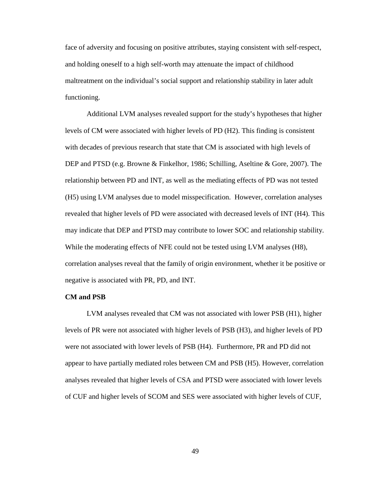face of adversity and focusing on positive attributes, staying consistent with self-respect, and holding oneself to a high self-worth may attenuate the impact of childhood maltreatment on the individual's social support and relationship stability in later adult functioning.

Additional LVM analyses revealed support for the study's hypotheses that higher levels of CM were associated with higher levels of PD (H2). This finding is consistent with decades of previous research that state that CM is associated with high levels of DEP and PTSD (e.g. Browne & Finkelhor, 1986; Schilling, Aseltine & Gore, 2007). The relationship between PD and INT, as well as the mediating effects of PD was not tested (H5) using LVM analyses due to model misspecification. However, correlation analyses revealed that higher levels of PD were associated with decreased levels of INT (H4). This may indicate that DEP and PTSD may contribute to lower SOC and relationship stability. While the moderating effects of NFE could not be tested using LVM analyses (H8), correlation analyses reveal that the family of origin environment, whether it be positive or negative is associated with PR, PD, and INT.

#### **CM and PSB**

LVM analyses revealed that CM was not associated with lower PSB (H1), higher levels of PR were not associated with higher levels of PSB (H3), and higher levels of PD were not associated with lower levels of PSB (H4). Furthermore, PR and PD did not appear to have partially mediated roles between CM and PSB (H5). However, correlation analyses revealed that higher levels of CSA and PTSD were associated with lower levels of CUF and higher levels of SCOM and SES were associated with higher levels of CUF,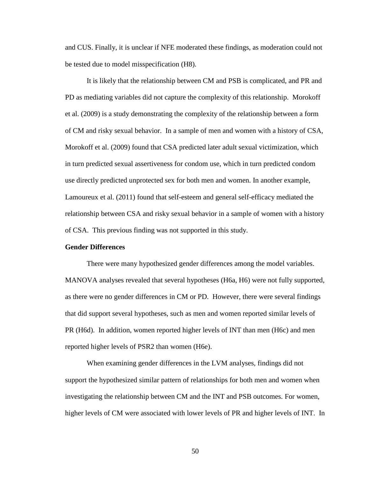and CUS. Finally, it is unclear if NFE moderated these findings, as moderation could not be tested due to model misspecification (H8).

It is likely that the relationship between CM and PSB is complicated, and PR and PD as mediating variables did not capture the complexity of this relationship. Morokoff et al. (2009) is a study demonstrating the complexity of the relationship between a form of CM and risky sexual behavior. In a sample of men and women with a history of CSA, Morokoff et al. (2009) found that CSA predicted later adult sexual victimization, which in turn predicted sexual assertiveness for condom use, which in turn predicted condom use directly predicted unprotected sex for both men and women. In another example, Lamoureux et al. (2011) found that self-esteem and general self-efficacy mediated the relationship between CSA and risky sexual behavior in a sample of women with a history of CSA. This previous finding was not supported in this study.

#### **Gender Differences**

 There were many hypothesized gender differences among the model variables. MANOVA analyses revealed that several hypotheses (H6a, H6) were not fully supported, as there were no gender differences in CM or PD. However, there were several findings that did support several hypotheses, such as men and women reported similar levels of PR (H6d). In addition, women reported higher levels of INT than men (H6c) and men reported higher levels of PSR2 than women (H6e).

 When examining gender differences in the LVM analyses, findings did not support the hypothesized similar pattern of relationships for both men and women when investigating the relationship between CM and the INT and PSB outcomes. For women, higher levels of CM were associated with lower levels of PR and higher levels of INT. In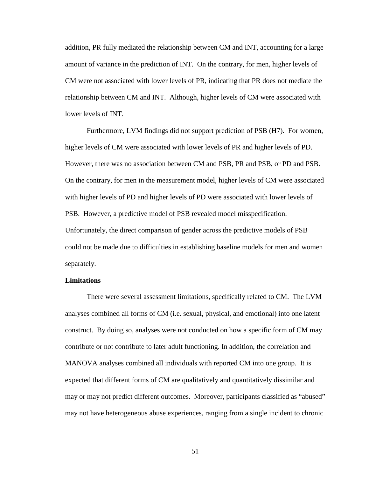addition, PR fully mediated the relationship between CM and INT, accounting for a large amount of variance in the prediction of INT. On the contrary, for men, higher levels of CM were not associated with lower levels of PR, indicating that PR does not mediate the relationship between CM and INT. Although, higher levels of CM were associated with lower levels of INT.

 Furthermore, LVM findings did not support prediction of PSB (H7). For women, higher levels of CM were associated with lower levels of PR and higher levels of PD. However, there was no association between CM and PSB, PR and PSB, or PD and PSB. On the contrary, for men in the measurement model, higher levels of CM were associated with higher levels of PD and higher levels of PD were associated with lower levels of PSB. However, a predictive model of PSB revealed model misspecification. Unfortunately, the direct comparison of gender across the predictive models of PSB could not be made due to difficulties in establishing baseline models for men and women separately.

#### **Limitations**

There were several assessment limitations, specifically related to CM. The LVM analyses combined all forms of CM (i.e. sexual, physical, and emotional) into one latent construct. By doing so, analyses were not conducted on how a specific form of CM may contribute or not contribute to later adult functioning. In addition, the correlation and MANOVA analyses combined all individuals with reported CM into one group. It is expected that different forms of CM are qualitatively and quantitatively dissimilar and may or may not predict different outcomes. Moreover, participants classified as "abused" may not have heterogeneous abuse experiences, ranging from a single incident to chronic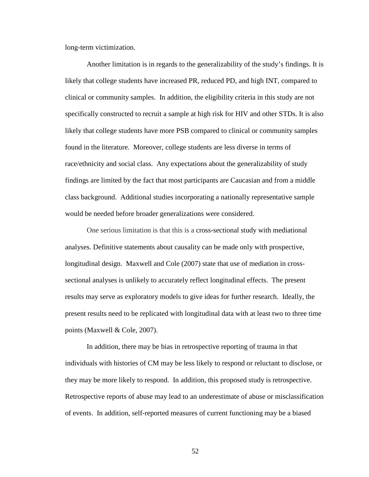long-term victimization.

Another limitation is in regards to the generalizability of the study's findings. It is likely that college students have increased PR, reduced PD, and high INT, compared to clinical or community samples. In addition, the eligibility criteria in this study are not specifically constructed to recruit a sample at high risk for HIV and other STDs. It is also likely that college students have more PSB compared to clinical or community samples found in the literature. Moreover, college students are less diverse in terms of race/ethnicity and social class. Any expectations about the generalizability of study findings are limited by the fact that most participants are Caucasian and from a middle class background. Additional studies incorporating a nationally representative sample would be needed before broader generalizations were considered.

One serious limitation is that this is a cross-sectional study with mediational analyses. Definitive statements about causality can be made only with prospective, longitudinal design. Maxwell and Cole (2007) state that use of mediation in crosssectional analyses is unlikely to accurately reflect longitudinal effects. The present results may serve as exploratory models to give ideas for further research. Ideally, the present results need to be replicated with longitudinal data with at least two to three time points (Maxwell & Cole, 2007).

In addition, there may be bias in retrospective reporting of trauma in that individuals with histories of CM may be less likely to respond or reluctant to disclose, or they may be more likely to respond. In addition, this proposed study is retrospective. Retrospective reports of abuse may lead to an underestimate of abuse or misclassification of events. In addition, self-reported measures of current functioning may be a biased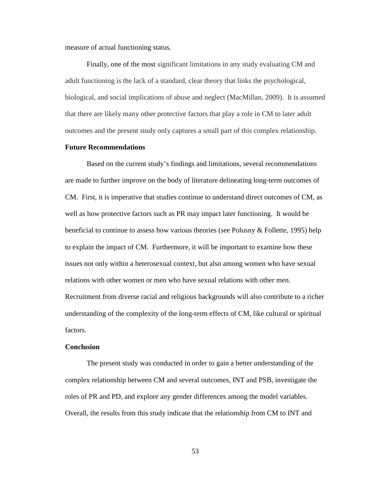measure of actual functioning status.

Finally, one of the most significant limitations in any study evaluating CM and adult functioning is the lack of a standard, clear theory that links the psychological, biological, and social implications of abuse and neglect (MacMillan, 2009). It is assumed that there are likely many other protective factors that play a role in CM to later adult outcomes and the present study only captures a small part of this complex relationship.

#### **Future Recommendations**

Based on the current study's findings and limitations, several recommendations are made to further improve on the body of literature delineating long-term outcomes of CM. First, it is imperative that studies continue to understand direct outcomes of CM, as well as how protective factors such as PR may impact later functioning. It would be beneficial to continue to assess how various theories (see Polusny  $\&$  Follette, 1995) help to explain the impact of CM. Furthermore, it will be important to examine how these issues not only within a heterosexual context, but also among women who have sexual relations with other women or men who have sexual relations with other men. Recruitment from diverse racial and religious backgrounds will also contribute to a richer understanding of the complexity of the long-term effects of CM, like cultural or spiritual factors.

#### **Conclusion**

The present study was conducted in order to gain a better understanding of the complex relationship between CM and several outcomes, INT and PSB, investigate the roles of PR and PD, and explore any gender differences among the model variables. Overall, the results from this study indicate that the relationship from CM to INT and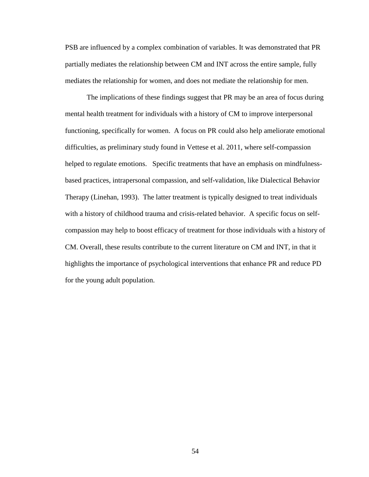PSB are influenced by a complex combination of variables. It was demonstrated that PR partially mediates the relationship between CM and INT across the entire sample, fully mediates the relationship for women, and does not mediate the relationship for men.

The implications of these findings suggest that PR may be an area of focus during mental health treatment for individuals with a history of CM to improve interpersonal functioning, specifically for women. A focus on PR could also help ameliorate emotional difficulties, as preliminary study found in Vettese et al. 2011, where self-compassion helped to regulate emotions. Specific treatments that have an emphasis on mindfulnessbased practices, intrapersonal compassion, and self-validation, like Dialectical Behavior Therapy (Linehan, 1993). The latter treatment is typically designed to treat individuals with a history of childhood trauma and crisis-related behavior. A specific focus on selfcompassion may help to boost efficacy of treatment for those individuals with a history of CM. Overall, these results contribute to the current literature on CM and INT, in that it highlights the importance of psychological interventions that enhance PR and reduce PD for the young adult population.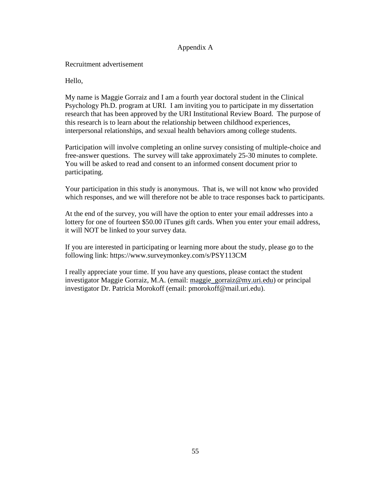# Appendix A

Recruitment advertisement

Hello,

My name is Maggie Gorraiz and I am a fourth year doctoral student in the Clinical Psychology Ph.D. program at URI. I am inviting you to participate in my dissertation My name is Maggie Gorraiz and I am a fourth year doctoral student in the Clinical<br>Psychology Ph.D. program at URI. I am inviting you to participate in my dissertation<br>research that has been approved by the URI Institutiona research that has been approved by the URI Institutional Review Board. The p<br>this research is to learn about the relationship between childhood experiences, interpersonal relationships, and sexual health behaviors among college students. this research is to learn about the relationship between childhood experiences,<br>interpersonal relationships, and sexual health behaviors among college students.<br>Participation will involve completing an online survey consis

interpersonal relationships, and sexual health behaviors among college students.<br>Participation will involve completing an online survey consisting of multiple-choice and<br>free-answer questions. The survey will take approxim You will be asked to read and consent to an informed consent document prior to participating. You will be asked to read and consent to an informed consent document prior to<br>participating.<br>Your participation in this study is anonymous. That is, we will not know who provided 30 minutes to complete.<br>locument prior to<br>not know who provided<br>onses back to participants<br>email addresses into a<br>enter your email address,

which responses, and we will therefore not be able to trace responses back to participants.

At the end of the survey, you will have the option to enter your email addresses into a which responses, and we will therefore not be able to trace responses back to participants<br>At the end of the survey, you will have the option to enter your email addresses into a<br>lottery for one of fourteen \$50.00 iTunes g it will NOT be linked to your survey data.

If you are interested in participating or learning more about the study, please go to the following link: https://www.surveymonkey.com/s/PSY113CM ll NOT be linked to your survey data.<br>u are interested in participating or learning more about the study, please go<br>wing link: https://www.surveymonkey.com/s/PSY113CM

I really appreciate your time. If you have any questions, please contact the student I really appreciate your time. If you have any questions, please contact the student<br>investigator Maggie Gorraiz, M.A. (email: maggie\_gorraiz@my.uri.edu) or principal investigator Dr. Patricia Morokoff (email: pmorokoff@mail.uri.edu).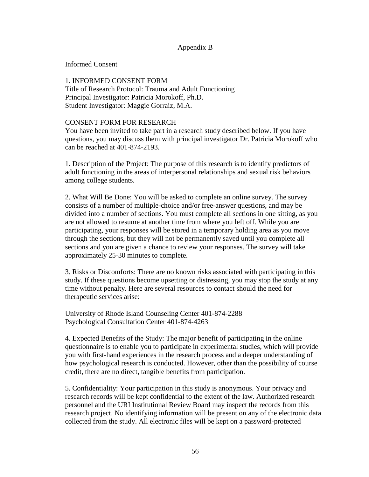# Appendix B

Informed Consent

# 1. INFORMED CONSENT FORM

Title of Research Protocol: Trauma and Adult Functioning Principal Investigator: Patricia Morokoff, Ph.D. Student Investigator: Maggie Gorraiz, M.A.

# CONSENT FORM FOR RESEARCH

You have been invited to take part in a research study described below. If you have questions, you may discuss them with principal investigator Dr. Patricia Morokoff who can be reached at 401-874-2193.

1. Description of the Project: The purpose of this research is to identify predictors of adult functioning in the areas of interpersonal relationships and sexual risk behaviors among college students.

2. What Will Be Done: You will be asked to complete an online survey. The survey consists of a number of multiple-choice and/or free-answer questions, and may be divided into a number of sections. You must complete all sections in one sitting, as you are not allowed to resume at another time from where you left off. While you are participating, your responses will be stored in a temporary holding area as you move through the sections, but they will not be permanently saved until you complete all sections and you are given a chance to review your responses. The survey will take approximately 25-30 minutes to complete.

3. Risks or Discomforts: There are no known risks associated with participating in this study. If these questions become upsetting or distressing, you may stop the study at any time without penalty. Here are several resources to contact should the need for therapeutic services arise:

University of Rhode Island Counseling Center 401-874-2288 Psychological Consultation Center 401-874-4263

4. Expected Benefits of the Study: The major benefit of participating in the online questionnaire is to enable you to participate in experimental studies, which will provide you with first-hand experiences in the research process and a deeper understanding of how psychological research is conducted. However, other than the possibility of course credit, there are no direct, tangible benefits from participation.

5. Confidentiality: Your participation in this study is anonymous. Your privacy and research records will be kept confidential to the extent of the law. Authorized research personnel and the URI Institutional Review Board may inspect the records from this research project. No identifying information will be present on any of the electronic data collected from the study. All electronic files will be kept on a password-protected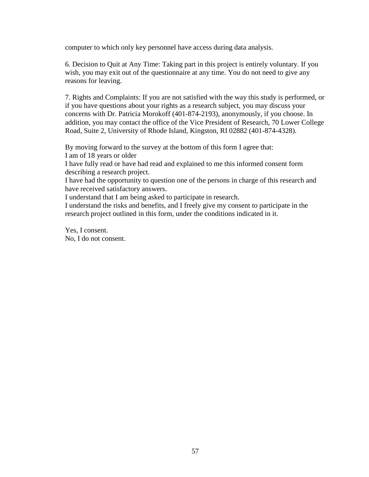computer to which only key personnel have access during data analysis.

6. Decision to Quit at Any Time: Taking part in this project is entirely voluntary. If you wish, you may exit out of the questionnaire at any time. You do not need to give any reasons for leaving.

7. Rights and Complaints: If you are not satisfied with the way this study is performed, or if you have questions about your rights as a research subject, you may discuss your concerns with Dr. Patricia Morokoff (401-874-2193), anonymously, if you choose. In addition, you may contact the office of the Vice President of Research, 70 Lower College Road, Suite 2, University of Rhode Island, Kingston, RI 02882 (401-874-4328).

By moving forward to the survey at the bottom of this form I agree that: I am of 18 years or older

I have fully read or have had read and explained to me this informed consent form describing a research project.

I have had the opportunity to question one of the persons in charge of this research and have received satisfactory answers.

I understand that I am being asked to participate in research.

I understand the risks and benefits, and I freely give my consent to participate in the research project outlined in this form, under the conditions indicated in it.

Yes, I consent. No, I do not consent.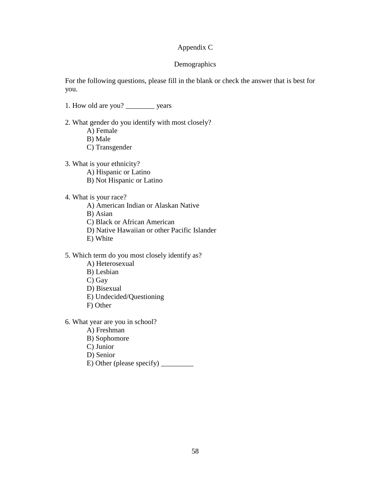# Appendix C

# Demographics

For the following questions, please fill in the blank or check the answer that is best for you.

- 1. How old are you? \_\_\_\_\_\_\_\_ years
- 2. What gender do you identify with most closely?
	- A) Female
	- B) Male
	- C) Transgender
- 3. What is your ethnicity?
	- A) Hispanic or Latino
	- B) Not Hispanic or Latino
- 4. What is your race?
	- A) American Indian or Alaskan Native
	- B) Asian
	- C) Black or African American
	- D) Native Hawaiian or other Pacific Islander
	- E) White
- 5. Which term do you most closely identify as?
	- A) Heterosexual
	- B) Lesbian
	- C) Gay
	- D) Bisexual
	- E) Undecided/Questioning
	- F) Other
- 6. What year are you in school?
	- A) Freshman
	- B) Sophomore
	- C) Junior
	- D) Senior
	- E) Other (please specify) \_\_\_\_\_\_\_\_\_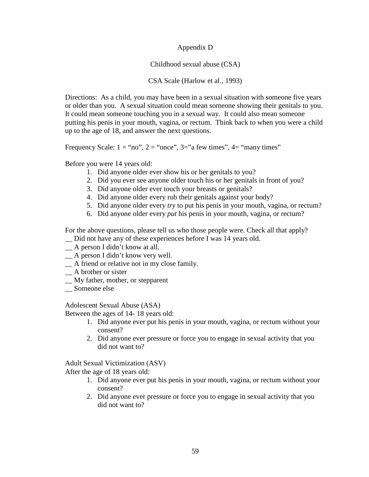Appendix D

Childhood sexual abuse (CSA)

# CSA Scale (Harlow et al., 1993)

Directions: As a child, you may have been in a sexual situation with someone five years or older than you. A sexual situation could mean someone showing their genitals to you. It could mean someone touching you in a sexual way. It could also mean someone putting his penis in your mouth, vagina, or rectum. Think back to when you were a child up to the age of 18, and answer the next questions.

Frequency Scale:  $1 = \text{``no''}, 2 = \text{``once''}, 3 = \text{``a few times''}, 4 = \text{``many times''}$ 

Before you were 14 years old:

- 1. Did anyone older ever show his or her genitals to you?
- 2. Did you ever see anyone older touch his or her genitals in front of you?
- 3. Did anyone older ever touch your breasts or genitals?
- 4. Did anyone older every rub their genitals against your body?
- 5. Did anyone older every *try* to put his penis in your mouth, vagina, or rectum?
- 6. Did anyone older every *put* his penis in your mouth, vagina, or rectum?

For the above questions, please tell us who those people were. Check all that apply?

- \_\_ Did not have any of these experiences before I was 14 years old.
- \_\_ A person I didn't know at all.
- \_\_ A person I didn't know very well.
- \_\_ A friend or relative not in my close family.
- \_\_ A brother or sister
- \_\_ My father, mother, or stepparent
- \_\_ Someone else

Adolescent Sexual Abuse (ASA)

Between the ages of 14- 18 years old:

- 1. Did anyone ever put his penis in your mouth, vagina, or rectum without your consent?
- 2. Did anyone ever pressure or force you to engage in sexual activity that you did not want to?

Adult Sexual Victimization (ASV)

After the age of 18 years old:

- 1. Did anyone ever put his penis in your mouth, vagina, or rectum without your consent?
- 2. Did anyone ever pressure or force you to engage in sexual activity that you did not want to?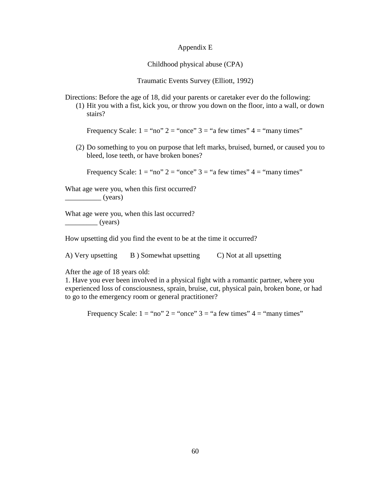## Appendix E

Childhood physical abuse (CPA)

Traumatic Events Survey (Elliott, 1992)

Directions: Before the age of 18, did your parents or caretaker ever do the following:

(1) Hit you with a fist, kick you, or throw you down on the floor, into a wall, or down stairs?

Frequency Scale:  $1 = \text{``no'' } 2 = \text{``once'' } 3 = \text{``a few times'' } 4 = \text{``many times''}$ 

(2) Do something to you on purpose that left marks, bruised, burned, or caused you to bleed, lose teeth, or have broken bones?

Frequency Scale:  $1 =$  "no"  $2 =$  "once"  $3 =$  "a few times"  $4 =$  "many times"

What age were you, when this first occurred?

 $\frac{\ }{\ }$  (years)

What age were you, when this last occurred?  $(years)$ 

How upsetting did you find the event to be at the time it occurred?

A) Very upsetting B ) Somewhat upsetting C Not at all upsetting

After the age of 18 years old:

1. Have you ever been involved in a physical fight with a romantic partner, where you experienced loss of consciousness, sprain, bruise, cut, physical pain, broken bone, or had to go to the emergency room or general practitioner?

Frequency Scale:  $1 = \text{``no'' } 2 = \text{``once'' } 3 = \text{``a few times'' } 4 = \text{``many times''}$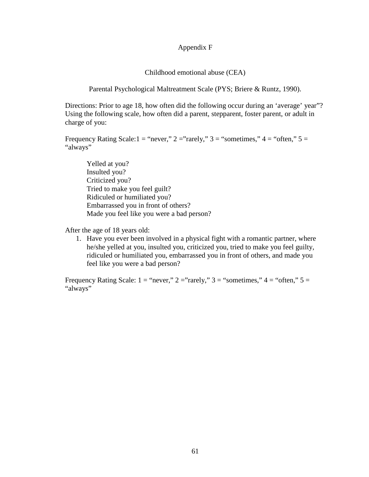# Appendix F

Childhood emotional abuse (CEA)

Parental Psychological Maltreatment Scale (PYS; Briere & Runtz, 1990).

Directions: Prior to age 18, how often did the following occur during an 'average' year"? Using the following scale, how often did a parent, stepparent, foster parent, or adult in charge of you:

Frequency Rating Scale:1 = "never,"  $2 =$ "rarely,"  $3 =$  "sometimes,"  $4 =$  "often,"  $5 =$ "always"

 Yelled at you? Insulted you? Criticized you? Tried to make you feel guilt? Ridiculed or humiliated you? Embarrassed you in front of others? Made you feel like you were a bad person?

After the age of 18 years old:

1. Have you ever been involved in a physical fight with a romantic partner, where he/she yelled at you, insulted you, criticized you, tried to make you feel guilty, ridiculed or humiliated you, embarrassed you in front of others, and made you feel like you were a bad person?

Frequency Rating Scale:  $1 =$  "never,"  $2 =$ "rarely,"  $3 =$  "sometimes,"  $4 =$  "often,"  $5 =$ "always"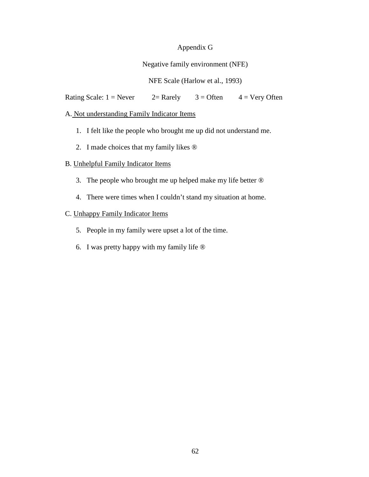#### Appendix G

### Negative family environment (NFE)

## NFE Scale (Harlow et al., 1993)

Rating Scale:  $1 =$  Never  $2 =$  Rarely  $3 =$  Often  $4 =$  Very Often

## A. Not understanding Family Indicator Items

- 1. I felt like the people who brought me up did not understand me.
- 2. I made choices that my family likes ®

### B. Unhelpful Family Indicator Items

- 3. The people who brought me up helped make my life better ®
- 4. There were times when I couldn't stand my situation at home.

## C. Unhappy Family Indicator Items

- 5. People in my family were upset a lot of the time.
- 6. I was pretty happy with my family life ®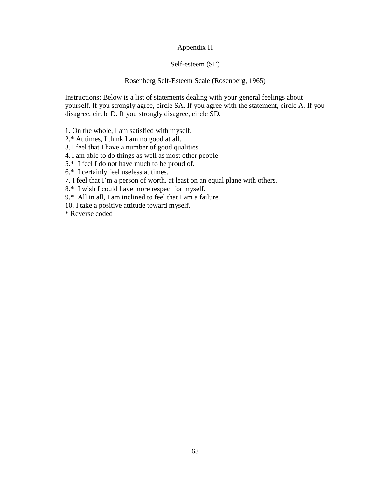#### Appendix H

#### Self-esteem (SE)

#### Rosenberg Self-Esteem Scale (Rosenberg, 1965)

Instructions: Below is a list of statements dealing with your general feelings about yourself. If you strongly agree, circle SA. If you agree with the statement, circle A. If you disagree, circle D. If you strongly disagree, circle SD.

1. On the whole, I am satisfied with myself.

2.\* At times, I think I am no good at all.

3. I feel that I have a number of good qualities.

4. I am able to do things as well as most other people.

5.\* I feel I do not have much to be proud of.

6.\* I certainly feel useless at times.

7. I feel that I'm a person of worth, at least on an equal plane with others.

8.\* I wish I could have more respect for myself.

9.\* All in all, I am inclined to feel that I am a failure.

10. I take a positive attitude toward myself.

\* Reverse coded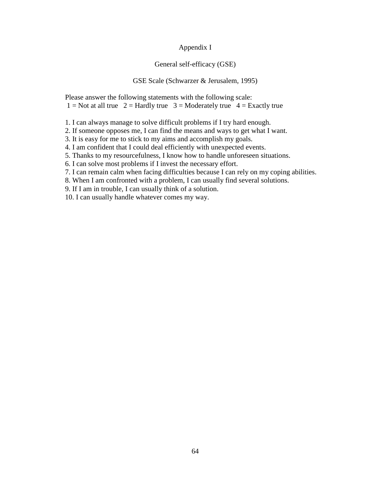#### Appendix I

#### General self-efficacy (GSE)

#### GSE Scale (Schwarzer & Jerusalem, 1995)

Please answer the following statements with the following scale:  $1 = Not$  at all true  $2 = Hardy$  true  $3 = Model$  true  $4 = Exactly$  true

1. I can always manage to solve difficult problems if I try hard enough.

2. If someone opposes me, I can find the means and ways to get what I want.

3. It is easy for me to stick to my aims and accomplish my goals.

4. I am confident that I could deal efficiently with unexpected events.

5. Thanks to my resourcefulness, I know how to handle unforeseen situations.

6. I can solve most problems if I invest the necessary effort.

7. I can remain calm when facing difficulties because I can rely on my coping abilities.

8. When I am confronted with a problem, I can usually find several solutions.

9. If I am in trouble, I can usually think of a solution.

10. I can usually handle whatever comes my way.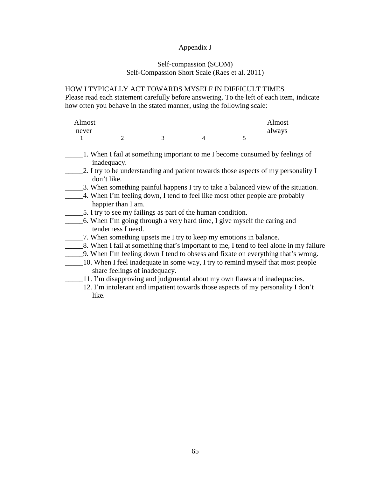#### Appendix J

#### Self-compassion (SCOM) Self-Compassion Short Scale (Raes et al. 2011)

#### HOW I TYPICALLY ACT TOWARDS MYSELF IN DIFFICULT TIMES

Please read each statement carefully before answering. To the left of each item, indicate how often you behave in the stated manner, using the following scale:

| Almost |  |  | Almost |
|--------|--|--|--------|
| never  |  |  | always |
|        |  |  |        |

- \_\_\_\_\_1. When I fail at something important to me I become consumed by feelings of inadequacy.
- 2. I try to be understanding and patient towards those aspects of my personality I don't like.
- \_\_\_\_\_3. When something painful happens I try to take a balanced view of the situation.
- \_\_\_\_\_4. When I'm feeling down, I tend to feel like most other people are probably happier than I am.
- \_\_\_\_\_5. I try to see my failings as part of the human condition.
- \_\_\_\_\_6. When I'm going through a very hard time, I give myself the caring and tenderness I need.
- \_\_\_\_\_7. When something upsets me I try to keep my emotions in balance.
- \_\_\_\_\_8. When I fail at something that's important to me, I tend to feel alone in my failure
- \_\_\_\_\_9. When I'm feeling down I tend to obsess and fixate on everything that's wrong.
- \_\_\_\_\_10. When I feel inadequate in some way, I try to remind myself that most people share feelings of inadequacy.
- \_\_\_\_\_11. I'm disapproving and judgmental about my own flaws and inadequacies.
- \_\_\_\_\_12. I'm intolerant and impatient towards those aspects of my personality I don't like.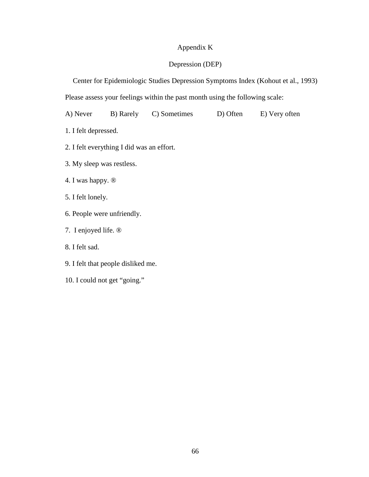## Appendix K

## Depression (DEP)

Center for Epidemiologic Studies Depression Symptoms Index (Kohout et al., 1993)

Please assess your feelings within the past month using the following scale:

A) Never B) Rarely C) Sometimes D) Often E) Very often

1. I felt depressed.

- 2. I felt everything I did was an effort.
- 3. My sleep was restless.
- 4. I was happy. ®
- 5. I felt lonely.
- 6. People were unfriendly.
- 7. I enjoyed life. ®
- 8. I felt sad.
- 9. I felt that people disliked me.
- 10. I could not get "going."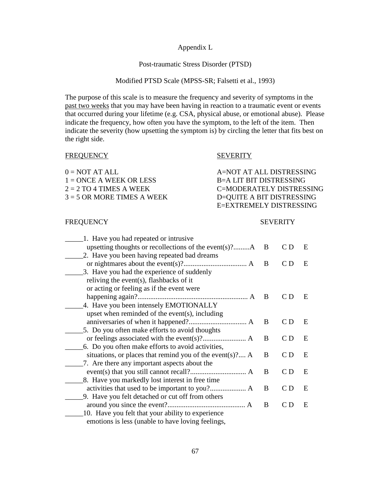#### Appendix L

#### Post-traumatic Stress Disorder (PTSD)

#### Modified PTSD Scale (MPSS-SR; Falsetti et al., 1993)

The purpose of this scale is to measure the frequency and severity of symptoms in the past two weeks that you may have been having in reaction to a traumatic event or events that occurred during your lifetime (e.g. CSA, physical abuse, or emotional abuse). Please indicate the frequency, how often you have the symptom, to the left of the item. Then indicate the severity (how upsetting the symptom is) by circling the letter that fits best on the right side.

| $0 = NOT AT ALL$             | A=NOT AT ALL DISTRESSING  |
|------------------------------|---------------------------|
| $1 =$ ONCE A WEEK OR LESS    | B=A LIT BIT DISTRESSING   |
| $2 = 2 TO 4 TIMES A WEEK$    | C=MODERATELY DISTRESSING  |
| $3 = 5$ OR MORE TIMES A WEEK | D=QUITE A BIT DISTRESSING |
|                              | E=EXTREMELY DISTRESSING   |

FREQUENCY SEVERITY

#### FREQUENCY SEVERITY

| 1. Have you had repeated or intrusive                        |   |     |   |
|--------------------------------------------------------------|---|-----|---|
| upsetting thoughts or recollections of the event $(s)$ ? $A$ | B | C D | E |
| 2. Have you been having repeated bad dreams                  |   |     |   |
|                                                              | B | C D | E |
| 3. Have you had the experience of suddenly                   |   |     |   |
| reliving the event(s), flashbacks of it                      |   |     |   |
| or acting or feeling as if the event were                    |   |     |   |
|                                                              | B | C D | E |
| 4. Have you been intensely EMOTIONALLY                       |   |     |   |
| upset when reminded of the event(s), including               |   |     |   |
|                                                              | B | C D | E |
| 5. Do you often make efforts to avoid thoughts               |   |     |   |
|                                                              | B | C D | E |
| 6. Do you often make efforts to avoid activities,            |   |     |   |
| situations, or places that remind you of the event(s)? $A$   | B | C D | E |
| 7. Are there any important aspects about the                 |   |     |   |
|                                                              | B | CD  | E |
| 8. Have you markedly lost interest in free time              |   |     |   |
|                                                              | B | C D | E |
| 9. Have you felt detached or cut off from others             |   |     |   |
|                                                              | B | C D | E |
| 10. Have you felt that your ability to experience            |   |     |   |
| emotions is less (unable to have loving feelings,            |   |     |   |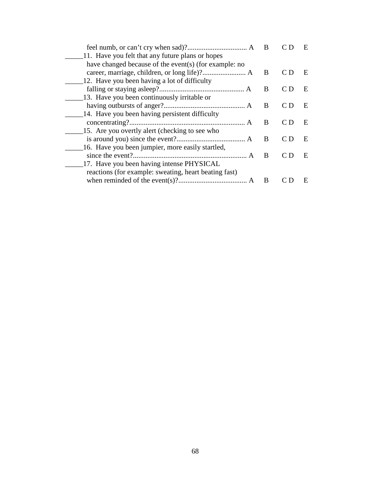|                                                       | B |     | E |
|-------------------------------------------------------|---|-----|---|
| 11. Have you felt that any future plans or hopes      |   |     |   |
| have changed because of the event(s) (for example: no |   |     |   |
|                                                       | B | C D | Е |
| 12. Have you been having a lot of difficulty          |   |     |   |
|                                                       | B | C D | E |
| 13. Have you been continuously irritable or           |   |     |   |
|                                                       | B | C D | E |
| 14. Have you been having persistent difficulty        |   |     |   |
|                                                       | B | C D | E |
| 15. Are you overtly alert (checking to see who        |   |     |   |
|                                                       | B | C D | E |
| 16. Have you been jumpier, more easily startled,      |   |     |   |
|                                                       | B | C D | E |
| 17. Have you been having intense PHYSICAL             |   |     |   |
| reactions (for example: sweating, heart beating fast) |   |     |   |
|                                                       | B |     | E |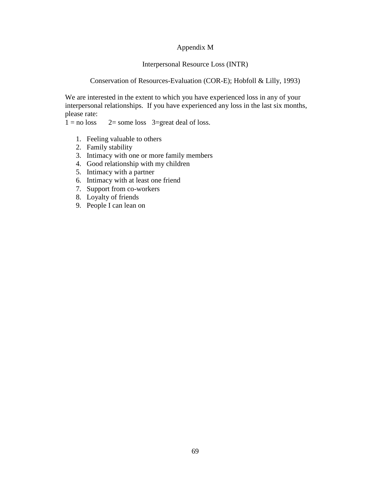#### Appendix M

#### Interpersonal Resource Loss (INTR)

#### Conservation of Resources-Evaluation (COR-E); Hobfoll & Lilly, 1993)

We are interested in the extent to which you have experienced loss in any of your interpersonal relationships. If you have experienced any loss in the last six months, please rate:<br> $1 = no loss$ 

 $2 =$  some loss  $3 =$  great deal of loss.

- 1. Feeling valuable to others
- 2. Family stability
- 3. Intimacy with one or more family members
- 4. Good relationship with my children
- 5. Intimacy with a partner
- 6. Intimacy with at least one friend
- 7. Support from co-workers
- 8. Loyalty of friends
- 9. People I can lean on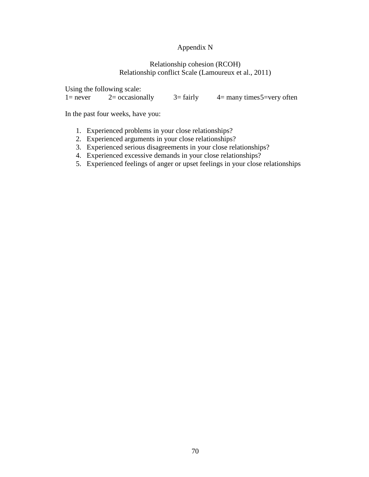## Appendix N

#### Relationship cohesion (RCOH) Relationship conflict Scale (Lamoureux et al., 2011)

Using the following scale:<br> $1 = never$   $2 = occasionally$ 1= never  $2=$  occasionally  $3=$  fairly  $4=$  many times 5=very often

In the past four weeks, have you:

- 1. Experienced problems in your close relationships?
- 2. Experienced arguments in your close relationships?
- 3. Experienced serious disagreements in your close relationships?
- 4. Experienced excessive demands in your close relationships?
- 5. Experienced feelings of anger or upset feelings in your close relationships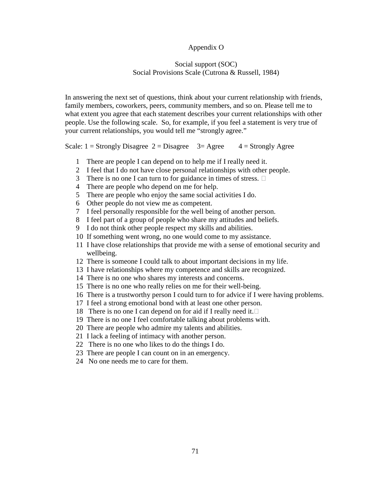#### Appendix O

#### Social support (SOC) Social Provisions Scale (Cutrona & Russell, 1984)

In answering the next set of questions, think about your current relationship with friends, family members, coworkers, peers, community members, and so on. Please tell me to what extent you agree that each statement describes your current relationships with other people. Use the following scale. So, for example, if you feel a statement is very true of your current relationships, you would tell me "strongly agree."

Scale:  $1 =$  Strongly Disagree  $2 =$  Disagree  $3 =$  Agree  $4 =$  Strongly Agree

- 1 There are people I can depend on to help me if I really need it.
- 2 I feel that I do not have close personal relationships with other people.
- 3 There is no one I can turn to for guidance in times of stress.  $\Box$
- 4 There are people who depend on me for help.
- 5 There are people who enjoy the same social activities I do.
- 6 Other people do not view me as competent.
- 7 I feel personally responsible for the well being of another person.
- 8 I feel part of a group of people who share my attitudes and beliefs.
- 9 I do not think other people respect my skills and abilities.
- 10 If something went wrong, no one would come to my assistance.
- 11 I have close relationships that provide me with a sense of emotional security and wellbeing.
- 12 There is someone I could talk to about important decisions in my life.
- 13 I have relationships where my competence and skills are recognized.
- 14 There is no one who shares my interests and concerns.
- 15 There is no one who really relies on me for their well-being.
- 16 There is a trustworthy person I could turn to for advice if I were having problems.
- 17 I feel a strong emotional bond with at least one other person.
- 18 There is no one I can depend on for aid if I really need it.  $\square$
- 19 There is no one I feel comfortable talking about problems with.
- 20 There are people who admire my talents and abilities.
- 21 I lack a feeling of intimacy with another person.
- 22 There is no one who likes to do the things I do.
- 23 There are people I can count on in an emergency.
- 24 No one needs me to care for them.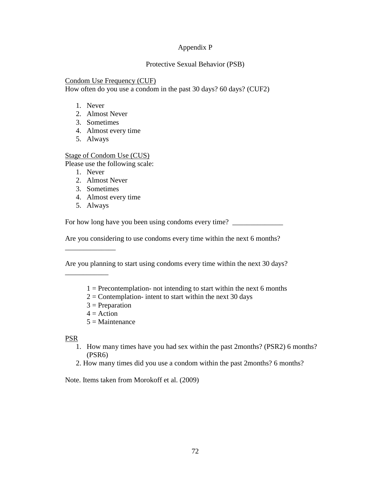#### Appendix P

#### Protective Sexual Behavior (PSB)

#### Condom Use Frequency (CUF)

How often do you use a condom in the past 30 days? 60 days? (CUF2)

- 1. Never
- 2. Almost Never
- 3. Sometimes
- 4. Almost every time
- 5. Always

#### Stage of Condom Use (CUS)

Please use the following scale:

- 1. Never
- 2. Almost Never
- 3. Sometimes
- 4. Almost every time
- 5. Always

\_\_\_\_\_\_\_\_\_\_\_\_\_\_

\_\_\_\_\_\_\_\_\_\_\_\_

For how long have you been using condoms every time? \_\_\_\_\_\_\_\_\_\_\_\_\_\_\_\_\_\_\_\_\_\_\_\_\_\_\_\_

Are you considering to use condoms every time within the next 6 months?

Are you planning to start using condoms every time within the next 30 days?

- $1 =$  Precontemplation- not intending to start within the next 6 months
- $2 =$  Contemplation- intent to start within the next 30 days
- $3$  = Preparation
- $4 =$  Action
- $5 =$ Maintenance

PSR

- 1. How many times have you had sex within the past 2months? (PSR2) 6 months? (PSR6)
- 2. How many times did you use a condom within the past 2months? 6 months?

Note. Items taken from Morokoff et al. (2009)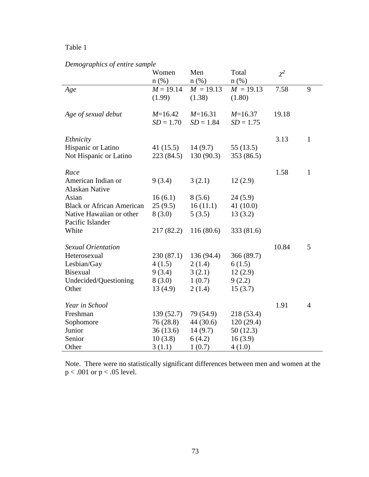## *Demographics of entire sample*

|                                              | Women<br>$n$ (%)         | Men<br>$n$ (%)           | Total<br>$n$ (%)         | $\chi^2$ |                |
|----------------------------------------------|--------------------------|--------------------------|--------------------------|----------|----------------|
| Age                                          | $M = 19.14$<br>(1.99)    | $M = 19.13$<br>(1.38)    | $M = 19.13$<br>(1.80)    | 7.58     | 9              |
| Age of sexual debut                          | $M=16.42$<br>$SD = 1.70$ | $M=16.31$<br>$SD = 1.84$ | $M=16.37$<br>$SD = 1.75$ | 19.18    |                |
| Ethnicity                                    |                          |                          |                          | 3.13     | $\mathbf{1}$   |
| Hispanic or Latino<br>Not Hispanic or Latino | 41 $(15.5)$<br>223(84.5) | 14(9.7)<br>130(90.3)     | 55(13.5)<br>353 (86.5)   |          |                |
| Race                                         |                          |                          |                          | 1.58     | $\mathbf{1}$   |
| American Indian or<br><b>Alaskan Native</b>  | 9(3.4)                   | 3(2.1)                   | 12(2.9)                  |          |                |
| Asian                                        | 16(6.1)                  | 8(5.6)                   | 24(5.9)                  |          |                |
| <b>Black or African American</b>             | 25(9.5)                  | 16(11.1)                 | 41 $(10.0)$              |          |                |
| Native Hawaiian or other                     | 8(3.0)                   | 5(3.5)                   | 13(3.2)                  |          |                |
| Pacific Islander                             |                          |                          |                          |          |                |
| White                                        | 217(82.2)                | 116(80.6)                | 333 (81.6)               |          |                |
| <b>Sexual Orientation</b>                    |                          |                          |                          | 10.84    | 5              |
| Heterosexual                                 | 230(87.1)                | 136 (94.4)               | 366 (89.7)               |          |                |
| Lesbian/Gay                                  | 4(1.5)                   | 2(1.4)                   | 6(1.5)                   |          |                |
| <b>Bisexual</b>                              | 9(3.4)                   | 3(2.1)                   | 12(2.9)                  |          |                |
| Undecided/Questioning                        | 8(3.0)                   | 1(0.7)                   | 9(2.2)                   |          |                |
| Other                                        | 13(4.9)                  | 2(1.4)                   | 15(3.7)                  |          |                |
| Year in School                               |                          |                          |                          | 1.91     | $\overline{4}$ |
| Freshman                                     | 139(52.7)                | 79 (54.9)                | 218 (53.4)               |          |                |
| Sophomore                                    | 76 (28.8)                | 44 (30.6)                | 120(29.4)                |          |                |
| Junior                                       | 36(13.6)                 | 14(9.7)                  | 50 (12.3)                |          |                |
| Senior                                       | 10(3.8)                  | 6(4.2)                   | 16(3.9)                  |          |                |
| Other                                        | 3(1.1)                   | 1(0.7)                   | 4(1.0)                   |          |                |

Note. There were no statistically significant differences between men and women at the  $p < .001$  or  $p < .05$  level.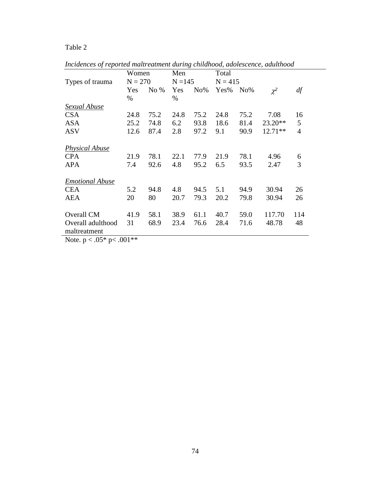|                                   | Women     |        | Men  |           | Total |           |           |                |
|-----------------------------------|-----------|--------|------|-----------|-------|-----------|-----------|----------------|
| Types of trauma                   | $N = 270$ |        |      | $N = 145$ |       | $N = 415$ |           |                |
|                                   | Yes       | No $%$ | Yes  | $No\%$    | Yes%  | $No\%$    | $\chi^2$  | df             |
|                                   | $\%$      |        | $\%$ |           |       |           |           |                |
| Sexual Abuse                      |           |        |      |           |       |           |           |                |
| <b>CSA</b>                        | 24.8      | 75.2   | 24.8 | 75.2      | 24.8  | 75.2      | 7.08      | 16             |
| <b>ASA</b>                        | 25.2      | 74.8   | 6.2  | 93.8      | 18.6  | 81.4      | $23.20**$ | 5              |
| <b>ASV</b>                        | 12.6      | 87.4   | 2.8  | 97.2      | 9.1   | 90.9      | $12.71**$ | $\overline{4}$ |
| <b>Physical Abuse</b>             |           |        |      |           |       |           |           |                |
| <b>CPA</b>                        | 21.9      | 78.1   | 22.1 | 77.9      | 21.9  | 78.1      | 4.96      | 6              |
| <b>APA</b>                        | 7.4       | 92.6   | 4.8  | 95.2      | 6.5   | 93.5      | 2.47      | 3              |
| <b>Emotional Abuse</b>            |           |        |      |           |       |           |           |                |
| <b>CEA</b>                        | 5.2       | 94.8   | 4.8  | 94.5      | 5.1   | 94.9      | 30.94     | 26             |
| <b>AEA</b>                        | 20        | 80     | 20.7 | 79.3      | 20.2  | 79.8      | 30.94     | 26             |
|                                   |           |        |      |           |       |           |           |                |
| Overall CM                        | 41.9      | 58.1   | 38.9 | 61.1      | 40.7  | 59.0      | 117.70    | 114            |
| Overall adulthood<br>maltreatment | 31        | 68.9   | 23.4 | 76.6      | 28.4  | 71.6      | 48.78     | 48             |

*Incidences of reported maltreatment during childhood, adolescence, adulthood* 

Note.  $p < .05^*$  p<  $.001^{**}$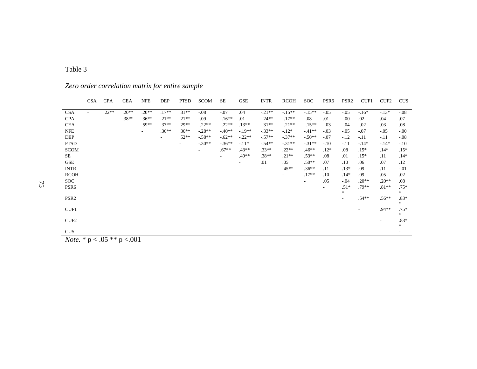|                                        | <b>CSA</b>               | <b>CPA</b> | <b>CEA</b> | NFE                      | DEP     | <b>PTSD</b>              | <b>SCOM</b> | SЕ                       | <b>GSE</b> | <b>INTR</b> | <b>RCOH</b>              | <b>SOC</b>               | PSR <sub>6</sub> | PSR <sub>2</sub> | CUF1    | CUF <sub>2</sub> | <b>CUS</b>               |
|----------------------------------------|--------------------------|------------|------------|--------------------------|---------|--------------------------|-------------|--------------------------|------------|-------------|--------------------------|--------------------------|------------------|------------------|---------|------------------|--------------------------|
| <b>CSA</b>                             | $\overline{\phantom{a}}$ | $.22**$    | $.20**$    | $.20**$                  | $.17**$ | $.31**$                  | $-.08$      | $-.07$                   | .04        | $-.21**$    | $-.15**$                 | $-15**$                  | $-0.05$          | $-.05$           | $-16*$  | $-13*$           | $-0.08$                  |
| <b>CPA</b>                             |                          |            | $.38**$    | $.36**$                  | $.21**$ | $.21**$                  | $-0.09$     | $-16**$                  | .01        | $-.24**$    | $-.17**$                 | $-.08$                   | .01              | $-.00$           | .02     | .04              | .07                      |
| <b>CEA</b>                             |                          |            | $\sim$     | .59**                    | $.37**$ | $.29**$                  | $-22**$     | $-.22**$                 | $.13**$    | $-.31**$    | $-.21**$                 | $-.15**$                 | $-.03$           | $-.04$           | $-.02$  | .03              | .08                      |
| <b>NFE</b>                             |                          |            |            | $\overline{\phantom{0}}$ | $.36**$ | $.36**$                  | $-.28**$    | $-40**$                  | $-19**$    | $-.33**$    | $-12*$                   | $-41**$                  | $-03$            | $-.05$           | $-.07$  | $-.05$           | $-0.00$                  |
| <b>DEP</b>                             |                          |            |            |                          |         | $.52**$                  | $-58**$     | $-0.62**$                | $-.22**$   | $-.57**$    | $-.37**$                 | $-.50**$                 | $-.07$           | $-.12$           | $-.11$  | $-11$            | $-0.08$                  |
| <b>PTSD</b>                            |                          |            |            |                          |         | $\overline{\phantom{a}}$ | $-.30**$    | $-36**$                  | $-.11*$    | $-54**$     | $-.31**$                 | $-.31**$                 | $-.10$           | $-.11$           | $-.14*$ | $-14*$           | $-10$                    |
| <b>SCOM</b>                            |                          |            |            |                          |         |                          | $\sim$      | $.67**$                  | $.43**$    | $.33**$     | $.22**$                  | $.46**$                  | $.12*$           | .08              | $.15*$  | $.14*$           | $.15*$                   |
| SE                                     |                          |            |            |                          |         |                          |             | $\overline{\phantom{a}}$ | $.49**$    | $.38**$     | $.21**$                  | $.53**$                  | .08              | .01              | $.15*$  | .11              | $.14*$                   |
| <b>GSE</b>                             |                          |            |            |                          |         |                          |             |                          | ۰.         | .01         | .05                      | .50**                    | .07              | .10              | .06     | .07              | .12                      |
| <b>INTR</b>                            |                          |            |            |                          |         |                          |             |                          |            |             | $.45**$                  | $.36**$                  | .11              | $.13*$           | .09     | .11              | $-.01$                   |
| <b>RCOH</b>                            |                          |            |            |                          |         |                          |             |                          |            |             | $\overline{\phantom{0}}$ | $.17**$                  | .10              | $.14*$           | .09     | .05              | .02                      |
| <b>SOC</b>                             |                          |            |            |                          |         |                          |             |                          |            |             |                          | $\overline{\phantom{a}}$ | .05              | $-.04$           | $.20**$ | $.20**$          | .08                      |
| PSR <sub>6</sub>                       |                          |            |            |                          |         |                          |             |                          |            |             |                          |                          | ٠                | $.51*$<br>$\ast$ | $.79**$ | $.81**$          | $.75*$<br>$*$            |
| PSR <sub>2</sub>                       |                          |            |            |                          |         |                          |             |                          |            |             |                          |                          |                  |                  | $.54**$ | $.56**$          | $.83*$<br>$*$            |
| CUF1                                   |                          |            |            |                          |         |                          |             |                          |            |             |                          |                          |                  |                  |         | $.94**$          | $.75*$                   |
| CUF <sub>2</sub>                       |                          |            |            |                          |         |                          |             |                          |            |             |                          |                          |                  |                  |         |                  | $*$<br>$.83*$<br>$*$     |
| <b>CUS</b>                             |                          |            |            |                          |         |                          |             |                          |            |             |                          |                          |                  |                  |         |                  | $\overline{\phantom{a}}$ |
| <i>Note.</i> * $p < .05$ ** $p < .001$ |                          |            |            |                          |         |                          |             |                          |            |             |                          |                          |                  |                  |         |                  |                          |

*Zero order correlation matrix for entire sample*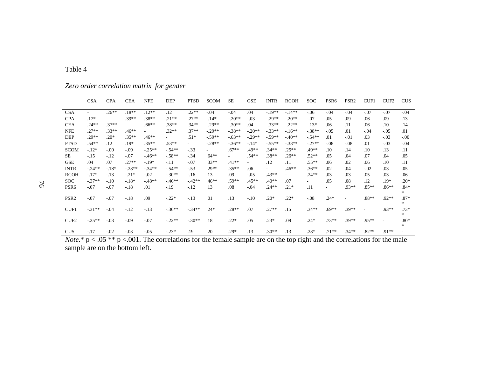|                  | <b>CSA</b> | <b>CPA</b> | <b>CEA</b> | <b>NFE</b> | DEP                      | <b>PTSD</b> | <b>SCOM</b> | <b>SE</b> | <b>GSE</b> | <b>INTR</b> | <b>RCOH</b> | <b>SOC</b> | PSR <sub>6</sub>         | PSR <sub>2</sub> | CUF1                     | CUF <sub>2</sub> | <b>CUS</b>    |
|------------------|------------|------------|------------|------------|--------------------------|-------------|-------------|-----------|------------|-------------|-------------|------------|--------------------------|------------------|--------------------------|------------------|---------------|
| <b>CSA</b>       |            | $.26**$    | $.18**$    | $.12**$    | .12                      | $.22**$     | $-.04$      | $-.04$    | .04        | $-19**$     | $-14**$     | $-0.06$    | $-.04$                   | $-.04$           | $-.07$                   | $-.07$           | $-.04$        |
| <b>CPA</b>       | $.17*$     |            | .39**      | .38**      | $.21**$                  | $.27**$     | $-14*$      | $-.20**$  | $-.03$     | $-.29**$    | $-.20**$    | $-.07$     | .05                      | .09              | .06                      | .09              | .13           |
| <b>CEA</b>       | .24**      | $.37**$    |            | .66**      | $.38**$                  | $.34**$     | $-.29**$    | $-.30**$  | .04        | $-.33**$    | $-.22**$    | $-13*$     | .06                      | .11              | .06                      | .10              | .14           |
| <b>NFE</b>       | $.27**$    | $.33**$    | $.46**$    |            | $.32**$                  | $.37**$     | $-.29**$    | $-.38**$  | $-.20**$   | $-.33**$    | $-16**$     | $-.38**$   | $-.05$                   | .01              | $-.04$                   | $-0.05$          | .01           |
| DEP              | $.29**$    | $.20*$     | $.35**$    | $.46**$    | $\overline{\phantom{0}}$ | $.51*$      | $-.59**$    | $-.63**$  | $-.29**$   | $-.59**$    | $-40**$     | $-.54**$   | .01                      | $-.01$           | .03                      | $-.03$           | $-.00$        |
| <b>PTSD</b>      | .54**      | .12        | $.19*$     | $.35**$    | $.53**$                  | ٠.          | $-.28**$    | $-.36**$  | $-.14*$    | $-.55**$    | $-.38**$    | $-.27**$   | $-.08$                   | $-.08$           | .01                      | $-.03$           | $-.04$        |
| <b>SCOM</b>      | $-12*$     | $-.00$     | $-.09$     | $-.25**$   | $-54**$                  | $-33$       | $\sim$      | $.67**$   | .49**      | $.34**$     | $.25**$     | $.49**$    | .10                      | .14              | .10                      | .13              | .11           |
| <b>SE</b>        | $-.15$     | $-12$      | $-.07$     | $-46**$    | $-.58**$                 | $-34$       | $.64**$     |           | $.54**$    | $.38**$     | $.26**$     | $.52**$    | .05                      | .04              | .07                      | .04              | .05           |
| <b>GSE</b>       | .04        | .07        | $.27**$    | $-19*$     | $-.11$                   | $-.07$      | $.33**$     | $.41**$   | $\sim$     | .12         | .11         | $.55***$   | .06                      | .02              | .06                      | .10              | .11           |
| <b>INTR</b>      | $-.24**$   | $-18*$     | $-.28**$   | $-.34**$   | $-54**$                  | $-53$       | $.29**$     | $.35**$   | .06        | $\sim$      | $.46**$     | $.36**$    | .02                      | .04              | $-.02$                   | .03              | .05           |
| <b>RCOH</b>      | $-.17*$    | $-.13$     | $-.21*$    | $-.02$     | $-.30**$                 | $-16$       | .13         | .09       | $-.05$     | $.43**$     |             | $.24**$    | .03                      | .03              | .05                      | .03              | .06           |
| <b>SOC</b>       | $-.37**$   | $-.10$     | $-18*$     | $-48**$    | $-46**$                  | $-42**$     | $.46**$     | .59**     | $.45**$    | $.40**$     | .07         | $\sim$     | .05                      | .08              | .12                      | $.19*$           | $.20*$        |
| PSR <sub>6</sub> | $-.07$     | $-.07$     | $-.18$     | .01        | $-19$                    | $-.12$      | .13         | .08       | $-.04$     | $.24**$     | $.21*$      | .11        | $\overline{\phantom{a}}$ | $.93**$          | $.85**$                  | $.86**$          | $.84*$<br>*   |
| PSR <sub>2</sub> | $-.07$     | $-.07$     | $-.18$     | .09        | $-.22*$                  | $-13$       | .01         | .13       | $-.10$     | $.20*$      | $.22*$      | $-0.08$    | $.24*$                   | ٠                | $.88**$                  | $.92**$          | $.87*$<br>$*$ |
| CUF1             | $-.31**$   | $-.04$     | $-.12$     | $-13$      | $-36**$                  | $-34**$     | $.24*$      | $.28**$   | .07        | $.27**$     | .15         | $.34**$    | $.69**$                  | $.39**$          | $\overline{\phantom{a}}$ | .93**            | $.73*$<br>*   |
| CUF <sub>2</sub> | $-.25**$   | $-.03$     | $-.09$     | $-.07$     | $-22**$                  | $-.30**$    | .18         | $.22*$    | .05        | $.23*$      | .09         | $.24*$     | $.73**$                  | $.39**$          | $.95**$                  | ٠                | $.80*$<br>*   |
| <b>CUS</b>       | $-.17$     | $-.02$     | $-.03$     | $-0.05$    | $-.23*$                  | .19         | .20         | $.29*$    | .13        | $.30**$     | .13         | $.28*$     | $.71**$                  | $.34**$          | $.82**$                  | $.91**$          |               |

*Zero order correlation matrix for gender* 

Table 4

 $\frac{\text{CUS}}{1.17}$  -.02 -.03 -.05 -.23\* .19 .20 .29\* .13 .30\*\* .13 .28\* .71\*\* .34\*\* .82\*\* .91\*\* -<br>*Note*.\* p < .05 \*\* p <.001. The correlations for the female sample are on the top right and the correlations for the male sample are on the bottom left.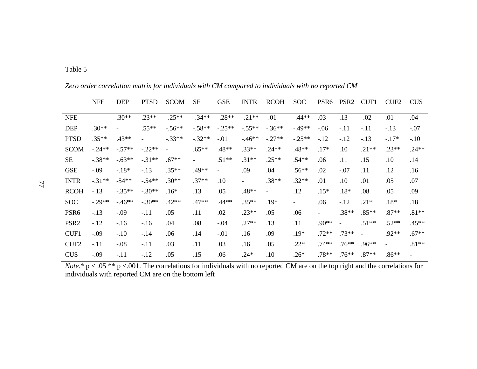|                  | <b>NFE</b> | <b>DEP</b> | <b>PTSD</b>              | <b>SCOM</b>              | <b>SE</b>                | <b>GSE</b>               | <b>INTR</b>    | <b>RCOH</b>              | SOC      | PSR <sub>6</sub> | PSR <sub>2</sub> | CUF1     | CUF <sub>2</sub> | <b>CUS</b> |
|------------------|------------|------------|--------------------------|--------------------------|--------------------------|--------------------------|----------------|--------------------------|----------|------------------|------------------|----------|------------------|------------|
| <b>NFE</b>       |            | $.30**$    | $.23**$                  | $-.25**$                 | $-.34**$                 | $-.28**$                 | $-.21**$       | $-.01$                   | $-.44**$ | .03              | .13              | $-.02$   | .01              | .04        |
| <b>DEP</b>       | $.30**$    |            | $.55**$                  | $-.56**$                 | $-.58**$                 | $-.25**$                 | $-.55**$       | $-.36**$                 | $-.49**$ | $-.06$           | $-.11$           | $-.11$   | $-13$            | $-.07$     |
| <b>PTSD</b>      | $.35**$    | $.43**$    | $\overline{\phantom{0}}$ | $-.33**$                 | $-.32**$                 | $-.01$                   | $-46**$        | $-.27**$                 | $-.25**$ | $-12$            | $-12$            | $-.13$   | $-17*$           | $-.10$     |
| <b>SCOM</b>      | $-24**$    | $-.57**$   | $-.22**$                 | $\overline{\phantom{a}}$ | $.65**$                  | $.48**$                  | $.33**$        | $.24**$                  | $.48**$  | $.17*$           | .10              | $.21**$  | $.23**$          | $.24**$    |
| <b>SE</b>        | $-.38**$   | $-.63**$   | $-.31**$                 | $.67**$                  | $\overline{\phantom{a}}$ | $.51**$                  | $.31**$        | $.25**$                  | $.54**$  | .06              | .11              | .15      | $.10\,$          | .14        |
| <b>GSE</b>       | $-0.09$    | $-18*$     | $-.13$                   | $.35**$                  | .49**                    | $\overline{\phantom{a}}$ | .09            | .04                      | $.56**$  | .02              | $-.07$           | .11      | .12              | .16        |
| <b>INTR</b>      | $-.31**$   | $-54**$    | $-.54**$                 | $.30**$                  | $.37**$                  | .10                      | $\blacksquare$ | $.38**$                  | $.32**$  | .01              | .10              | .01      | .05              | .07        |
| <b>RCOH</b>      | $-13$      | $-.35**$   | $-.30**$                 | $.16*$                   | .13                      | .05                      | .48**          | $\overline{\phantom{a}}$ | .12      | $.15*$           | $.18*$           | .08      | .05              | .09        |
| <b>SOC</b>       | $-.29**$   | $-46**$    | $-.30**$                 | $.42**$                  | $.47**$                  | $.44**$                  | $.35**$        | $.19*$                   | $\sim$   | .06              | $-12$            | $.21*$   | $.18*$           | .18        |
| PSR <sub>6</sub> | $-13$      | $-.09$     | $-.11$                   | .05                      | .11                      | .02                      | $.23**$        | .05                      | .06      |                  | $.38**$          | $.85**$  | $.87**$          | $.81**$    |
| PSR <sub>2</sub> | $-12$      | $-16$      | $-16$                    | .04                      | .08                      | $-.04$                   | $.27**$        | .13                      | .11      | $.90**$          | $\equiv$         | $.51**$  | $.52**$          | $.45**$    |
| CUF1             | $-0.09$    | $-.10$     | $-.14$                   | .06                      | .14                      | $-.01$                   | .16            | .09                      | $.19*$   | $.72**$          | $.73**$          | $\equiv$ | $.92**$          | $.67**$    |
| CUF <sub>2</sub> | $-.11$     | $-.08$     | $-.11$                   | .03                      | .11                      | .03                      | .16            | .05                      | $.22*$   | $.74**$          | $.76**$          | $.96**$  | $\blacksquare$   | $.81**$    |
| <b>CUS</b>       | $-0.09$    | $-.11$     | $-12$                    | .05                      | .15                      | .06                      | $.24*$         | .10                      | $.26*$   | $.78**$          | $.76**$          | $.87**$  | $.86**$          |            |

*Zero order correlation matrix for individuals with CM compared to individuals with no reported CM* 

*Note.*\* p < .05 \*\* p <.001. The correlations for individuals with no reported CM are on the top right and the correlations for individuals with reported CM are on the bottom left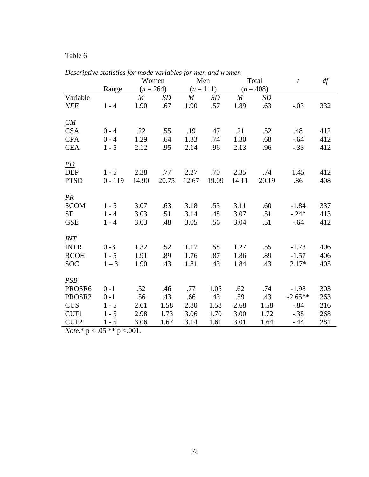|                    |           | Women            |       |                  | Men         |                  | Total       | t         | df  |
|--------------------|-----------|------------------|-------|------------------|-------------|------------------|-------------|-----------|-----|
|                    | Range     | $(n = 264)$      |       |                  | $(n = 111)$ |                  | $(n = 408)$ |           |     |
| Variable           |           | $\boldsymbol{M}$ | SD    | $\boldsymbol{M}$ | <b>SD</b>   | $\boldsymbol{M}$ | <b>SD</b>   |           |     |
| NFE                | $1 - 4$   | 1.90             | .67   | 1.90             | .57         | 1.89             | .63         | $-.03$    | 332 |
|                    |           |                  |       |                  |             |                  |             |           |     |
| CM                 |           |                  |       |                  |             |                  |             |           |     |
| <b>CSA</b>         | $0 - 4$   | .22              | .55   | .19              | .47         | .21              | .52         | .48       | 412 |
| <b>CPA</b>         | $0 - 4$   | 1.29             | .64   | 1.33             | .74         | 1.30             | .68         | $-.64$    | 412 |
| <b>CEA</b>         | $1 - 5$   | 2.12             | .95   | 2.14             | .96         | 2.13             | .96         | $-.33$    | 412 |
|                    |           |                  |       |                  |             |                  |             |           |     |
| <i>PD</i>          |           |                  |       |                  |             |                  |             |           |     |
| <b>DEP</b>         | $1 - 5$   | 2.38             | .77   | 2.27             | .70         | 2.35             | .74         | 1.45      | 412 |
| <b>PTSD</b>        | $0 - 119$ | 14.90            | 20.75 | 12.67            | 19.09       | 14.11            | 20.19       | .86       | 408 |
|                    |           |                  |       |                  |             |                  |             |           |     |
| <u>PR</u>          |           |                  |       |                  |             |                  |             |           |     |
| <b>SCOM</b>        | $1 - 5$   | 3.07             | .63   | 3.18             | .53         | 3.11             | .60         | $-1.84$   | 337 |
| <b>SE</b>          | $1 - 4$   | 3.03             | .51   | 3.14             | .48         | 3.07             | .51         | $-.24*$   | 413 |
| <b>GSE</b>         | $1 - 4$   | 3.03             | .48   | 3.05             | .56         | 3.04             | .51         | $-0.64$   | 412 |
|                    |           |                  |       |                  |             |                  |             |           |     |
| <i>INT</i>         |           |                  |       |                  |             |                  |             |           |     |
| <b>INTR</b>        | $0 - 3$   | 1.32             | .52   | 1.17             | .58         | 1.27             | .55         | $-1.73$   | 406 |
| <b>RCOH</b>        | $1 - 5$   | 1.91             | .89   | 1.76             | .87         | 1.86             | .89         | $-1.57$   | 406 |
| <b>SOC</b>         | $1 - 3$   | 1.90             | .43   | 1.81             | .43         | 1.84             | .43         | $2.17*$   | 405 |
|                    |           |                  |       |                  |             |                  |             |           |     |
| PSB                |           |                  |       |                  |             |                  |             |           |     |
| PROSR <sub>6</sub> | $0 - 1$   | .52              | .46   | .77              | 1.05        | .62              | .74         | $-1.98$   | 303 |
| PROSR2             | $0 - 1$   | .56              | .43   | .66              | .43         | .59              | .43         | $-2.65**$ | 263 |
| <b>CUS</b>         | $1 - 5$   | 2.61             | 1.58  | 2.80             | 1.58        | 2.68             | 1.58        | $-0.84$   | 216 |
| CUF1               | $1 - 5$   | 2.98             | 1.73  | 3.06             | 1.70        | 3.00             | 1.72        | $-.38$    | 268 |
| CUF <sub>2</sub>   | $1 - 5$   | 3.06             | 1.67  | 3.14             | 1.61        | 3.01             | 1.64        | $-.44$    | 281 |

*Descriptive statistics for mode variables for men and women* 

*Note.*\* p < .05 \*\* p <.001.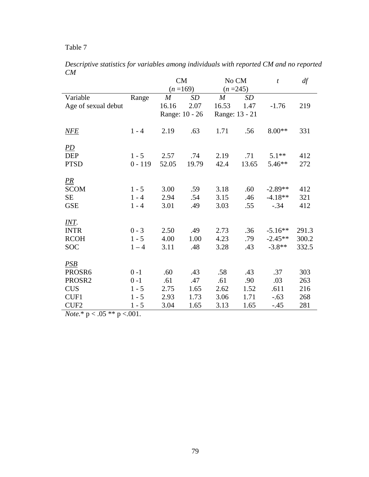| Descriptive statistics for variables among individuals with reported CM and no reported |  |  |  |  |  |
|-----------------------------------------------------------------------------------------|--|--|--|--|--|
| CM                                                                                      |  |  |  |  |  |

|                                |           | <b>CM</b>        |       | No CM            |       | $\boldsymbol{t}$ | df    |
|--------------------------------|-----------|------------------|-------|------------------|-------|------------------|-------|
|                                |           | $(n=169)$        |       | $(n=245)$        |       |                  |       |
| Variable                       | Range     | $\boldsymbol{M}$ | SD    | $\boldsymbol{M}$ | SD    |                  |       |
| Age of sexual debut            |           | 16.16            | 2.07  | 16.53            | 1.47  | $-1.76$          | 219   |
|                                |           | Range: 10 - 26   |       | Range: 13 - 21   |       |                  |       |
| NFE                            | $1 - 4$   | 2.19             | .63   | 1.71             | .56   | $8.00**$         | 331   |
| $\underline{PD}$               |           |                  |       |                  |       |                  |       |
| <b>DEP</b>                     | $1 - 5$   | 2.57             | .74   | 2.19             | .71   | $5.1**$          | 412   |
| <b>PTSD</b>                    | $0 - 119$ | 52.05            | 19.79 | 42.4             | 13.65 | $5.46**$         | 272   |
| $\frac{PR}{P}$                 |           |                  |       |                  |       |                  |       |
| <b>SCOM</b>                    | $1 - 5$   | 3.00             | .59   | 3.18             | .60   | $-2.89**$        | 412   |
| <b>SE</b>                      | $1 - 4$   | 2.94             | .54   | 3.15             | .46   | $-4.18**$        | 321   |
| <b>GSE</b>                     | $1 - 4$   | 3.01             | .49   | 3.03             | .55   | $-.34$           | 412   |
| <u>INT.</u>                    |           |                  |       |                  |       |                  |       |
| <b>INTR</b>                    | $0 - 3$   | 2.50             | .49   | 2.73             | .36   | $-5.16**$        | 291.3 |
| <b>RCOH</b>                    | $1 - 5$   | 4.00             | 1.00  | 4.23             | .79   | $-2.45**$        | 300.2 |
| <b>SOC</b>                     | $1 - 4$   | 3.11             | .48   | 3.28             | .43   | $-3.8**$         | 332.5 |
| PSB                            |           |                  |       |                  |       |                  |       |
| PROSR6                         | $0 - 1$   | .60              | .43   | .58              | .43   | .37              | 303   |
| PROSR2                         | $0 - 1$   | .61              | .47   | .61              | .90   | .03              | 263   |
| <b>CUS</b>                     | $1 - 5$   | 2.75             | 1.65  | 2.62             | 1.52  | .611             | 216   |
| CUF1                           | $1 - 5$   | 2.93             | 1.73  | 3.06             | 1.71  | $-.63$           | 268   |
| CUF <sub>2</sub>               | $1 - 5$   | 3.04             | 1.65  | 3.13             | 1.65  | $-.45$           | 281   |
| $N_{0.42}$ * n z 05 ** n z 001 |           |                  |       |                  |       |                  |       |

*Note.*\* p < .05 \*\* p <.001.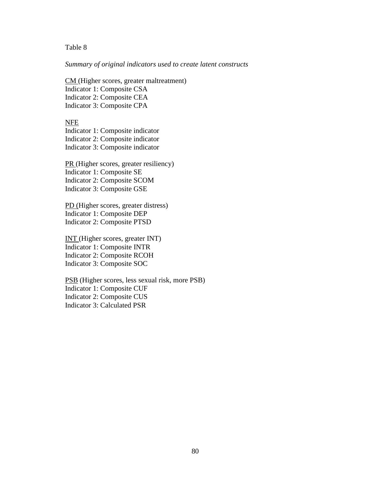#### *Summary of original indicators used to create latent constructs*

CM (Higher scores, greater maltreatment) Indicator 1: Composite CSA Indicator 2: Composite CEA Indicator 3: Composite CPA

#### NFE

Indicator 1: Composite indicator Indicator 2: Composite indicator Indicator 3: Composite indicator

PR (Higher scores, greater resiliency) Indicator 1: Composite SE Indicator 2: Composite SCOM Indicator 3: Composite GSE

PD (Higher scores, greater distress) Indicator 1: Composite DEP Indicator 2: Composite PTSD

INT (Higher scores, greater INT) Indicator 1: Composite INTR Indicator 2: Composite RCOH Indicator 3: Composite SOC

PSB (Higher scores, less sexual risk, more PSB) Indicator 1: Composite CUF Indicator 2: Composite CUS Indicator 3: Calculated PSR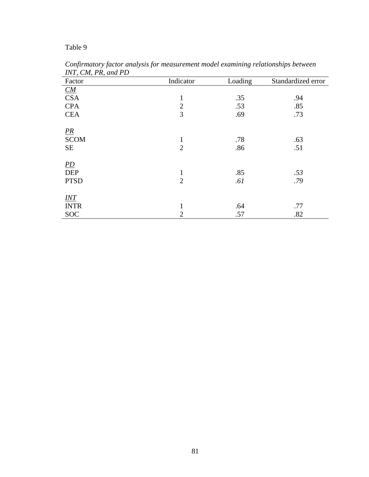| -- . - , - - - , - - - ,<br>Factor | Indicator      | Loading | Standardized error |
|------------------------------------|----------------|---------|--------------------|
| $\underline{CM}$                   |                |         |                    |
| <b>CSA</b>                         | $\mathbf{1}$   | .35     | .94                |
| <b>CPA</b>                         | $\overline{2}$ | .53     | .85                |
| <b>CEA</b>                         | 3              | .69     | .73                |
|                                    |                |         |                    |
|                                    |                |         |                    |
| $\frac{PR}{SCOM}$                  | $\mathbf{1}$   | .78     | .63                |
| $\rm SE$                           | $\overline{2}$ | .86     | .51                |
|                                    |                |         |                    |
| $\underline{PD}$                   |                |         |                    |
| <b>DEP</b>                         | $\mathbf{1}$   | .85     | .53                |
| <b>PTSD</b>                        | $\overline{2}$ | .61     | .79                |
|                                    |                |         |                    |
| $\underline{INT}$                  |                |         |                    |
| <b>INTR</b>                        | 1              | .64     | .77                |
| <b>SOC</b>                         | $\overline{2}$ | .57     | .82                |

*Confirmatory factor analysis for measurement model examining relationships between INT, CM, PR, and PD*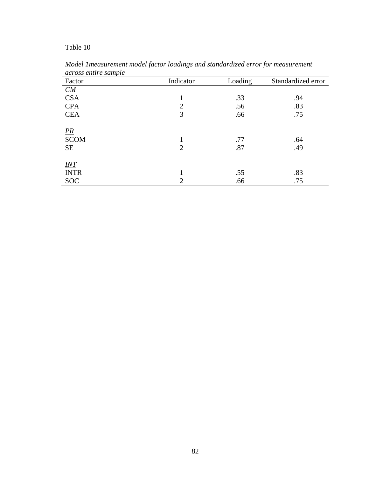| Factor                           | Indicator      | Loading    | Standardized error |
|----------------------------------|----------------|------------|--------------------|
|                                  |                |            |                    |
| $\frac{CM}{CSA}$                 |                | .33        | .94                |
| <b>CPA</b>                       | $\overline{2}$ | .56        | .83                |
| <b>CEA</b>                       | 3              | .66        | .75                |
| $\frac{PR}{SCOM}$<br><b>SE</b>   | $\overline{2}$ | .77<br>.87 | .64<br>.49         |
| $\underline{INT}$<br><b>INTR</b> |                | .55        | .83                |
| <b>SOC</b>                       | $\overline{2}$ | .66        | .75                |

*Model 1measurement model factor loadings and standardized error for measurement across entire sample*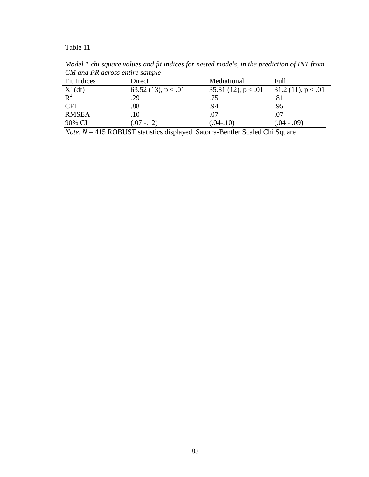| <u>Une</u> and I is across change sample |                       |                       |                      |
|------------------------------------------|-----------------------|-----------------------|----------------------|
| Fit Indices                              | Direct                | Mediational           | Full                 |
| $\frac{X^2}{R^2}$                        | 63.52 (13), $p < .01$ | 35.81 (12), $p < .01$ | $31.2(11)$ , p < .01 |
|                                          | .29                   | .75                   | .81                  |
| <b>CFI</b>                               | .88                   | .94                   | .95                  |
| <b>RMSEA</b>                             | $.10\,$               | .07                   | .07                  |
| 90% CI                                   | $07 - 12$             | $(.04-.10)$           | $(.04-.09)$          |

*Model 1 chi square values and fit indices for nested models, in the prediction of INT from CM and PR across entire sample* 

*Note*. *N* = 415 ROBUST statistics displayed. Satorra-Bentler Scaled Chi Square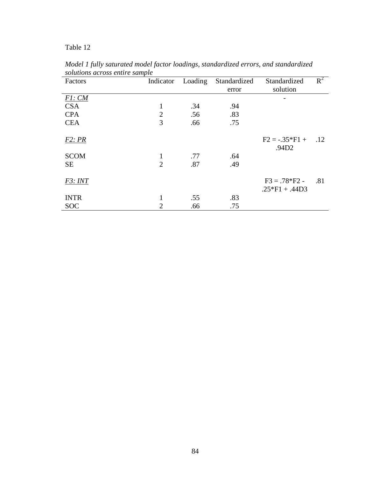| Factors     | Indicator      | Loading | Standardized | Standardized                      | $R^2$ |
|-------------|----------------|---------|--------------|-----------------------------------|-------|
|             |                |         | error        | solution                          |       |
| F1: CM      |                |         |              |                                   |       |
| <b>CSA</b>  | 1              | .34     | .94          |                                   |       |
| <b>CPA</b>  | $\overline{2}$ | .56     | .83          |                                   |       |
| <b>CEA</b>  | 3              | .66     | .75          |                                   |       |
| F2:PR       |                |         |              | $F2 = -.35*F1 +$<br>.94D2         | .12   |
| <b>SCOM</b> | 1              | .77     | .64          |                                   |       |
| <b>SE</b>   | $\overline{2}$ | .87     | .49          |                                   |       |
| F3: INT     |                |         |              | $F3 = .78*F2 -$<br>$.25*F1+.44D3$ | .81   |
| <b>INTR</b> |                | .55     | .83          |                                   |       |
| <b>SOC</b>  | 2              | .66     | .75          |                                   |       |

*Model 1 fully saturated model factor loadings, standardized errors, and standardized solutions across entire sample*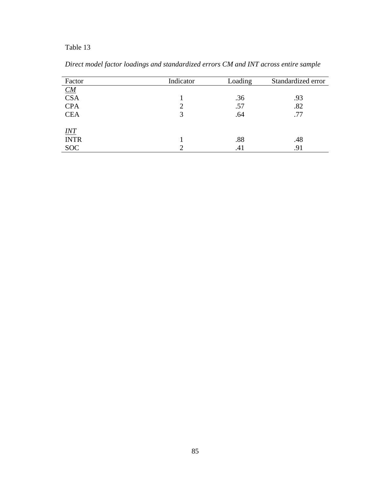| Factor                    | Indicator | Loading | Standardized error |
|---------------------------|-----------|---------|--------------------|
|                           |           |         |                    |
| $\frac{CM}{CSA}$          |           | .36     | .93                |
| <b>CPA</b>                |           | .57     | .82                |
| <b>CEA</b>                | 3         | .64     | .77                |
|                           |           |         |                    |
| $\frac{INT}{\text{INTR}}$ |           | .88     | .48                |
| <b>SOC</b>                |           | .41     | .91                |

*Direct model factor loadings and standardized errors CM and INT across entire sample*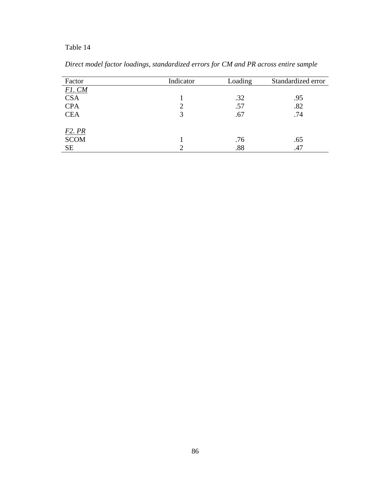| Factor      | Indicator | Loading | Standardized error |
|-------------|-----------|---------|--------------------|
| F1. CM      |           |         |                    |
| <b>CSA</b>  |           | .32     | .95                |
| <b>CPA</b>  | 2         | .57     | .82                |
| <b>CEA</b>  | 3         | .67     | .74                |
| F2. PR      |           |         |                    |
| <b>SCOM</b> |           | .76     | .65                |
| <b>SE</b>   |           | .88     | .47                |

*Direct model factor loadings, standardized errors for CM and PR across entire sample*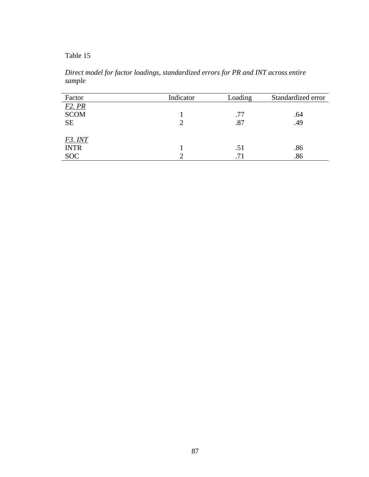*Direct model for factor loadings, standardized errors for PR and INT across entire sample* 

| Factor              | Indicator | Loading | Standardized error |
|---------------------|-----------|---------|--------------------|
| F <sub>2</sub> . PR |           |         |                    |
| <b>SCOM</b>         |           | .77     | .64                |
| <b>SE</b>           |           | .87     | .49                |
|                     |           |         |                    |
| F3. INT             |           |         |                    |
| <b>INTR</b>         |           | .51     | .86                |
| <b>SOC</b>          |           | .71     | .86                |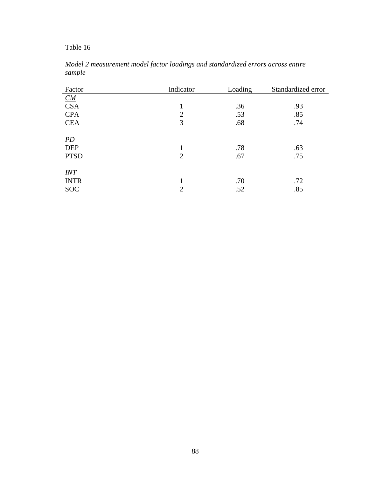| Factor                                        | Indicator      | Loading    | Standardized error |
|-----------------------------------------------|----------------|------------|--------------------|
| $\underline{CM}$                              |                |            |                    |
| <b>CSA</b>                                    | 1              | .36        | .93                |
| <b>CPA</b>                                    | $\overline{2}$ | .53        | .85                |
| <b>CEA</b>                                    | 3              | .68        | .74                |
| $\underline{PD}$<br><b>DEP</b><br><b>PTSD</b> | $\overline{2}$ | .78<br>.67 | .63<br>.75         |
| INT<br><b>INTR</b>                            |                | .70        | .72                |
| <b>SOC</b>                                    | $\overline{2}$ | .52        | .85                |

*Model 2 measurement model factor loadings and standardized errors across entire sample*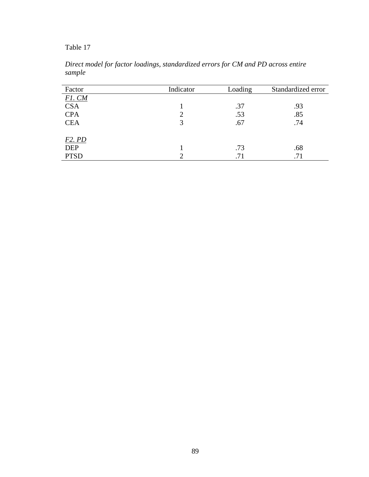| Factor        | Indicator | Loading | Standardized error |
|---------------|-----------|---------|--------------------|
| <b>F1. CM</b> |           |         |                    |
| <b>CSA</b>    |           | .37     | .93                |
| <b>CPA</b>    | ↑         | .53     | .85                |
| <b>CEA</b>    | 3         | .67     | .74                |
|               |           |         |                    |
| $F2.$ $PD$    |           |         |                    |
| <b>DEP</b>    |           | .73     | .68                |
| <b>PTSD</b>   |           | .71     | .71                |

*Direct model for factor loadings, standardized errors for CM and PD across entire sample*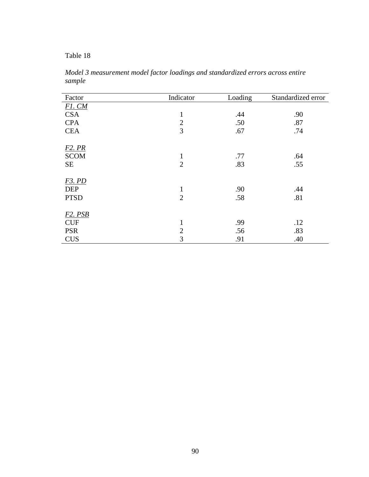*Model 3 measurement model factor loadings and standardized errors across entire sample* 

| Factor                           | Indicator      | Loading | Standardized error |
|----------------------------------|----------------|---------|--------------------|
| <b>F1. CM</b>                    |                |         |                    |
| <b>CSA</b>                       | $\mathbf{1}$   | .44     | .90                |
| <b>CPA</b>                       | $\overline{2}$ | .50     | .87                |
| <b>CEA</b>                       | 3              | .67     | .74                |
| F <sub>2</sub> . PR              |                |         |                    |
| <b>SCOM</b>                      | $\mathbf{1}$   | .77     | .64                |
| <b>SE</b>                        | $\overline{2}$ | .83     | .55                |
|                                  |                |         |                    |
| <b>F3. PD</b><br><b>DEP</b>      | $\mathbf{1}$   | .90     | .44                |
| <b>PTSD</b>                      | $\overline{2}$ | .58     | .81                |
|                                  |                |         |                    |
| F <sub>2</sub> . P <sub>SB</sub> |                |         |                    |
| <b>CUF</b>                       | $\mathbf{1}$   | .99     | .12                |
| <b>PSR</b>                       | $\overline{2}$ | .56     | .83                |
| <b>CUS</b>                       | 3              | .91     | .40                |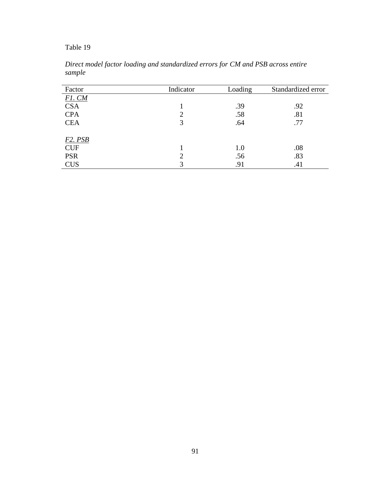| Factor        | Indicator | Loading | Standardized error |
|---------------|-----------|---------|--------------------|
| <b>F1. CM</b> |           |         |                    |
| <b>CSA</b>    |           | .39     | .92                |
| <b>CPA</b>    | റ         | .58     | .81                |
| <b>CEA</b>    | 3         | .64     | .77                |
|               |           |         |                    |
| F2. PSB       |           |         |                    |
| <b>CUF</b>    |           | 1.0     | .08                |
| <b>PSR</b>    |           | .56     | .83                |
| <b>CUS</b>    | 3         | .91     | .41                |

*Direct model factor loading and standardized errors for CM and PSB across entire sample*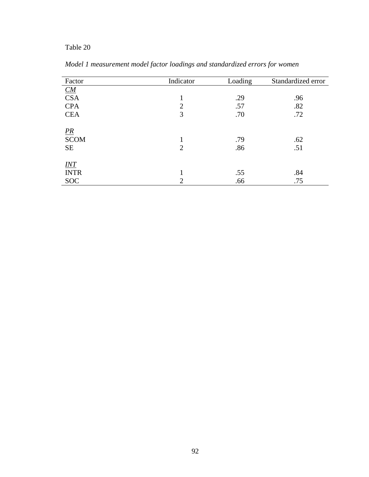| Factor                         | Indicator      | Loading    | Standardized error |
|--------------------------------|----------------|------------|--------------------|
| $\underline{CM}$               |                |            |                    |
| <b>CSA</b>                     | 1              | .29        | .96                |
| <b>CPA</b>                     | $\overline{2}$ | .57        | .82                |
| <b>CEA</b>                     | 3              | .70        | .72                |
| $\frac{PR}{SCOM}$<br><b>SE</b> | $\overline{2}$ | .79<br>.86 | .62<br>.51         |
| $INT$                          | 1              |            |                    |
| <b>INTR</b>                    |                | .55        | .84                |
| <b>SOC</b>                     | $\overline{2}$ | .66        | .75                |

*Model 1 measurement model factor loadings and standardized errors for women*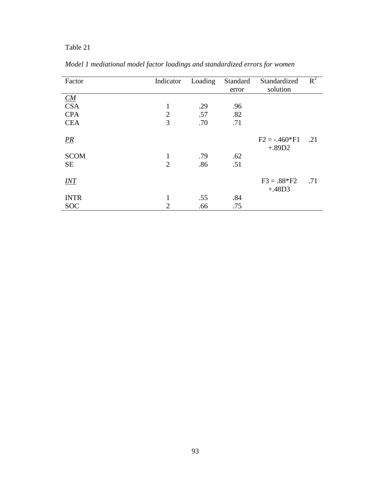| Factor      | Indicator      | Loading | Standard<br>error | Standardized<br>solution | $R^2$ |
|-------------|----------------|---------|-------------------|--------------------------|-------|
| CM          |                |         |                   |                          |       |
| <b>CSA</b>  | 1              | .29     | .96               |                          |       |
| <b>CPA</b>  | $\overline{2}$ | .57     | .82               |                          |       |
| <b>CEA</b>  | 3              | .70     | .71               |                          |       |
|             |                |         |                   |                          |       |
| PR          |                |         |                   | $F2 = -0.460*F1$         | .21   |
|             |                |         |                   | $+.89D2$                 |       |
| <b>SCOM</b> | 1              | .79     | .62               |                          |       |
| <b>SE</b>   | $\overline{2}$ | .86     | .51               |                          |       |
|             |                |         |                   |                          |       |
| INT         |                |         |                   | $F3 = .88*F2$            | .71   |
|             |                |         |                   | $+.48D3$                 |       |
| <b>INTR</b> | 1              | .55     | .84               |                          |       |
| <b>SOC</b>  | $\overline{2}$ | .66     | .75               |                          |       |

*Model 1 mediational model factor loadings and standardized errors for women*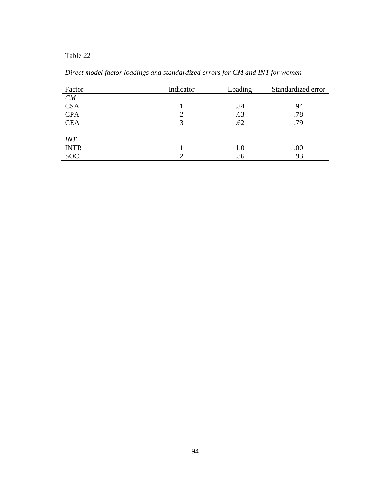| Factor           | Indicator | Loading | Standardized error |
|------------------|-----------|---------|--------------------|
| $\underline{CM}$ |           |         |                    |
| <b>CSA</b>       |           | .34     | .94                |
| <b>CPA</b>       | 2         | .63     | .78                |
| <b>CEA</b>       | 3         | .62     | .79                |
|                  |           |         |                    |
| INT              |           |         |                    |
| <b>INTR</b>      |           | 1.0     | .00                |
| <b>SOC</b>       | ി         | .36     | .93                |

*Direct model factor loadings and standardized errors for CM and INT for women*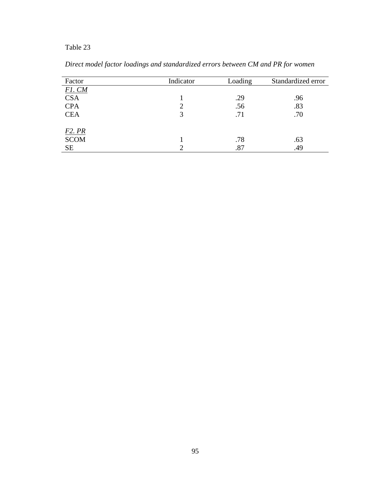| Factor      | Indicator | Loading | Standardized error |
|-------------|-----------|---------|--------------------|
| $F1$ . $CM$ |           |         |                    |
| <b>CSA</b>  |           | .29     | .96                |
| <b>CPA</b>  | 2         | .56     | .83                |
| <b>CEA</b>  | 3         | .71     | .70                |
| F2. PR      |           |         |                    |
| <b>SCOM</b> |           | .78     | .63                |
| <b>SE</b>   |           | .87     | .49                |

*Direct model factor loadings and standardized errors between CM and PR for women*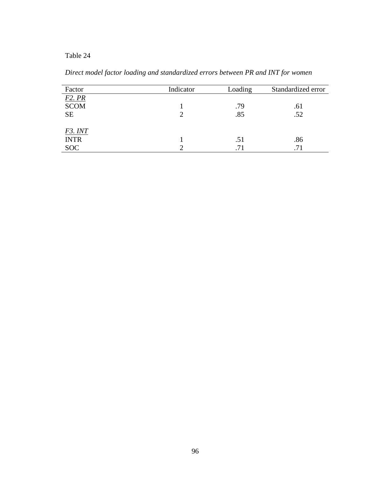| Factor        | Indicator | Loading | Standardized error |
|---------------|-----------|---------|--------------------|
| <b>F2. PR</b> |           |         |                    |
| <b>SCOM</b>   |           | .79     | .61                |
| <b>SE</b>     |           | .85     | .52                |
|               |           |         |                    |
| F3. INT       |           |         |                    |
| <b>INTR</b>   |           | .51     | .86                |
| <b>SOC</b>    |           | .71     | .71                |

*Direct model factor loading and standardized errors between PR and INT for women*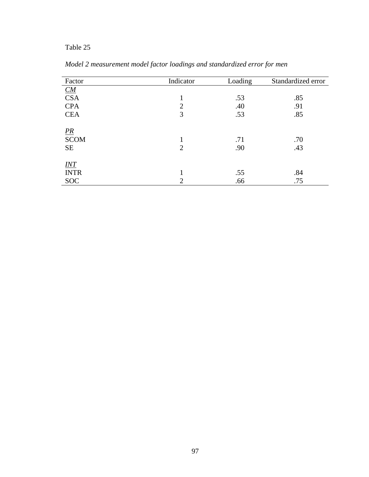| Factor                         | Indicator           | Loading    | Standardized error |
|--------------------------------|---------------------|------------|--------------------|
| $\underline{CM}$               |                     |            |                    |
| <b>CSA</b>                     | 1                   | .53        | .85                |
| <b>CPA</b>                     | $\overline{2}$      | .40        | .91                |
| <b>CEA</b>                     | 3                   | .53        | .85                |
| $\frac{PR}{SCOM}$<br><b>SE</b> | 1<br>$\overline{2}$ | .71<br>.90 | .70<br>.43         |
| $INT$                          |                     |            |                    |
| <b>INTR</b>                    | 1                   | .55        | .84                |
| <b>SOC</b>                     | $\overline{2}$      | .66        | .75                |

*Model 2 measurement model factor loadings and standardized error for men*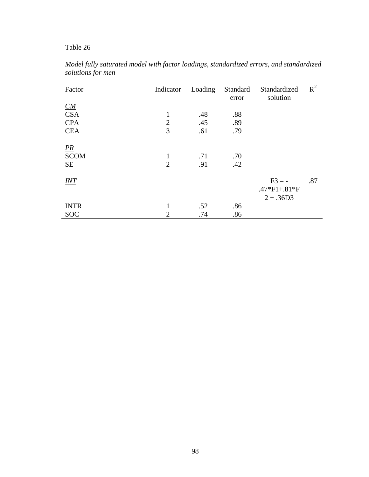| Factor         | Indicator      | Loading | Standard | Standardized   | $R^2$ |
|----------------|----------------|---------|----------|----------------|-------|
|                |                |         | error    | solution       |       |
| CM             |                |         |          |                |       |
| <b>CSA</b>     | $\mathbf{1}$   | .48     | .88      |                |       |
| <b>CPA</b>     | $\overline{2}$ | .45     | .89      |                |       |
| <b>CEA</b>     | 3              | .61     | .79      |                |       |
|                |                |         |          |                |       |
| $\frac{PR}{P}$ |                |         |          |                |       |
| <b>SCOM</b>    | $\mathbf{1}$   | .71     | .70      |                |       |
| <b>SE</b>      | $\overline{2}$ | .91     | .42      |                |       |
|                |                |         |          |                |       |
| <i>INT</i>     |                |         |          | $F3 = -$       | .87   |
|                |                |         |          | $.47*F1+.81*F$ |       |
|                |                |         |          | $2 + .36D3$    |       |
| <b>INTR</b>    | $\mathbf{1}$   | .52     | .86      |                |       |
| <b>SOC</b>     | $\overline{2}$ | .74     | .86      |                |       |

*Model fully saturated model with factor loadings, standardized errors, and standardized solutions for men*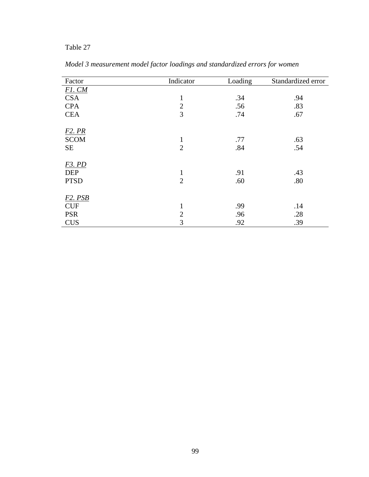| Factor              | Indicator      | Loading | Standardized error |
|---------------------|----------------|---------|--------------------|
| $F1$ . $CM$         |                |         |                    |
| <b>CSA</b>          | $\mathbf{1}$   | .34     | .94                |
| <b>CPA</b>          | $\overline{2}$ | .56     | .83                |
| <b>CEA</b>          | 3              | .74     | .67                |
| F <sub>2</sub> . PR |                |         |                    |
| <b>SCOM</b>         | $\mathbf{1}$   | .77     | .63                |
| <b>SE</b>           | $\overline{2}$ | .84     | .54                |
| <b>F3. PD</b>       |                |         |                    |
| <b>DEP</b>          | $\mathbf{1}$   | .91     | .43                |
| <b>PTSD</b>         | $\overline{2}$ | .60     | .80                |
| <b>F2. PSB</b>      |                |         |                    |
| <b>CUF</b>          | $\mathbf{1}$   | .99     | .14                |
| <b>PSR</b>          | $\overline{2}$ | .96     | .28                |
| <b>CUS</b>          | 3              | .92     | .39                |

*Model 3 measurement model factor loadings and standardized errors for women*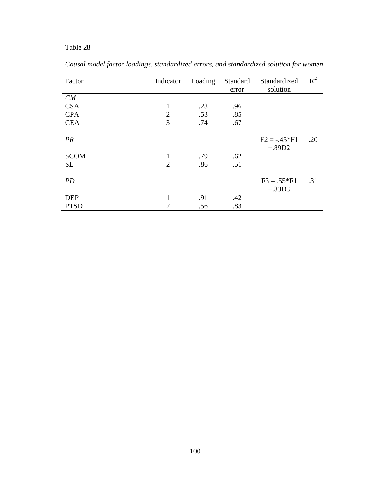| Factor      | Indicator      | Loading | Standard | Standardized   | $R^2$ |
|-------------|----------------|---------|----------|----------------|-------|
|             |                |         | error    | solution       |       |
| CM          |                |         |          |                |       |
| <b>CSA</b>  | $\mathbf{1}$   | .28     | .96      |                |       |
| <b>CPA</b>  | $\overline{2}$ | .53     | .85      |                |       |
| <b>CEA</b>  | 3              | .74     | .67      |                |       |
|             |                |         |          |                |       |
| PR          |                |         |          | $F2 = -.45*F1$ | .20   |
|             |                |         |          | $+.89D2$       |       |
| <b>SCOM</b> | 1              | .79     | .62      |                |       |
| <b>SE</b>   | $\overline{2}$ | .86     | .51      |                |       |
|             |                |         |          |                |       |
| <i>PD</i>   |                |         |          | $F3 = .55*F1$  | .31   |
|             |                |         |          | $+.83D3$       |       |
| <b>DEP</b>  | 1              | .91     | .42      |                |       |
| <b>PTSD</b> | $\overline{2}$ | .56     | .83      |                |       |

*Causal model factor loadings, standardized errors, and standardized solution for women*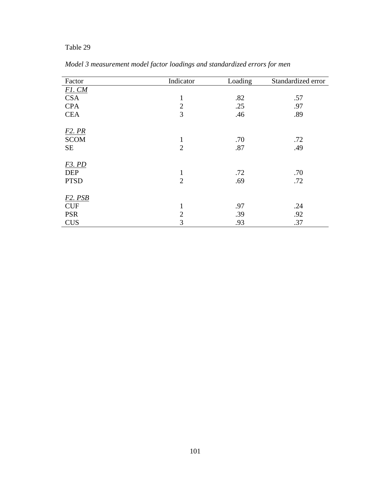| Factor         | Indicator      | Loading | Standardized error |
|----------------|----------------|---------|--------------------|
| $F1$ . $CM$    |                |         |                    |
| <b>CSA</b>     | $\mathbf{1}$   | .82     | .57                |
| <b>CPA</b>     | $\overline{2}$ | .25     | .97                |
| <b>CEA</b>     | 3              | .46     | .89                |
| <b>F2. PR</b>  |                |         |                    |
| <b>SCOM</b>    | $\mathbf{1}$   | .70     | .72                |
| <b>SE</b>      | $\overline{2}$ | .87     | .49                |
| <b>F3. PD</b>  |                |         |                    |
| <b>DEP</b>     | $\mathbf{1}$   | .72     | .70                |
| <b>PTSD</b>    | $\overline{2}$ | .69     | .72                |
| <b>F2. PSB</b> |                |         |                    |
| <b>CUF</b>     | $\mathbf{1}$   | .97     | .24                |
| <b>PSR</b>     | $\overline{2}$ | .39     | .92                |
| <b>CUS</b>     | 3              | .93     | .37                |

*Model 3 measurement model factor loadings and standardized errors for men*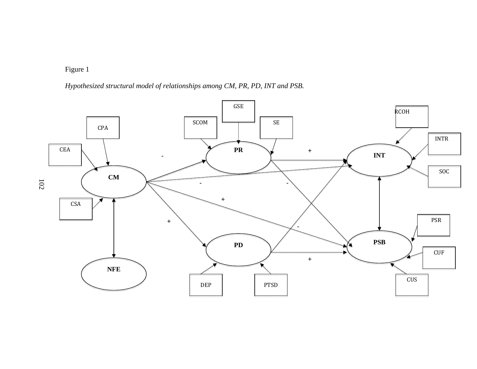*Hypothesized structural model of relationships among CM, PR, PD, INT and PSB.* 

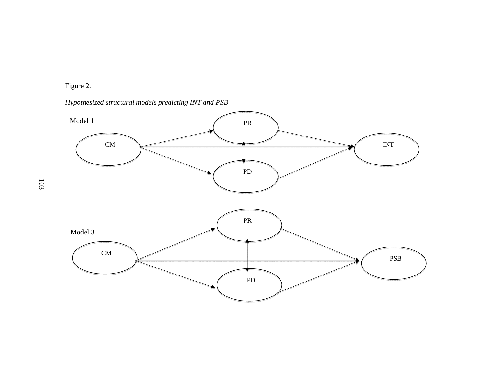### Figure 2.

*Hypothesized structural models predicting INT and PSB* 



103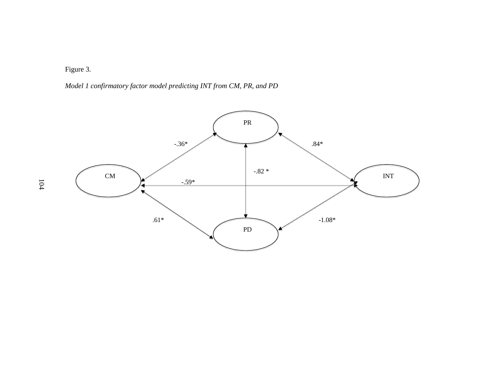Figure 3.

*Model 1 confirmatory factor model predicting INT from CM, PR, and PD* 

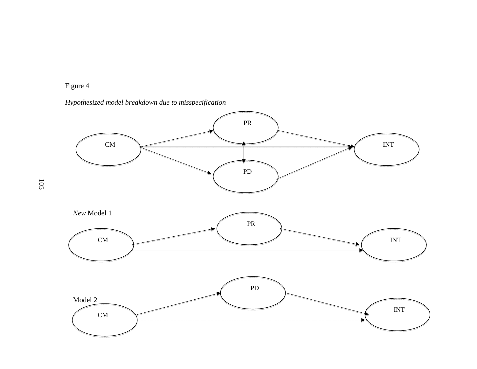



105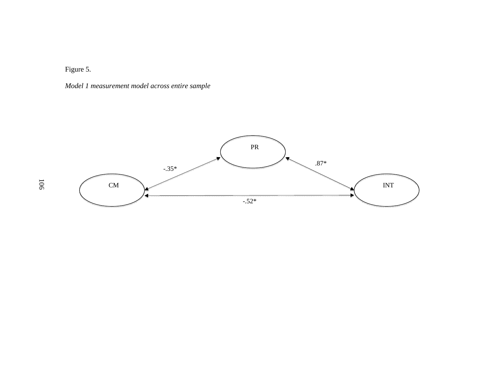Figure 5.

*Model 1 measurement model across entire sample* 



106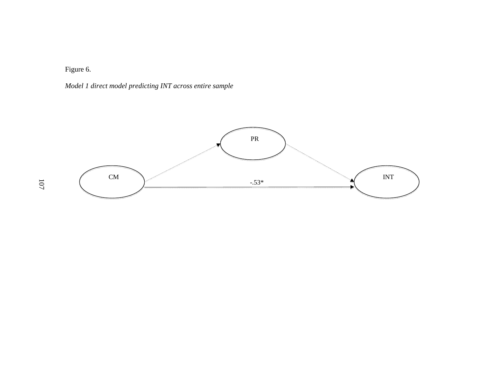Figure 6.

*Model 1 direct model predicting INT across entire sample*

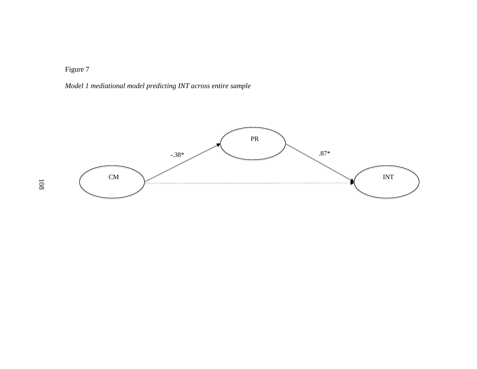*Model 1 mediational model predicting INT across entire sample*

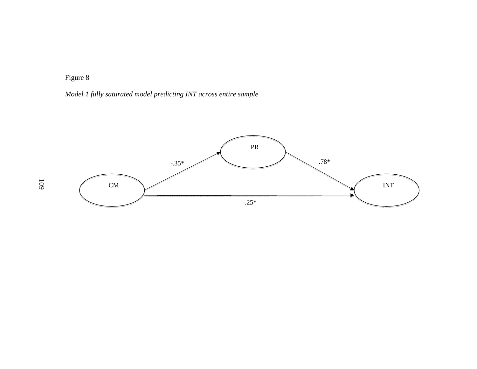*Model 1 fully saturated model predicting INT across entire sample*

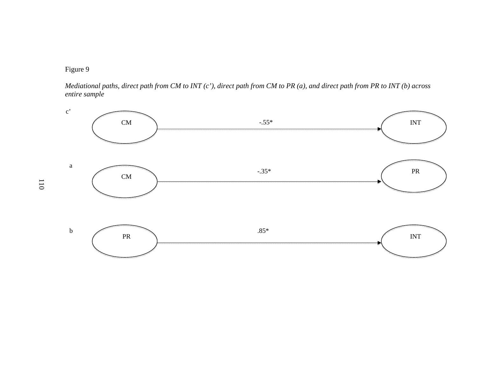

*Mediational paths, direct path from CM to INT (c'), direct path from CM to PR (a), and direct path from PR to INT (b) across entire sample* 

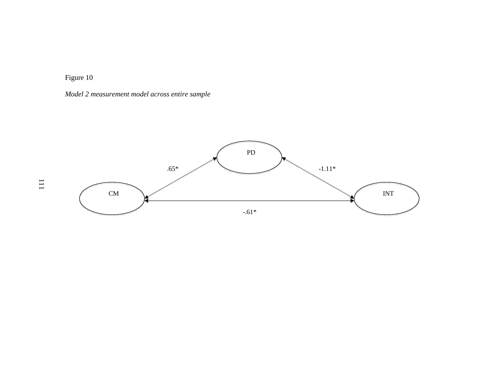*Model 2 measurement model across entire sample* 

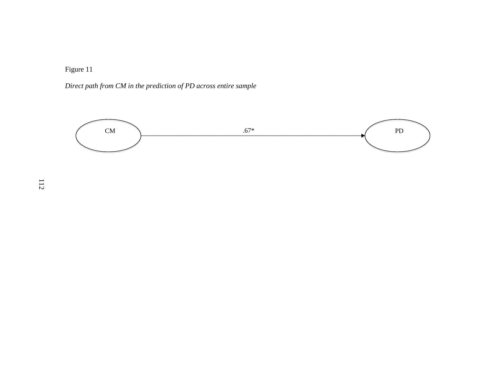*Direct path from CM in the prediction of PD across entire sample* 

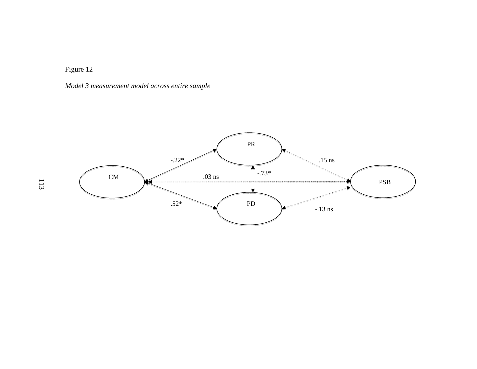*Model 3 measurement model across entire sample* 

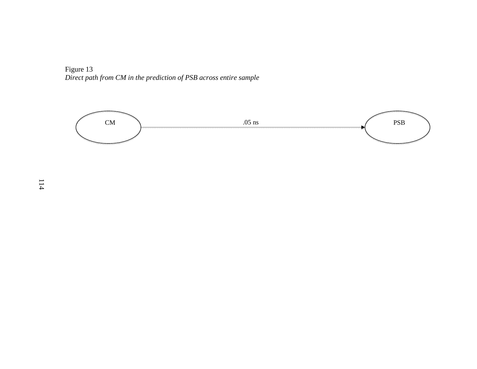Figure 13 *Direct path from CM in the prediction of PSB across entire sample* 

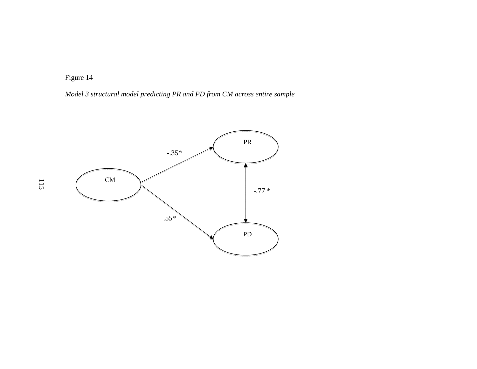*Model 3 structural model predicting PR and PD from CM across entire sample* 

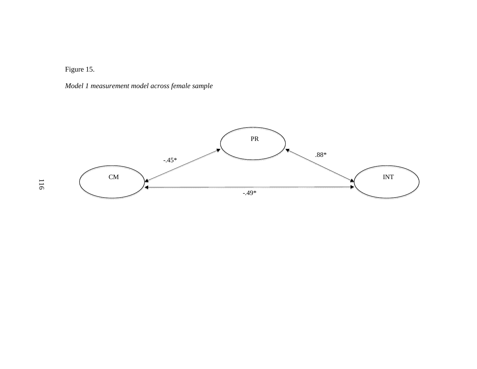Figure 15.

*Model 1 measurement model across female sample*



116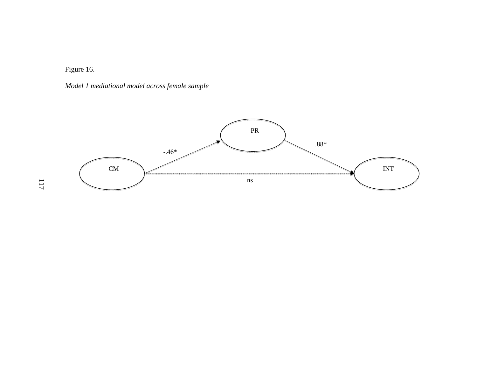Figure 16.

*Model 1 mediational model across female sample* 

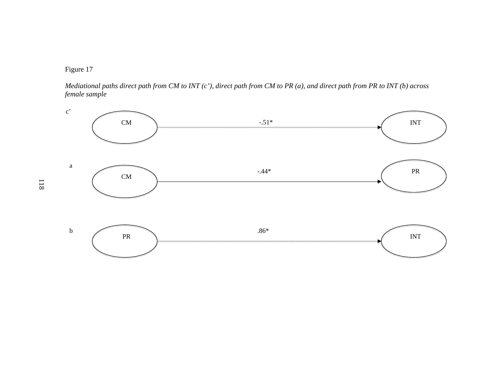

*Mediational paths direct path from CM to INT (c'), direct path from CM to PR (a), and direct path from PR to INT (b) across female sample* 

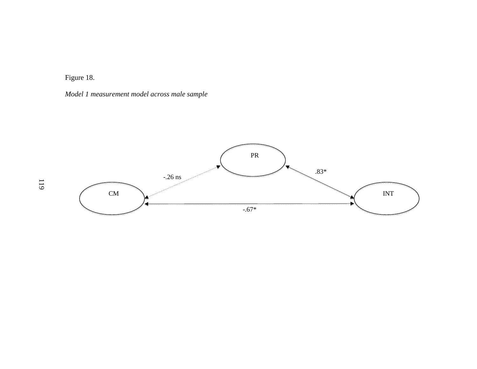Figure 18.

*Model 1 measurement model across male sample* 

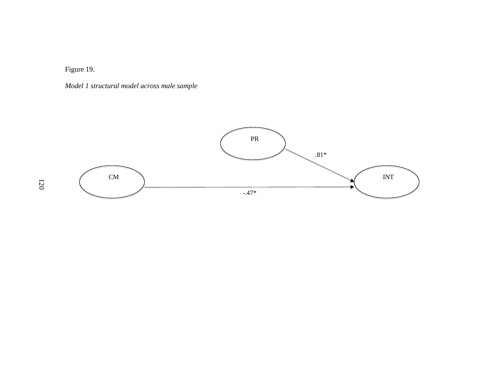Figure 19.

*Model 1 structural model across male sample* 

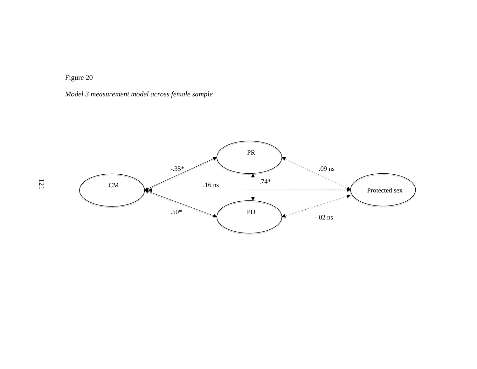*Model 3 measurement model across female sample* 

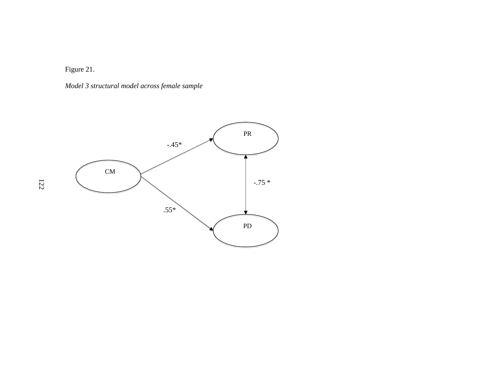Figure 21.

*Model 3 structural model across female sample* 

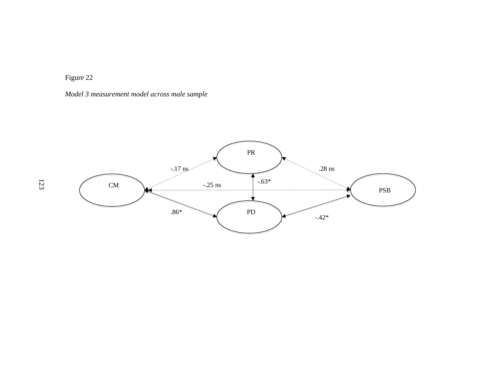*Model 3 measurement model across male sample* 

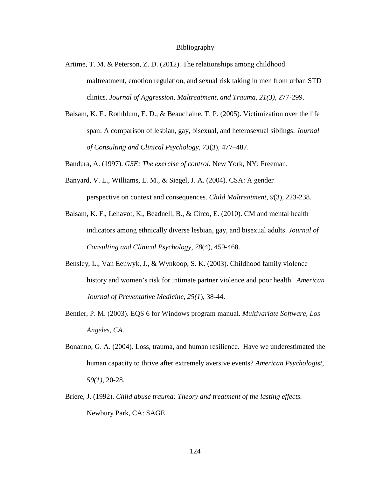#### Bibliography

- Artime, T. M. & Peterson, Z. D. (2012). The relationships among childhood maltreatment, emotion regulation, and sexual risk taking in men from urban STD clinics. *Journal of Aggression, Maltreatment, and Trauma, 21(3),* 277-299.
- Balsam, K. F., Rothblum, E. D., & Beauchaine, T. P. (2005). Victimization over the life span: A comparison of lesbian, gay, bisexual, and heterosexual siblings. *Journal of Consulting and Clinical Psychology, 73*(3), 477–487.

Bandura, A. (1997). *GSE: The exercise of control.* New York, NY: Freeman.

- Banyard, V. L., Williams, L. M., & Siegel, J. A. (2004). CSA: A gender perspective on context and consequences. *Child Maltreatment, 9*(3), 223-238.
- Balsam, K. F., Lehavot, K., Beadnell, B., & Circo, E. (2010). CM and mental health indicators among ethnically diverse lesbian, gay, and bisexual adults. *Journal of Consulting and Clinical Psychology, 78*(4), 459-468.
- Bensley, L., Van Eenwyk, J., & Wynkoop, S. K. (2003). Childhood family violence history and women's risk for intimate partner violence and poor health. *American Journal of Preventative Medicine, 25(1*), 38-44.
- Bentler, P. M. (2003). EQS 6 for Windows program manual. *Multivariate Software, Los Angeles, CA*.
- Bonanno, G. A. (2004). Loss, trauma, and human resilience. Have we underestimated the human capacity to thrive after extremely aversive events? *American Psychologist, 59(1),* 20-28.
- Briere, J. (1992). *Child abuse trauma: Theory and treatment of the lasting effects.*  Newbury Park, CA: SAGE.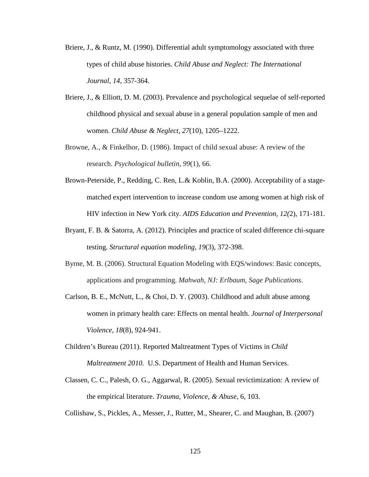- Briere, J., & Runtz, M. (1990). Differential adult symptomology associated with three types of child abuse histories. *Child Abuse and Neglect: The International Journal, 14*, 357-364.
- Briere, J., & Elliott, D. M. (2003). Prevalence and psychological sequelae of self-reported childhood physical and sexual abuse in a general population sample of men and women. *Child Abuse & Neglect, 27*(10), 1205–1222.
- Browne, A., & Finkelhor, D. (1986). Impact of child sexual abuse: A review of the research. *Psychological bulletin*, *99*(1), 66.
- Brown-Peterside, P., Redding, C. Ren, L.& Koblin, B.A. (2000). Acceptability of a stagematched expert intervention to increase condom use among women at high risk of HIV infection in New York city. *AIDS Education and Prevention, 12(*2), 171-181.
- Bryant, F. B. & Satorra, A. (2012). Principles and practice of scaled difference chi-square testing. *Structural equation modeling, 19*(3), 372-398.
- Byrne, M. B. (2006). Structural Equation Modeling with EQS/windows: Basic concepts, applications and programming. *Mahwah, NJ: Erlbaum, Sage Publications*.
- Carlson, B. E., McNutt, L., & Choi, D. Y. (2003). Childhood and adult abuse among women in primary health care: Effects on mental health. *Journal of Interpersonal Violence, 18*(8), 924-941.
- Children's Bureau (2011). Reported Maltreatment Types of Victims in *Child Maltreatment 2010.* U.S. Department of Health and Human Services.
- Classen, C. C., Palesh, O. G., Aggarwal, R. (2005). Sexual revictimization: A review of the empirical literature. *Trauma, Violence, & Abuse*, 6, 103.

Collishaw, S., Pickles, A., Messer, J., Rutter, M., Shearer, C. and Maughan, B. (2007)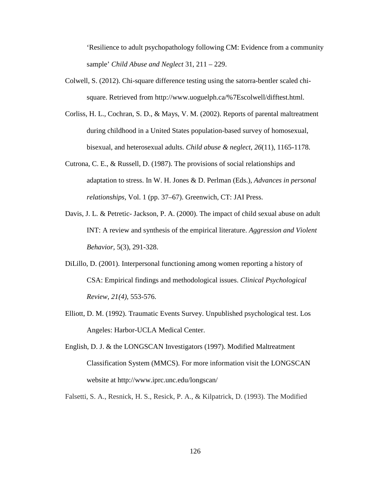'Resilience to adult psychopathology following CM: Evidence from a community sample' *Child Abuse and Neglect* 31, 211 – 229.

- Colwell, S. (2012). Chi-square difference testing using the satorra-bentler scaled chisquare. Retrieved from http://www.uoguelph.ca/%7Escolwell/difftest.html.
- Corliss, H. L., Cochran, S. D., & Mays, V. M. (2002). Reports of parental maltreatment during childhood in a United States population-based survey of homosexual, bisexual, and heterosexual adults. *Child abuse & neglect*, *26*(11), 1165-1178.
- Cutrona, C. E., & Russell, D. (1987). The provisions of social relationships and adaptation to stress. In W. H. Jones & D. Perlman (Eds.), *Advances in personal relationships,* Vol. 1 (pp. 37–67). Greenwich, CT: JAI Press.
- Davis, J. L. & Petretic- Jackson, P. A. (2000). The impact of child sexual abuse on adult INT: A review and synthesis of the empirical literature. *Aggression and Violent Behavior,* 5(3), 291-328.
- DiLillo, D. (2001). Interpersonal functioning among women reporting a history of CSA: Empirical findings and methodological issues. *Clinical Psychological Review, 21(4),* 553-576.
- Elliott, D. M. (1992). Traumatic Events Survey. Unpublished psychological test. Los Angeles: Harbor-UCLA Medical Center.
- English, D. J. & the LONGSCAN Investigators (1997). Modified Maltreatment Classification System (MMCS). For more information visit the LONGSCAN website at http://www.iprc.unc.edu/longscan/
- Falsetti, S. A., Resnick, H. S., Resick, P. A., & Kilpatrick, D. (1993). The Modified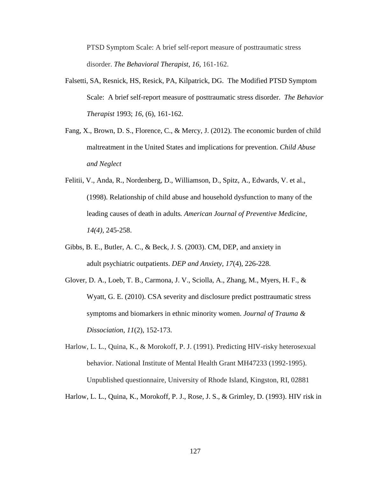PTSD Symptom Scale: A brief self-report measure of posttraumatic stress disorder. *The Behavioral Therapist, 16,* 161-162.

- Falsetti, SA, Resnick, HS, Resick, PA, Kilpatrick, DG. The Modified PTSD Symptom Scale: A brief self-report measure of posttraumatic stress disorder. *The Behavior Therapist* 1993; *16*, (6), 161-162.
- Fang, X., Brown, D. S., Florence, C., & Mercy, J. (2012). The economic burden of child maltreatment in the United States and implications for prevention. *Child Abuse and Neglect*
- Felitii, V., Anda, R., Nordenberg, D., Williamson, D., Spitz, A., Edwards, V. et al., (1998). Relationship of child abuse and household dysfunction to many of the leading causes of death in adults*. American Journal of Preventive Medicine, 14(4),* 245-258.
- Gibbs, B. E., Butler, A. C., & Beck, J. S. (2003). CM, DEP, and anxiety in adult psychiatric outpatients. *DEP and Anxiety, 17*(4), 226-228.
- Glover, D. A., Loeb, T. B., Carmona, J. V., Sciolla, A., Zhang, M., Myers, H. F., & Wyatt, G. E. (2010). CSA severity and disclosure predict posttraumatic stress symptoms and biomarkers in ethnic minority women. *Journal of Trauma & Dissociation, 11*(2), 152-173.
- Harlow, L. L., Quina, K., & Morokoff, P. J. (1991). Predicting HIV-risky heterosexual behavior. National Institute of Mental Health Grant MH47233 (1992-1995). Unpublished questionnaire, University of Rhode Island, Kingston, RI, 02881
- Harlow, L. L., Quina, K., Morokoff, P. J., Rose, J. S., & Grimley, D. (1993). HIV risk in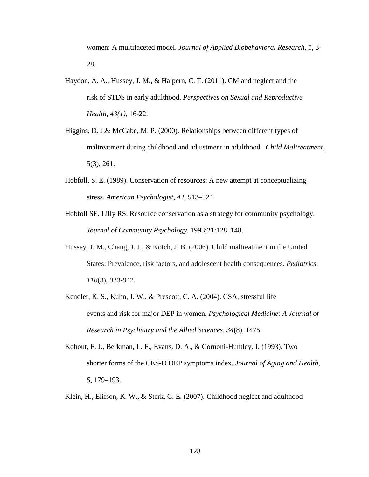women: A multifaceted model. *Journal of Applied Biobehavioral Research*, *1,* 3- 28.

- Haydon, A. A., Hussey, J. M., & Halpern, C. T. (2011). CM and neglect and the risk of STDS in early adulthood. *Perspectives on Sexual and Reproductive Health, 43(1),* 16-22.
- Higgins, D. J.& McCabe, M. P. (2000). Relationships between different types of maltreatment during childhood and adjustment in adulthood. *Child Maltreatment*, 5(3), 261.
- Hobfoll, S. E. (1989). Conservation of resources: A new attempt at conceptualizing stress. *American Psychologist, 44,* 513–524.
- Hobfoll SE, Lilly RS. Resource conservation as a strategy for community psychology. *Journal of Community Psychology.* 1993;21:128–148.
- Hussey, J. M., Chang, J. J., & Kotch, J. B. (2006). Child maltreatment in the United States: Prevalence, risk factors, and adolescent health consequences. *Pediatrics*, *118*(3), 933-942.
- Kendler, K. S., Kuhn, J. W., & Prescott, C. A. (2004). CSA, stressful life events and risk for major DEP in women. *Psychological Medicine: A Journal of Research in Psychiatry and the Allied Sciences, 34*(8), 1475.
- Kohout, F. J., Berkman, L. F., Evans, D. A., & Cornoni-Huntley, J. (1993). Two shorter forms of the CES-D DEP symptoms index. *Journal of Aging and Health*, *5*, 179–193.
- Klein, H., Elifson, K. W., & Sterk, C. E. (2007). Childhood neglect and adulthood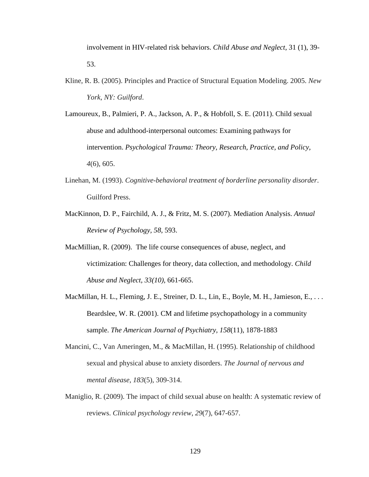involvement in HIV-related risk behaviors. *Child Abuse and Neglect*, 31 (1), 39- 53.

- Kline, R. B. (2005). Principles and Practice of Structural Equation Modeling. 2005. *New York, NY: Guilford*.
- Lamoureux, B., Palmieri, P. A., Jackson, A. P., & Hobfoll, S. E. (2011). Child sexual abuse and adulthood-interpersonal outcomes: Examining pathways for intervention. *Psychological Trauma: Theory, Research, Practice, and Policy, 4*(6), 605.
- Linehan, M. (1993). *Cognitive-behavioral treatment of borderline personality disorder*. Guilford Press.
- MacKinnon, D. P., Fairchild, A. J., & Fritz, M. S. (2007). Mediation Analysis. *Annual Review of Psychology, 58*, 593.
- MacMillian, R. (2009). The life course consequences of abuse, neglect, and victimization: Challenges for theory, data collection, and methodology. *Child Abuse and Neglect, 33(10),* 661-665.
- MacMillan, H. L., Fleming, J. E., Streiner, D. L., Lin, E., Boyle, M. H., Jamieson, E., ... Beardslee, W. R. (2001). CM and lifetime psychopathology in a community sample. *The American Journal of Psychiatry, 158*(11), 1878-1883
- Mancini, C., Van Ameringen, M., & MacMillan, H. (1995). Relationship of childhood sexual and physical abuse to anxiety disorders. *The Journal of nervous and mental disease*, *183*(5), 309-314.
- Maniglio, R. (2009). The impact of child sexual abuse on health: A systematic review of reviews. *Clinical psychology review*, *29*(7), 647-657.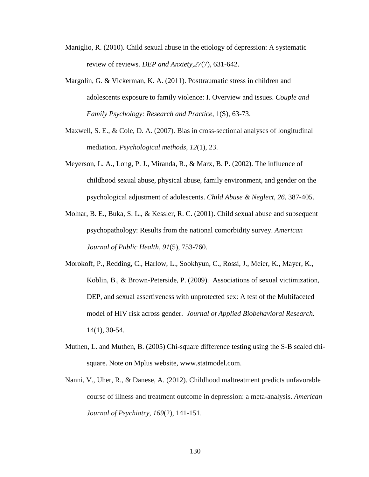- Maniglio, R. (2010). Child sexual abuse in the etiology of depression: A systematic review of reviews. *DEP and Anxiety,27*(7), 631-642.
- Margolin, G. & Vickerman, K. A. (2011). Posttraumatic stress in children and adolescents exposure to family violence: I. Overview and issues. *Couple and Family Psychology: Research and Practice,* 1(S), 63-73.
- Maxwell, S. E., & Cole, D. A. (2007). Bias in cross-sectional analyses of longitudinal mediation. *Psychological methods*, *12*(1), 23.
- Meyerson, L. A., Long, P. J., Miranda, R., & Marx, B. P. (2002). The influence of childhood sexual abuse, physical abuse, family environment, and gender on the psychological adjustment of adolescents. *Child Abuse & Neglect, 26,* 387-405.
- Molnar, B. E., Buka, S. L., & Kessler, R. C. (2001). Child sexual abuse and subsequent psychopathology: Results from the national comorbidity survey. *American Journal of Public Health, 91*(5), 753-760.
- Morokoff, P., Redding, C., Harlow, L., Sookhyun, C., Rossi, J., Meier, K., Mayer, K., Koblin, B., & Brown-Peterside, P. (2009). Associations of sexual victimization, DEP, and sexual assertiveness with unprotected sex: A test of the Multifaceted model of HIV risk across gender. *Journal of Applied Biobehavioral Research.* 14(1), 30-54.
- Muthen, L. and Muthen, B. (2005) Chi-square difference testing using the S-B scaled chisquare. Note on Mplus website, www.statmodel.com.
- Nanni, V., Uher, R., & Danese, A. (2012). Childhood maltreatment predicts unfavorable course of illness and treatment outcome in depression: a meta-analysis. *American Journal of Psychiatry*, *169*(2), 141-151.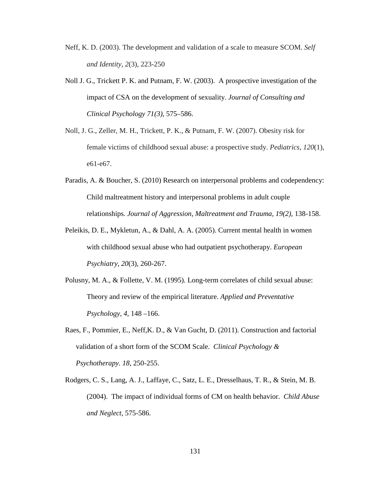- Neff, K. D. (2003). The development and validation of a scale to measure SCOM. *Self and Identity*, *2*(3), 223-250
- Noll J. G., Trickett P. K. and Putnam, F. W. (2003). A prospective investigation of the impact of CSA on the development of sexuality. *Journal of Consulting and Clinical Psychology 71(3),* 575–586.
- Noll, J. G., Zeller, M. H., Trickett, P. K., & Putnam, F. W. (2007). Obesity risk for female victims of childhood sexual abuse: a prospective study. *Pediatrics*, *120*(1), e61-e67.
- Paradis, A. & Boucher, S. (2010) Research on interpersonal problems and codependency: Child maltreatment history and interpersonal problems in adult couple relationships. *Journal of Aggression, Maltreatment and Trauma, 19(2),* 138-158.
- Peleikis, D. E., Mykletun, A., & Dahl, A. A. (2005). Current mental health in women with childhood sexual abuse who had outpatient psychotherapy. *European Psychiatry, 20*(3), 260-267.
- Polusny, M. A., & Follette, V. M. (1995). Long-term correlates of child sexual abuse: Theory and review of the empirical literature. *Applied and Preventative Psychology, 4,* 148 –166.
- Raes, F., Pommier, E., Neff,K. D., & Van Gucht, D. (2011). Construction and factorial validation of a short form of the SCOM Scale. *Clinical Psychology & Psychotherapy. 18*, 250-255.
- Rodgers, C. S., Lang, A. J., Laffaye, C., Satz, L. E., Dresselhaus, T. R., & Stein, M. B. (2004). The impact of individual forms of CM on health behavior. *Child Abuse and Neglect*, 575-586.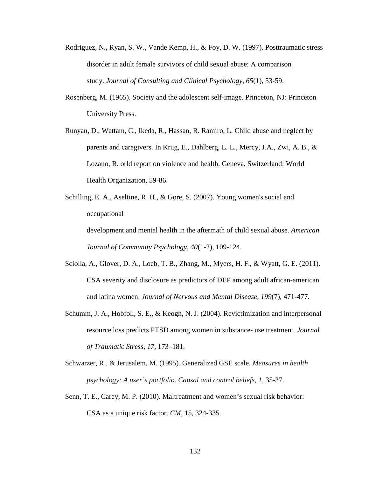- Rodriguez, N., Ryan, S. W., Vande Kemp, H., & Foy, D. W. (1997). Posttraumatic stress disorder in adult female survivors of child sexual abuse: A comparison study. *Journal of Consulting and Clinical Psychology, 65*(1), 53-59.
- Rosenberg, M. (1965). Society and the adolescent self-image. Princeton, NJ: Princeton University Press.
- Runyan, D., Wattam, C., Ikeda, R., Hassan, R. Ramiro, L. Child abuse and neglect by parents and caregivers. In Krug, E., Dahlberg, L. L., Mercy, J.A., Zwi, A. B., & Lozano, R. orld report on violence and health. Geneva, Switzerland: World Health Organization, 59-86.
- Schilling, E. A., Aseltine, R. H., & Gore, S. (2007). Young women's social and occupational

development and mental health in the aftermath of child sexual abuse. *American Journal of Community Psychology, 40*(1-2), 109-124.

- Sciolla, A., Glover, D. A., Loeb, T. B., Zhang, M., Myers, H. F., & Wyatt, G. E. (2011). CSA severity and disclosure as predictors of DEP among adult african-american and latina women. *Journal of Nervous and Mental Disease, 199*(7), 471-477.
- Schumm, J. A., Hobfoll, S. E., & Keogh, N. J. (2004). Revictimization and interpersonal resource loss predicts PTSD among women in substance- use treatment. *Journal of Traumatic Stress, 17,* 173–181.
- Schwarzer, R., & Jerusalem, M. (1995). Generalized GSE scale. *Measures in health psychology: A user's portfolio. Causal and control beliefs*, *1*, 35-37.
- Senn, T. E., Carey, M. P. (2010). Maltreatment and women's sexual risk behavior: CSA as a unique risk factor. *CM*, 15, 324-335.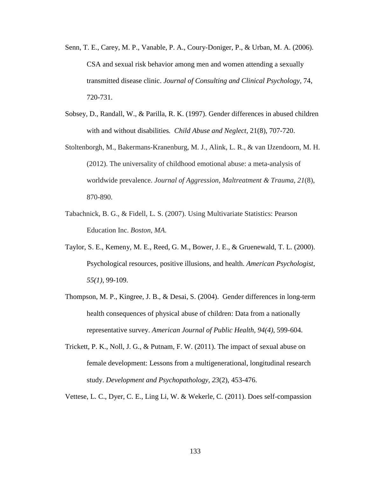- Senn, T. E., Carey, M. P., Vanable, P. A., Coury-Doniger, P., & Urban, M. A. (2006). CSA and sexual risk behavior among men and women attending a sexually transmitted disease clinic. *Journal of Consulting and Clinical Psychology,* 74, 720-731.
- Sobsey, D., Randall, W., & Parilla, R. K. (1997). Gender differences in abused children with and without disabilities*. Child Abuse and Neglect*, 21(8), 707-720.
- Stoltenborgh, M., Bakermans-Kranenburg, M. J., Alink, L. R., & van IJzendoorn, M. H. (2012). The universality of childhood emotional abuse: a meta-analysis of worldwide prevalence. *Journal of Aggression, Maltreatment & Trauma*, *21*(8), 870-890.
- Tabachnick, B. G., & Fidell, L. S. (2007). Using Multivariate Statistics: Pearson Education Inc. *Boston, MA*.
- Taylor, S. E., Kemeny, M. E., Reed, G. M., Bower, J. E., & Gruenewald, T. L. (2000). Psychological resources, positive illusions, and health. *American Psychologist, 55(1)*, 99-109.
- Thompson, M. P., Kingree, J. B., & Desai, S. (2004). Gender differences in long-term health consequences of physical abuse of children: Data from a nationally representative survey. *American Journal of Public Health, 94(4),* 599-604.
- Trickett, P. K., Noll, J. G., & Putnam, F. W. (2011). The impact of sexual abuse on female development: Lessons from a multigenerational, longitudinal research study. *Development and Psychopathology, 23*(2), 453-476.
- Vettese, L. C., Dyer, C. E., Ling Li, W. & Wekerle, C. (2011). Does self-compassion